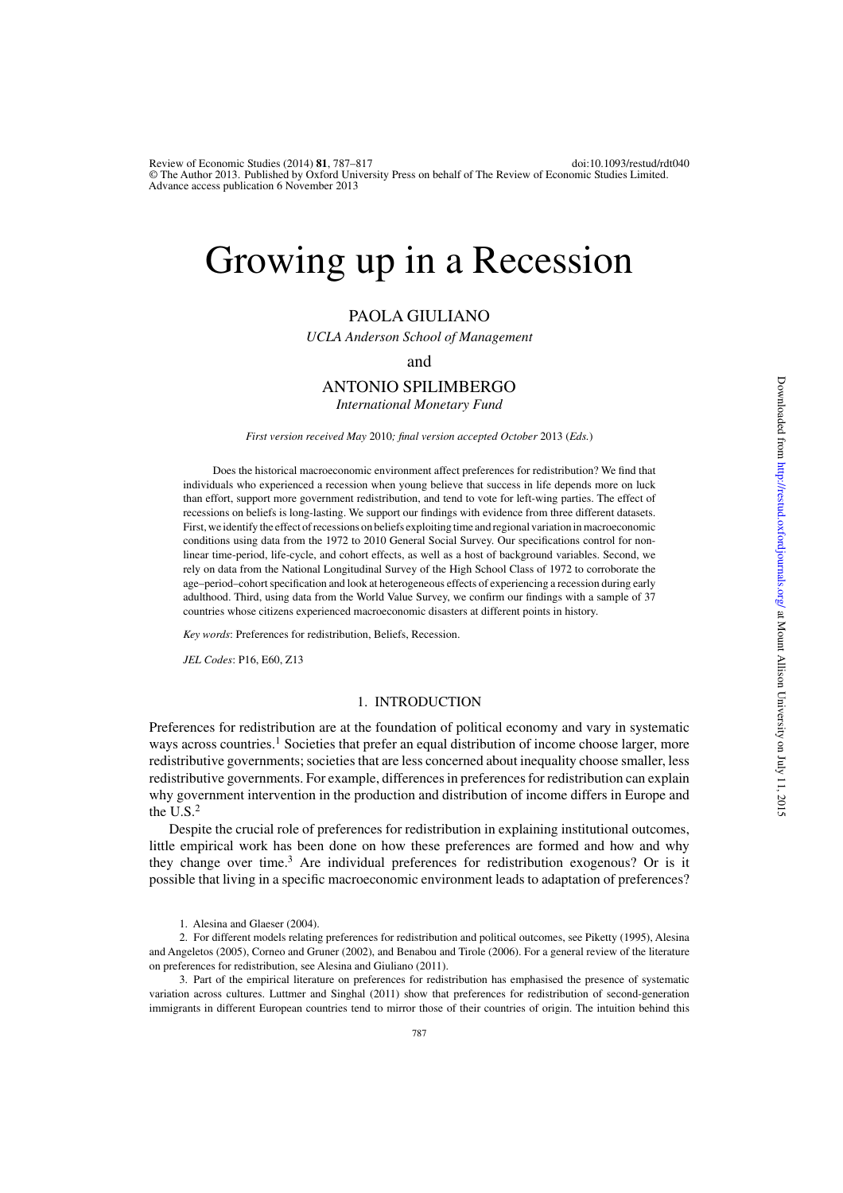# Growing up in a Recession

# PAOLA GIULIANO

*UCLA Anderson School of Management*

## and

# ANTONIO SPILIMBERGO

*International Monetary Fund*

*First version received May* 2010*; final version accepted October* 2013 (*Eds.*)

Does the historical macroeconomic environment affect preferences for redistribution? We find that individuals who experienced a recession when young believe that success in life depends more on luck than effort, support more government redistribution, and tend to vote for left-wing parties. The effect of recessions on beliefs is long-lasting. We support our findings with evidence from three different datasets. First, we identify the effect of recessions on beliefs exploiting time and regional variation in macroeconomic conditions using data from the 1972 to 2010 General Social Survey. Our specifications control for nonlinear time-period, life-cycle, and cohort effects, as well as a host of background variables. Second, we rely on data from the National Longitudinal Survey of the High School Class of 1972 to corroborate the age–period–cohort specification and look at heterogeneous effects of experiencing a recession during early adulthood. Third, using data from the World Value Survey, we confirm our findings with a sample of 37 countries whose citizens experienced macroeconomic disasters at different points in history.

*Key words*: Preferences for redistribution, Beliefs, Recession.

*JEL Codes*: P16, E60, Z13

#### 1. INTRODUCTION

Preferences for redistribution are at the foundation of political economy and vary in systematic ways across countries.<sup>1</sup> Societies that prefer an equal distribution of income choose larger, more redistributive governments; societies that are less concerned about inequality choose smaller, less redistributive governments. For example, differences in preferences for redistribution can explain why government intervention in the production and distribution of income differs in Europe and the U.S.<sup>2</sup>

Despite the crucial role of preferences for redistribution in explaining institutional outcomes, little empirical work has been done on how these preferences are formed and how and why they change over time.<sup>3</sup> Are individual preferences for redistribution exogenous? Or is it possible that living in a specific macroeconomic environment leads to adaptation of preferences?

2. For different models relating preferences for redistribution and political outcomes, see Piketty (1995), Alesina and Angeletos (2005), Corneo and Gruner (2002), and Benabou and Tirole (2006). For a general review of the literature on preferences for redistribution, see Alesina and Giuliano (2011).

3. Part of the empirical literature on preferences for redistribution has emphasised the presence of systematic variation across cultures. Luttmer and Singhal (2011) show that preferences for redistribution of second-generation immigrants in different European countries tend to mirror those of their countries of origin. The intuition behind this

<sup>1.</sup> Alesina and Glaeser (2004).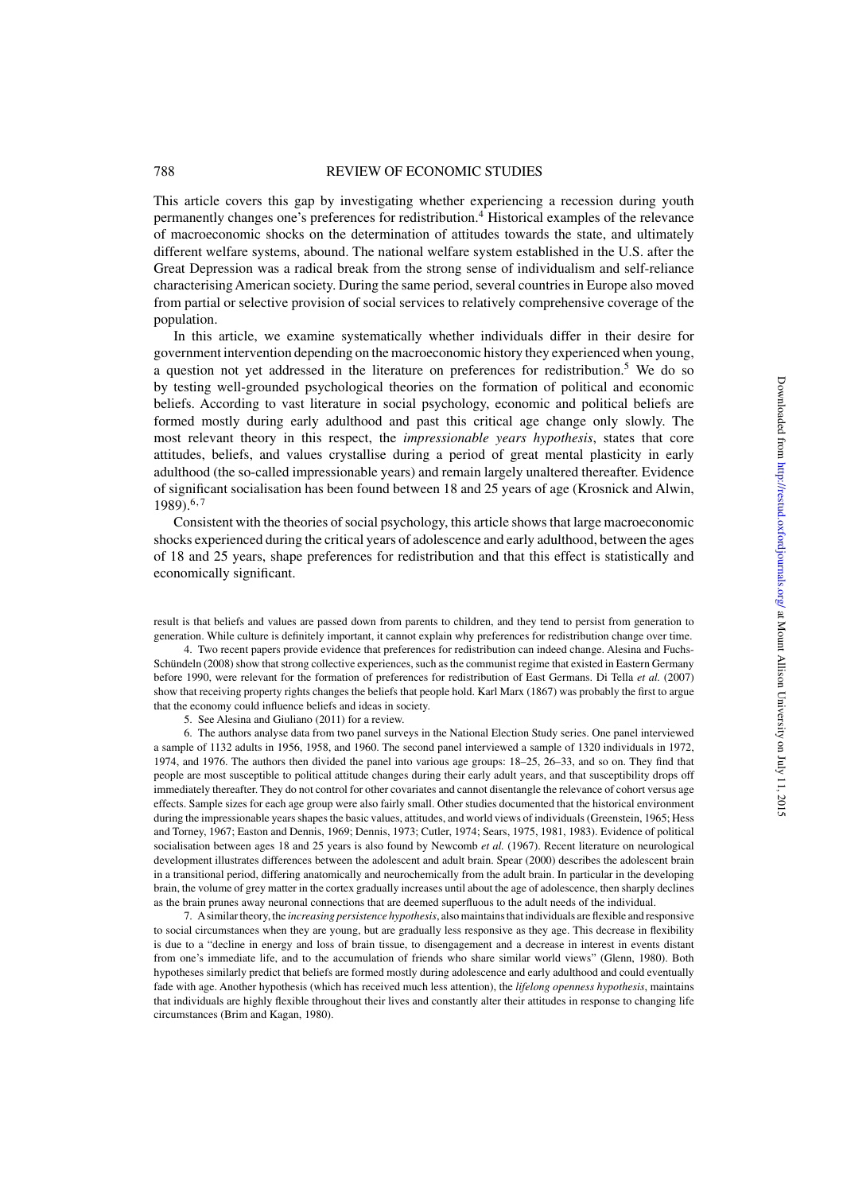This article covers this gap by investigating whether experiencing a recession during youth permanently changes one's preferences for redistribution.<sup>4</sup> Historical examples of the relevance of macroeconomic shocks on the determination of attitudes towards the state, and ultimately different welfare systems, abound. The national welfare system established in the U.S. after the Great Depression was a radical break from the strong sense of individualism and self-reliance characterising American society. During the same period, several countries in Europe also moved from partial or selective provision of social services to relatively comprehensive coverage of the population.

In this article, we examine systematically whether individuals differ in their desire for government intervention depending on the macroeconomic history they experienced when young, a question not yet addressed in the literature on preferences for redistribution.<sup>5</sup> We do so by testing well-grounded psychological theories on the formation of political and economic beliefs. According to vast literature in social psychology, economic and political beliefs are formed mostly during early adulthood and past this critical age change only slowly. The most relevant theory in this respect, the *impressionable years hypothesis*, states that core attitudes, beliefs, and values crystallise during a period of great mental plasticity in early adulthood (the so-called impressionable years) and remain largely unaltered thereafter. Evidence of significant socialisation has been found between 18 and 25 years of age (Krosnick and Alwin,  $1989.^{6,7}$ 

Consistent with the theories of social psychology, this article shows that large macroeconomic shocks experienced during the critical years of adolescence and early adulthood, between the ages of 18 and 25 years, shape preferences for redistribution and that this effect is statistically and economically significant.

result is that beliefs and values are passed down from parents to children, and they tend to persist from generation to generation. While culture is definitely important, it cannot explain why preferences for redistribution change over time.

4. Two recent papers provide evidence that preferences for redistribution can indeed change. Alesina and Fuchs-Schündeln (2008) show that strong collective experiences, such as the communist regime that existed in Eastern Germany before 1990, were relevant for the formation of preferences for redistribution of East Germans. Di Tella *et al.* (2007) show that receiving property rights changes the beliefs that people hold. Karl Marx (1867) was probably the first to argue that the economy could influence beliefs and ideas in society.

5. See Alesina and Giuliano (2011) for a review.

6. The authors analyse data from two panel surveys in the National Election Study series. One panel interviewed a sample of 1132 adults in 1956, 1958, and 1960. The second panel interviewed a sample of 1320 individuals in 1972, 1974, and 1976. The authors then divided the panel into various age groups: 18–25, 26–33, and so on. They find that people are most susceptible to political attitude changes during their early adult years, and that susceptibility drops off immediately thereafter. They do not control for other covariates and cannot disentangle the relevance of cohort versus age effects. Sample sizes for each age group were also fairly small. Other studies documented that the historical environment during the impressionable years shapes the basic values, attitudes, and world views of individuals (Greenstein, 1965; Hess and Torney, 1967; Easton and Dennis, 1969; Dennis, 1973; Cutler, 1974; Sears, 1975, 1981, 1983). Evidence of political socialisation between ages 18 and 25 years is also found by Newcomb *et al.* (1967). Recent literature on neurological development illustrates differences between the adolescent and adult brain. Spear (2000) describes the adolescent brain in a transitional period, differing anatomically and neurochemically from the adult brain. In particular in the developing brain, the volume of grey matter in the cortex gradually increases until about the age of adolescence, then sharply declines as the brain prunes away neuronal connections that are deemed superfluous to the adult needs of the individual.

7. Asimilar theory, the *increasing persistence hypothesis*, also maintains that individuals are flexible and responsive to social circumstances when they are young, but are gradually less responsive as they age. This decrease in flexibility is due to a "decline in energy and loss of brain tissue, to disengagement and a decrease in interest in events distant from one's immediate life, and to the accumulation of friends who share similar world views" (Glenn, 1980). Both hypotheses similarly predict that beliefs are formed mostly during adolescence and early adulthood and could eventually fade with age. Another hypothesis (which has received much less attention), the *lifelong openness hypothesis*, maintains that individuals are highly flexible throughout their lives and constantly alter their attitudes in response to changing life circumstances (Brim and Kagan, 1980).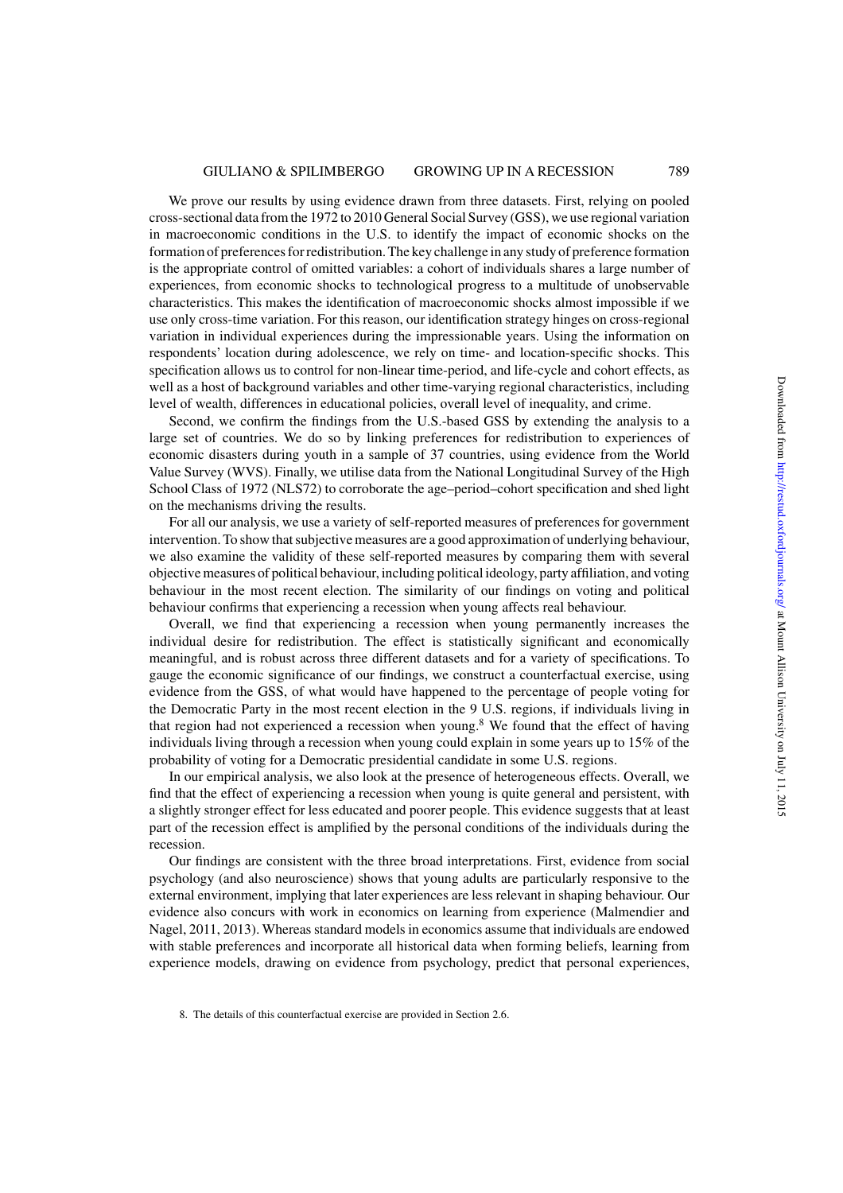We prove our results by using evidence drawn from three datasets. First, relying on pooled cross-sectional data from the 1972 to 2010 General Social Survey (GSS), we use regional variation in macroeconomic conditions in the U.S. to identify the impact of economic shocks on the formation of preferences for redistribution. The key challenge in any study of preference formation is the appropriate control of omitted variables: a cohort of individuals shares a large number of experiences, from economic shocks to technological progress to a multitude of unobservable characteristics. This makes the identification of macroeconomic shocks almost impossible if we use only cross-time variation. For this reason, our identification strategy hinges on cross-regional variation in individual experiences during the impressionable years. Using the information on respondents' location during adolescence, we rely on time- and location-specific shocks. This specification allows us to control for non-linear time-period, and life-cycle and cohort effects, as well as a host of background variables and other time-varying regional characteristics, including level of wealth, differences in educational policies, overall level of inequality, and crime.

Second, we confirm the findings from the U.S.-based GSS by extending the analysis to a large set of countries. We do so by linking preferences for redistribution to experiences of economic disasters during youth in a sample of 37 countries, using evidence from the World Value Survey (WVS). Finally, we utilise data from the National Longitudinal Survey of the High School Class of 1972 (NLS72) to corroborate the age–period–cohort specification and shed light on the mechanisms driving the results.

For all our analysis, we use a variety of self-reported measures of preferences for government intervention. To show that subjective measures are a good approximation of underlying behaviour, we also examine the validity of these self-reported measures by comparing them with several objective measures of political behaviour, including political ideology, party affiliation, and voting behaviour in the most recent election. The similarity of our findings on voting and political behaviour confirms that experiencing a recession when young affects real behaviour.

Overall, we find that experiencing a recession when young permanently increases the individual desire for redistribution. The effect is statistically significant and economically meaningful, and is robust across three different datasets and for a variety of specifications. To gauge the economic significance of our findings, we construct a counterfactual exercise, using evidence from the GSS, of what would have happened to the percentage of people voting for the Democratic Party in the most recent election in the 9 U.S. regions, if individuals living in that region had not experienced a recession when young.<sup>8</sup> We found that the effect of having individuals living through a recession when young could explain in some years up to 15% of the probability of voting for a Democratic presidential candidate in some U.S. regions.

In our empirical analysis, we also look at the presence of heterogeneous effects. Overall, we find that the effect of experiencing a recession when young is quite general and persistent, with a slightly stronger effect for less educated and poorer people. This evidence suggests that at least part of the recession effect is amplified by the personal conditions of the individuals during the recession.

Our findings are consistent with the three broad interpretations. First, evidence from social psychology (and also neuroscience) shows that young adults are particularly responsive to the external environment, implying that later experiences are less relevant in shaping behaviour. Our evidence also concurs with work in economics on learning from experience (Malmendier and Nagel, 2011, 2013). Whereas standard models in economics assume that individuals are endowed with stable preferences and incorporate all historical data when forming beliefs, learning from experience models, drawing on evidence from psychology, predict that personal experiences,

<sup>8.</sup> The details of this counterfactual exercise are provided in Section 2.6.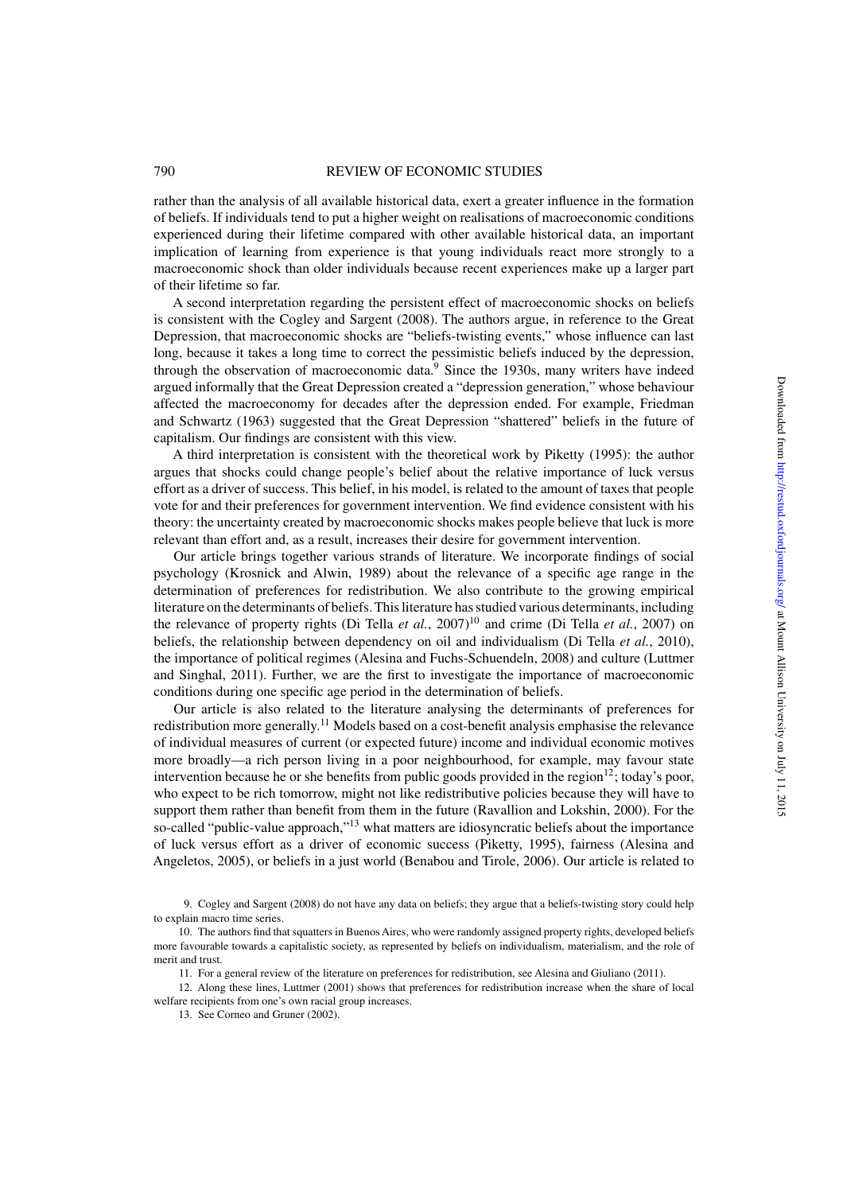rather than the analysis of all available historical data, exert a greater influence in the formation of beliefs. If individuals tend to put a higher weight on realisations of macroeconomic conditions experienced during their lifetime compared with other available historical data, an important implication of learning from experience is that young individuals react more strongly to a macroeconomic shock than older individuals because recent experiences make up a larger part of their lifetime so far.

A second interpretation regarding the persistent effect of macroeconomic shocks on beliefs is consistent with the Cogley and Sargent (2008). The authors argue, in reference to the Great Depression, that macroeconomic shocks are "beliefs-twisting events," whose influence can last long, because it takes a long time to correct the pessimistic beliefs induced by the depression, through the observation of macroeconomic data. $9$  Since the 1930s, many writers have indeed argued informally that the Great Depression created a "depression generation," whose behaviour affected the macroeconomy for decades after the depression ended. For example, Friedman and Schwartz (1963) suggested that the Great Depression "shattered" beliefs in the future of capitalism. Our findings are consistent with this view.

A third interpretation is consistent with the theoretical work by Piketty (1995): the author argues that shocks could change people's belief about the relative importance of luck versus effort as a driver of success. This belief, in his model, is related to the amount of taxes that people vote for and their preferences for government intervention. We find evidence consistent with his theory: the uncertainty created by macroeconomic shocks makes people believe that luck is more relevant than effort and, as a result, increases their desire for government intervention.

Our article brings together various strands of literature. We incorporate findings of social psychology (Krosnick and Alwin, 1989) about the relevance of a specific age range in the determination of preferences for redistribution. We also contribute to the growing empirical literature on the determinants of beliefs. This literature has studied various determinants, including the relevance of property rights (Di Tella *et al.*, 2007)<sup>10</sup> and crime (Di Tella *et al.*, 2007) on beliefs, the relationship between dependency on oil and individualism (Di Tella *et al.*, 2010), the importance of political regimes (Alesina and Fuchs-Schuendeln, 2008) and culture (Luttmer and Singhal, 2011). Further, we are the first to investigate the importance of macroeconomic conditions during one specific age period in the determination of beliefs.

Our article is also related to the literature analysing the determinants of preferences for redistribution more generally.<sup>11</sup> Models based on a cost-benefit analysis emphasise the relevance of individual measures of current (or expected future) income and individual economic motives more broadly—a rich person living in a poor neighbourhood, for example, may favour state intervention because he or she benefits from public goods provided in the region<sup>12</sup>; today's poor, who expect to be rich tomorrow, might not like redistributive policies because they will have to support them rather than benefit from them in the future (Ravallion and Lokshin, 2000). For the so-called "public-value approach,"<sup>13</sup> what matters are idiosyncratic beliefs about the importance of luck versus effort as a driver of economic success (Piketty, 1995), fairness (Alesina and Angeletos, 2005), or beliefs in a just world (Benabou and Tirole, 2006). Our article is related to

<sup>9.</sup> Cogley and Sargent (2008) do not have any data on beliefs; they argue that a beliefs-twisting story could help to explain macro time series.

<sup>10.</sup> The authors find that squatters in Buenos Aires, who were randomly assigned property rights, developed beliefs more favourable towards a capitalistic society, as represented by beliefs on individualism, materialism, and the role of merit and trust.

<sup>11.</sup> For a general review of the literature on preferences for redistribution, see Alesina and Giuliano (2011).

<sup>12.</sup> Along these lines, Luttmer (2001) shows that preferences for redistribution increase when the share of local welfare recipients from one's own racial group increases.

<sup>13.</sup> See Corneo and Gruner (2002).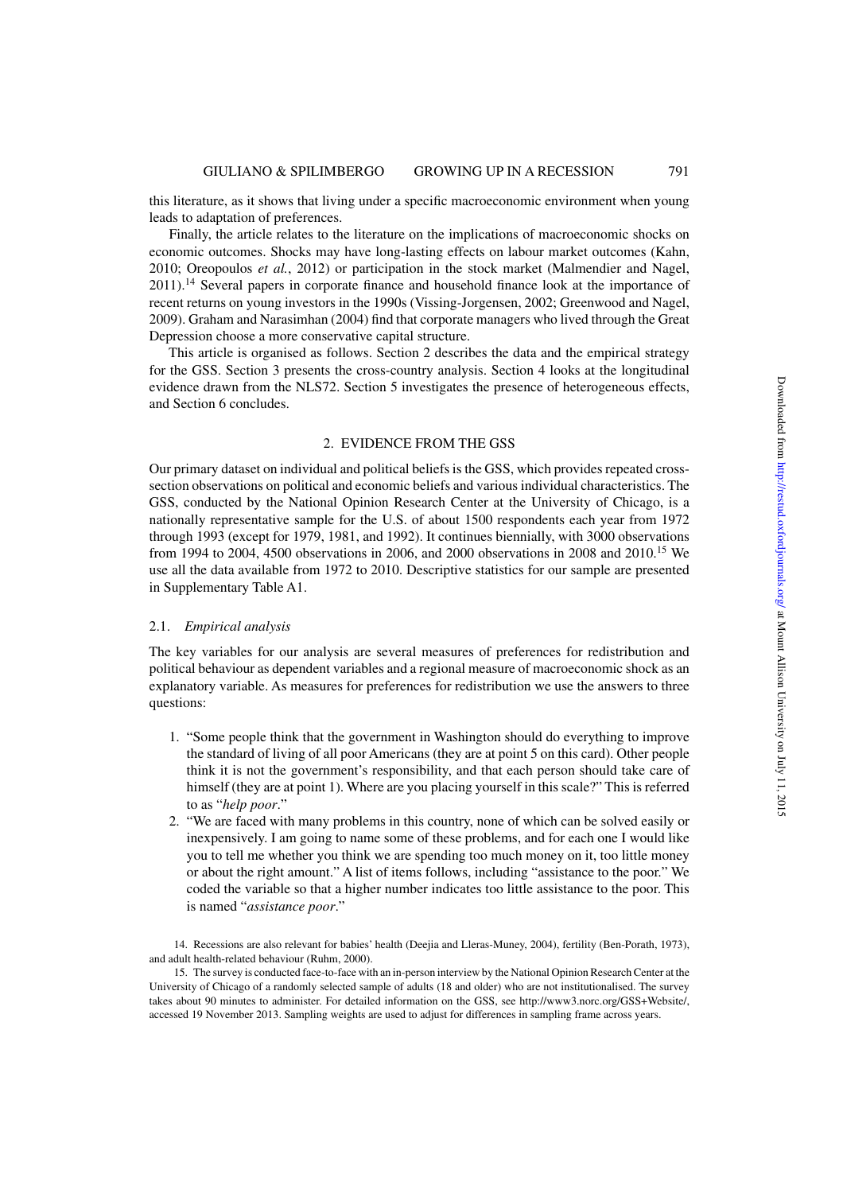this literature, as it shows that living under a specific macroeconomic environment when young leads to adaptation of preferences.

Finally, the article relates to the literature on the implications of macroeconomic shocks on economic outcomes. Shocks may have long-lasting effects on labour market outcomes (Kahn, 2010; Oreopoulos *et al.*, 2012) or participation in the stock market (Malmendier and Nagel, 2011).<sup>14</sup> Several papers in corporate finance and household finance look at the importance of recent returns on young investors in the 1990s (Vissing-Jorgensen, 2002; Greenwood and Nagel, 2009). Graham and Narasimhan (2004) find that corporate managers who lived through the Great Depression choose a more conservative capital structure.

This article is organised as follows. Section 2 describes the data and the empirical strategy for the GSS. Section 3 presents the cross-country analysis. Section 4 looks at the longitudinal evidence drawn from the NLS72. Section 5 investigates the presence of heterogeneous effects, and Section 6 concludes.

#### 2. EVIDENCE FROM THE GSS

Our primary dataset on individual and political beliefs is the GSS, which provides repeated crosssection observations on political and economic beliefs and various individual characteristics. The GSS, conducted by the National Opinion Research Center at the University of Chicago, is a nationally representative sample for the U.S. of about 1500 respondents each year from 1972 through 1993 (except for 1979, 1981, and 1992). It continues biennially, with 3000 observations from 1994 to 2004, 4500 observations in 2006, and 2000 observations in 2008 and 2010.<sup>15</sup> We use all the data available from 1972 to 2010. Descriptive statistics for our sample are presented in Supplementary Table A1.

#### 2.1. *Empirical analysis*

The key variables for our analysis are several measures of preferences for redistribution and political behaviour as dependent variables and a regional measure of macroeconomic shock as an explanatory variable. As measures for preferences for redistribution we use the answers to three questions:

- 1. "Some people think that the government in Washington should do everything to improve the standard of living of all poor Americans (they are at point 5 on this card). Other people think it is not the government's responsibility, and that each person should take care of himself (they are at point 1). Where are you placing yourself in this scale?" This is referred to as "*help poor*."
- 2. "We are faced with many problems in this country, none of which can be solved easily or inexpensively. I am going to name some of these problems, and for each one I would like you to tell me whether you think we are spending too much money on it, too little money or about the right amount." A list of items follows, including "assistance to the poor." We coded the variable so that a higher number indicates too little assistance to the poor. This is named "*assistance poor*."

14. Recessions are also relevant for babies' health (Deejia and Lleras-Muney, 2004), fertility (Ben-Porath, 1973), and adult health-related behaviour (Ruhm, 2000).

15. The survey is conducted face-to-face with an in-person interview by the National Opinion Research Center at the University of Chicago of a randomly selected sample of adults (18 and older) who are not institutionalised. The survey takes about 90 minutes to administer. For detailed information on the GSS, see http://www3.norc.org/GSS+Website/, accessed 19 November 2013. Sampling weights are used to adjust for differences in sampling frame across years.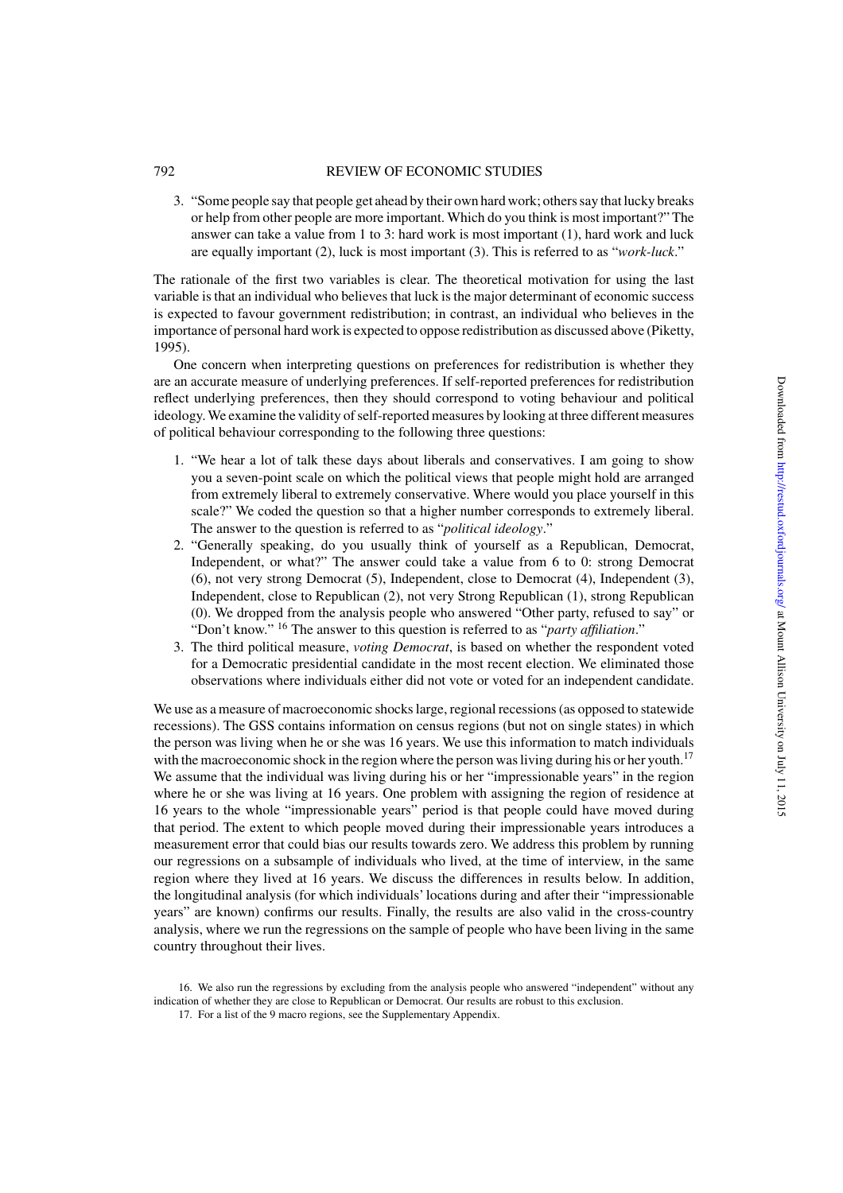3. "Some people say that people get ahead by their own hard work; others say that lucky breaks or help from other people are more important. Which do you think is most important?" The answer can take a value from 1 to 3: hard work is most important (1), hard work and luck are equally important (2), luck is most important (3). This is referred to as "*work-luck*."

The rationale of the first two variables is clear. The theoretical motivation for using the last variable is that an individual who believes that luck is the major determinant of economic success is expected to favour government redistribution; in contrast, an individual who believes in the importance of personal hard work is expected to oppose redistribution as discussed above (Piketty, 1995).

One concern when interpreting questions on preferences for redistribution is whether they are an accurate measure of underlying preferences. If self-reported preferences for redistribution reflect underlying preferences, then they should correspond to voting behaviour and political ideology.We examine the validity of self-reported measures by looking at three different measures of political behaviour corresponding to the following three questions:

- 1. "We hear a lot of talk these days about liberals and conservatives. I am going to show you a seven-point scale on which the political views that people might hold are arranged from extremely liberal to extremely conservative. Where would you place yourself in this scale?" We coded the question so that a higher number corresponds to extremely liberal. The answer to the question is referred to as "*political ideology*."
- 2. "Generally speaking, do you usually think of yourself as a Republican, Democrat, Independent, or what?" The answer could take a value from 6 to 0: strong Democrat (6), not very strong Democrat (5), Independent, close to Democrat (4), Independent (3), Independent, close to Republican (2), not very Strong Republican (1), strong Republican (0). We dropped from the analysis people who answered "Other party, refused to say" or "Don't know." <sup>16</sup> The answer to this question is referred to as "*party affiliation*."
- 3. The third political measure, *voting Democrat*, is based on whether the respondent voted for a Democratic presidential candidate in the most recent election. We eliminated those observations where individuals either did not vote or voted for an independent candidate.

We use as a measure of macroeconomic shocks large, regional recessions (as opposed to statewide recessions). The GSS contains information on census regions (but not on single states) in which the person was living when he or she was 16 years. We use this information to match individuals with the macroeconomic shock in the region where the person was living during his or her youth.<sup>17</sup> We assume that the individual was living during his or her "impressionable years" in the region where he or she was living at 16 years. One problem with assigning the region of residence at 16 years to the whole "impressionable years" period is that people could have moved during that period. The extent to which people moved during their impressionable years introduces a measurement error that could bias our results towards zero. We address this problem by running our regressions on a subsample of individuals who lived, at the time of interview, in the same region where they lived at 16 years. We discuss the differences in results below. In addition, the longitudinal analysis (for which individuals' locations during and after their "impressionable years" are known) confirms our results. Finally, the results are also valid in the cross-country analysis, where we run the regressions on the sample of people who have been living in the same country throughout their lives.

<sup>16.</sup> We also run the regressions by excluding from the analysis people who answered "independent" without any indication of whether they are close to Republican or Democrat. Our results are robust to this exclusion.

<sup>17.</sup> For a list of the 9 macro regions, see the Supplementary Appendix.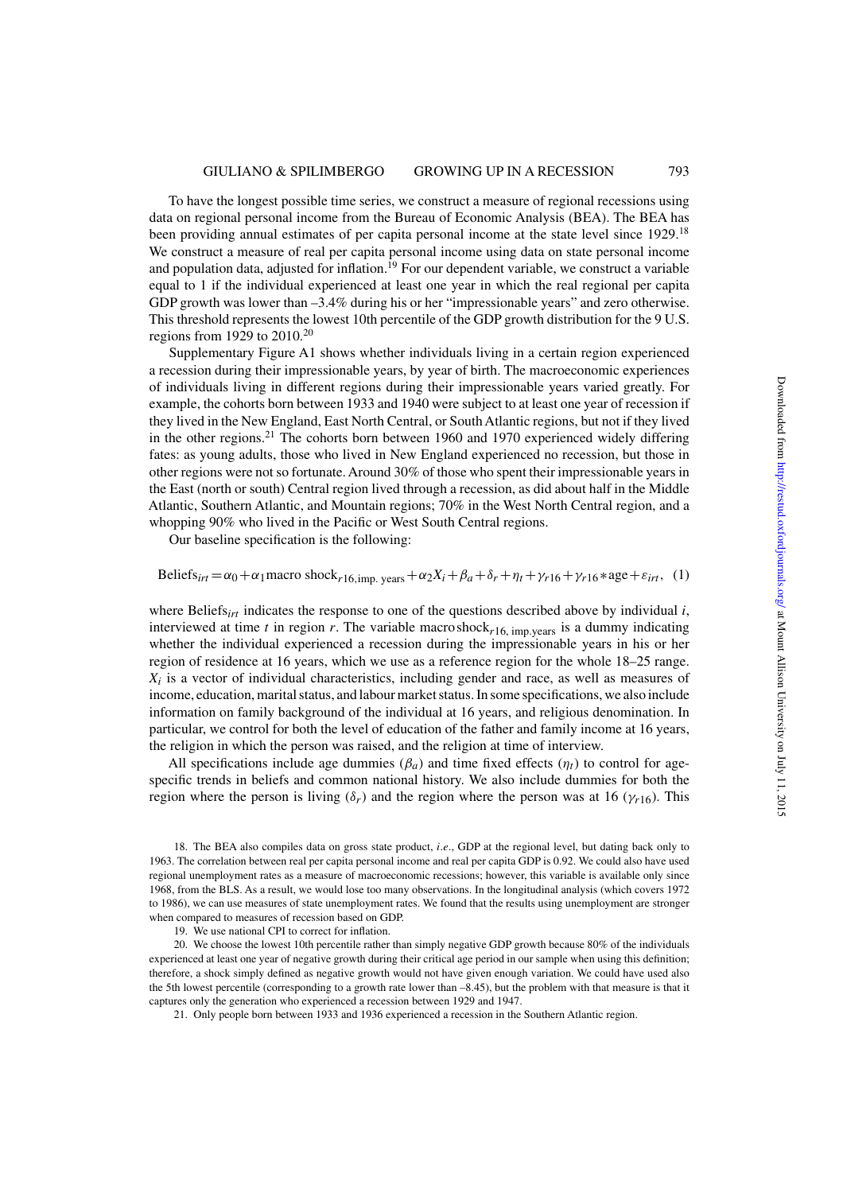To have the longest possible time series, we construct a measure of regional recessions using data on regional personal income from the Bureau of Economic Analysis (BEA). The BEA has been providing annual estimates of per capita personal income at the state level since 1929.<sup>18</sup> We construct a measure of real per capita personal income using data on state personal income and population data, adjusted for inflation.<sup>19</sup> For our dependent variable, we construct a variable equal to 1 if the individual experienced at least one year in which the real regional per capita GDP growth was lower than –3.4% during his or her "impressionable years" and zero otherwise. This threshold represents the lowest 10th percentile of the GDP growth distribution for the 9 U.S. regions from 1929 to  $2010^{20}$ 

Supplementary Figure A1 shows whether individuals living in a certain region experienced a recession during their impressionable years, by year of birth. The macroeconomic experiences of individuals living in different regions during their impressionable years varied greatly. For example, the cohorts born between 1933 and 1940 were subject to at least one year of recession if they lived in the New England, East North Central, or South Atlantic regions, but not if they lived in the other regions.<sup>21</sup> The cohorts born between 1960 and 1970 experienced widely differing fates: as young adults, those who lived in New England experienced no recession, but those in other regions were not so fortunate. Around 30% of those who spent their impressionable years in the East (north or south) Central region lived through a recession, as did about half in the Middle Atlantic, Southern Atlantic, and Mountain regions; 70% in the West North Central region, and a whopping 90% who lived in the Pacific or West South Central regions.

Our baseline specification is the following:

Beliefs<sub>irt</sub> = 
$$
\alpha_0 + \alpha_1
$$
 macro shock<sub>r16, imp. years</sub> +  $\alpha_2 X_i + \beta_a + \delta_r + \eta_t + \gamma_{r16} + \gamma_{r16} * age + \varepsilon_{irt}$ , (1)

where Beliefs*irt* indicates the response to one of the questions described above by individual *i*, interviewed at time  $t$  in region  $r$ . The variable macro shock<sub>r16</sub>, imp.years is a dummy indicating whether the individual experienced a recession during the impressionable years in his or her region of residence at 16 years, which we use as a reference region for the whole 18–25 range.  $X_i$  is a vector of individual characteristics, including gender and race, as well as measures of income, education, marital status, and labour market status. In some specifications, we also include information on family background of the individual at 16 years, and religious denomination. In particular, we control for both the level of education of the father and family income at 16 years, the religion in which the person was raised, and the religion at time of interview.

All specifications include age dummies  $(\beta_a)$  and time fixed effects  $(\eta_t)$  to control for agespecific trends in beliefs and common national history. We also include dummies for both the region where the person is living  $(\delta_r)$  and the region where the person was at 16 ( $\gamma_{r16}$ ). This

18. The BEA also compiles data on gross state product, *i*.*e*., GDP at the regional level, but dating back only to 1963. The correlation between real per capita personal income and real per capita GDP is 0.92. We could also have used regional unemployment rates as a measure of macroeconomic recessions; however, this variable is available only since 1968, from the BLS. As a result, we would lose too many observations. In the longitudinal analysis (which covers 1972 to 1986), we can use measures of state unemployment rates. We found that the results using unemployment are stronger when compared to measures of recession based on GDP.

19. We use national CPI to correct for inflation.

20. We choose the lowest 10th percentile rather than simply negative GDP growth because 80% of the individuals experienced at least one year of negative growth during their critical age period in our sample when using this definition; therefore, a shock simply defined as negative growth would not have given enough variation. We could have used also the 5th lowest percentile (corresponding to a growth rate lower than –8.45), but the problem with that measure is that it captures only the generation who experienced a recession between 1929 and 1947.

21. Only people born between 1933 and 1936 experienced a recession in the Southern Atlantic region.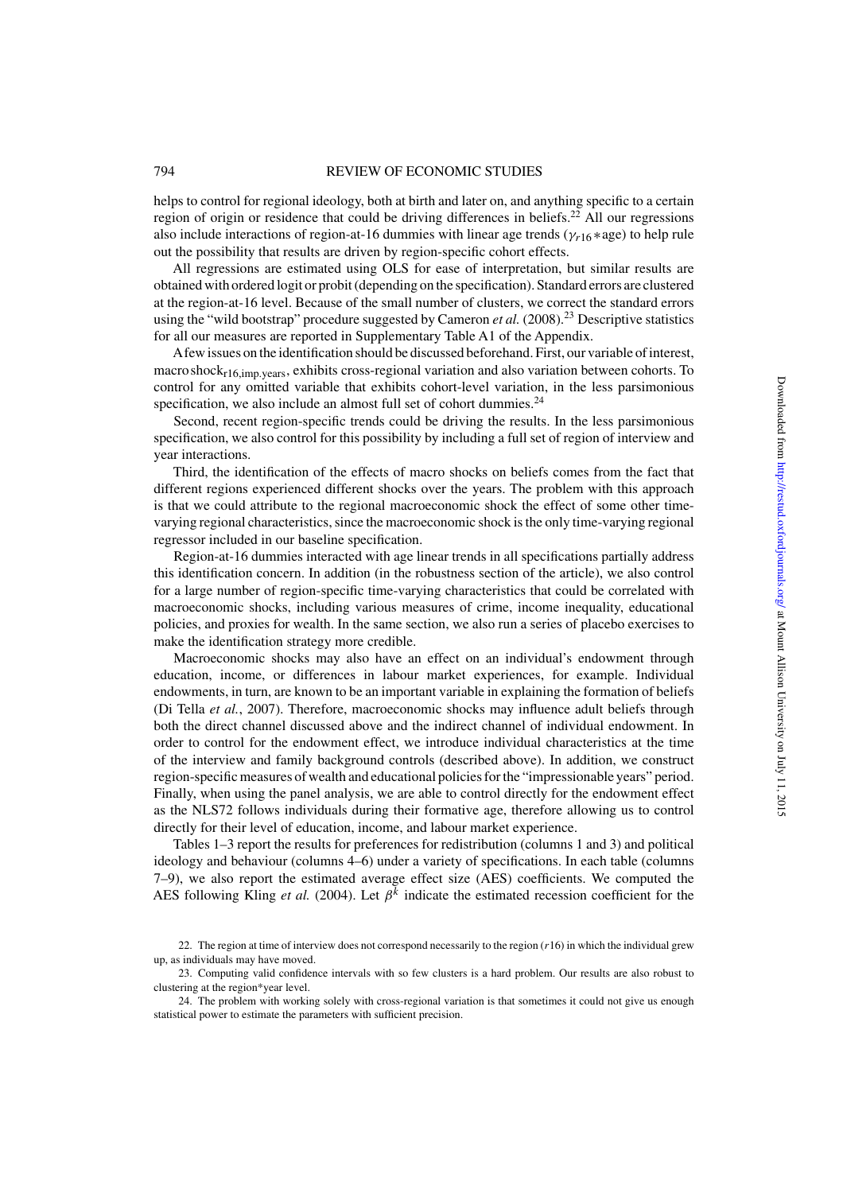#### 794 REVIEW OF ECONOMIC STUDIES

helps to control for regional ideology, both at birth and later on, and anything specific to a certain region of origin or residence that could be driving differences in beliefs.<sup>22</sup> All our regressions also include interactions of region-at-16 dummies with linear age trends (γ*r*<sup>16</sup> ∗age) to help rule out the possibility that results are driven by region-specific cohort effects.

All regressions are estimated using OLS for ease of interpretation, but similar results are obtained with ordered logit or probit (depending on the specification). Standard errors are clustered at the region-at-16 level. Because of the small number of clusters, we correct the standard errors using the "wild bootstrap" procedure suggested by Cameron *et al.* (2008).<sup>23</sup> Descriptive statistics for all our measures are reported in Supplementary Table A1 of the Appendix.

A few issues on the identification should be discussed beforehand. First, our variable of interest, macro shock<sub>r16,imp.years</sub>, exhibits cross-regional variation and also variation between cohorts. To control for any omitted variable that exhibits cohort-level variation, in the less parsimonious specification, we also include an almost full set of cohort dummies.<sup>24</sup>

Second, recent region-specific trends could be driving the results. In the less parsimonious specification, we also control for this possibility by including a full set of region of interview and year interactions.

Third, the identification of the effects of macro shocks on beliefs comes from the fact that different regions experienced different shocks over the years. The problem with this approach is that we could attribute to the regional macroeconomic shock the effect of some other timevarying regional characteristics, since the macroeconomic shock is the only time-varying regional regressor included in our baseline specification.

Region-at-16 dummies interacted with age linear trends in all specifications partially address this identification concern. In addition (in the robustness section of the article), we also control for a large number of region-specific time-varying characteristics that could be correlated with macroeconomic shocks, including various measures of crime, income inequality, educational policies, and proxies for wealth. In the same section, we also run a series of placebo exercises to make the identification strategy more credible.

Macroeconomic shocks may also have an effect on an individual's endowment through education, income, or differences in labour market experiences, for example. Individual endowments, in turn, are known to be an important variable in explaining the formation of beliefs (Di Tella *et al.*, 2007). Therefore, macroeconomic shocks may influence adult beliefs through both the direct channel discussed above and the indirect channel of individual endowment. In order to control for the endowment effect, we introduce individual characteristics at the time of the interview and family background controls (described above). In addition, we construct region-specific measures of wealth and educational policies for the "impressionable years" period. Finally, when using the panel analysis, we are able to control directly for the endowment effect as the NLS72 follows individuals during their formative age, therefore allowing us to control directly for their level of education, income, and labour market experience.

Tables 1–3 report the results for preferences for redistribution (columns 1 and 3) and political ideology and behaviour (columns 4–6) under a variety of specifications. In each table (columns 7–9), we also report the estimated average effect size (AES) coefficients. We computed the AES following Kling *et al.* (2004). Let  $\beta^k$  indicate the estimated recession coefficient for the

<sup>22.</sup> The region at time of interview does not correspond necessarily to the region (*r*16) in which the individual grew up, as individuals may have moved.

<sup>23.</sup> Computing valid confidence intervals with so few clusters is a hard problem. Our results are also robust to clustering at the region\*year level.

<sup>24.</sup> The problem with working solely with cross-regional variation is that sometimes it could not give us enough statistical power to estimate the parameters with sufficient precision.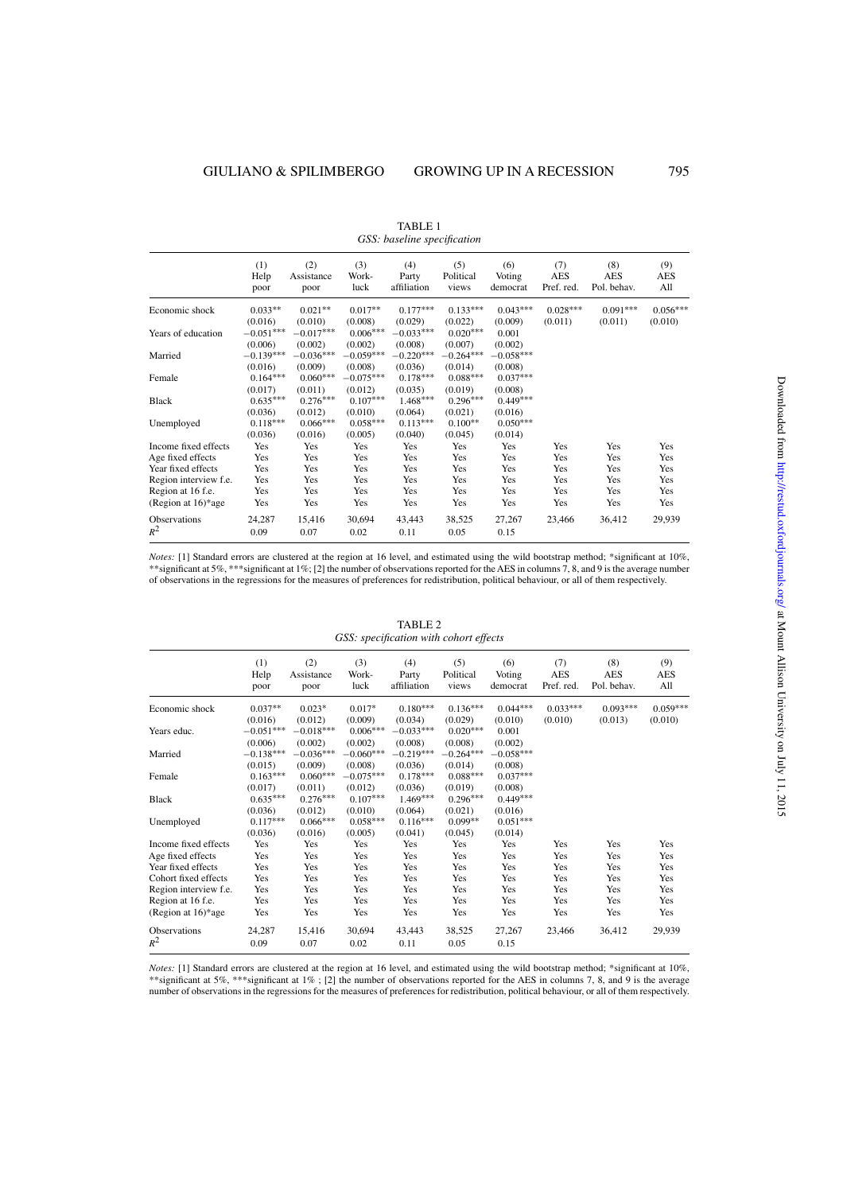|                       | (1)<br>Help<br>poor    | (2)<br>Assistance<br>poor | (3)<br>Work-<br>luck   | (4)<br>Party<br>affiliation | (5)<br>Political<br>views | (6)<br>Voting<br>democrat | (7)<br><b>AES</b><br>Pref. red. | (8)<br><b>AES</b><br>Pol. behav. | (9)<br>AES<br>All     |
|-----------------------|------------------------|---------------------------|------------------------|-----------------------------|---------------------------|---------------------------|---------------------------------|----------------------------------|-----------------------|
| Economic shock        | $0.033**$<br>(0.016)   | $0.021**$<br>(0.010)      | $0.017**$<br>(0.008)   | $0.177***$<br>(0.029)       | $0.133***$<br>(0.022)     | $0.043***$<br>(0.009)     | $0.028***$<br>(0.011)           | $0.091***$<br>(0.011)            | $0.056***$<br>(0.010) |
| Years of education    | $-0.051***$<br>(0.006) | $-0.017***$<br>(0.002)    | $0.006***$<br>(0.002)  | $-0.033***$<br>(0.008)      | $0.020***$<br>(0.007)     | 0.001<br>(0.002)          |                                 |                                  |                       |
| Married               | $-0.139***$<br>(0.016) | $-0.036***$<br>(0.009)    | $-0.059***$<br>(0.008) | $-0.220***$<br>(0.036)      | $-0.264***$<br>(0.014)    | $-0.058***$<br>(0.008)    |                                 |                                  |                       |
| Female                | $0.164***$<br>(0.017)  | $0.060***$<br>(0.011)     | $-0.075***$<br>(0.012) | $0.178***$<br>(0.035)       | $0.088***$<br>(0.019)     | $0.037***$<br>(0.008)     |                                 |                                  |                       |
| Black                 | $0.635***$<br>(0.036)  | $0.276***$<br>(0.012)     | $0.107***$<br>(0.010)  | $1.468***$<br>(0.064)       | $0.296***$<br>(0.021)     | $0.449***$<br>(0.016)     |                                 |                                  |                       |
| Unemployed            | $0.118***$<br>(0.036)  | $0.066***$<br>(0.016)     | $0.058***$<br>(0.005)  | $0.113***$<br>(0.040)       | $0.100**$<br>(0.045)      | $0.050***$<br>(0.014)     |                                 |                                  |                       |
| Income fixed effects  | Yes                    | Yes                       | Yes                    | Yes                         | Yes                       | Yes                       | Yes                             | Yes                              | Yes                   |
| Age fixed effects     | Yes                    | Yes                       | Yes                    | Yes                         | Yes                       | Yes                       | Yes                             | Yes                              | Yes                   |
| Year fixed effects    | Yes                    | Yes                       | Yes                    | Yes                         | Yes                       | Yes                       | Yes                             | Yes                              | Yes                   |
| Region interview f.e. | Yes                    | Yes                       | Yes                    | Yes                         | Yes                       | Yes                       | Yes                             | Yes                              | Yes                   |
| Region at 16 f.e.     | Yes                    | Yes                       | Yes                    | Yes                         | Yes                       | Yes                       | Yes                             | Yes                              | Yes                   |
| (Region at $16$ )*age | Yes                    | Yes                       | Yes                    | Yes                         | Yes                       | Yes                       | Yes                             | Yes                              | Yes                   |
| Observations          | 24,287                 | 15,416                    | 30,694                 | 43,443                      | 38,525                    | 27,267                    | 23,466                          | 36,412                           | 29,939                |
| $R^2$                 | 0.09                   | 0.07                      | 0.02                   | 0.11                        | 0.05                      | 0.15                      |                                 |                                  |                       |

TABLE 1 *GSS: baseline specification*

*Notes:* [1] Standard errors are clustered at the region at 16 level, and estimated using the wild bootstrap method; \*significant at 10%, \*\*significant at 5%, \*\*\*significant at 1%; [2] the number of observations reported for the AES in columns 7, 8, and 9 is the average number of observations in the regressions for the measures of preferences for redistribution, political behaviour, or all of them respectively.

|                       | (1)<br>Help<br>poor              | (2)<br>Assistance<br>poor        | (3)<br>Work-<br>luck             | (4)<br>Party<br>affiliation      | (5)<br>Political<br>views       | (6)<br>Voting<br>democrat        | (7)<br><b>AES</b><br>Pref. red. | (8)<br><b>AES</b><br>Pol. behav. | (9)<br><b>AES</b><br>All |
|-----------------------|----------------------------------|----------------------------------|----------------------------------|----------------------------------|---------------------------------|----------------------------------|---------------------------------|----------------------------------|--------------------------|
| Economic shock        | $0.037**$                        | $0.023*$                         | $0.017*$                         | $0.180***$                       | $0.136***$                      | $0.044***$                       | $0.033***$                      | $0.093***$                       | $0.059***$               |
| Years educ.           | (0.016)<br>$-0.051***$           | (0.012)<br>$-0.018***$           | (0.009)<br>$0.006***$            | (0.034)<br>$-0.033***$           | (0.029)<br>$0.020***$           | (0.010)<br>0.001                 | (0.010)                         | (0.013)                          | (0.010)                  |
| Married               | (0.006)<br>$-0.138***$           | (0.002)<br>$-0.036***$           | (0.002)<br>$-0.060^{***}\,$      | (0.008)<br>$-0.219***$           | (0.008)<br>$-0.264***$          | (0.002)<br>$-0.058***$           |                                 |                                  |                          |
| Female                | (0.015)<br>$0.163***$            | (0.009)<br>$0.060***$            | (0.008)<br>$-0.075***$           | (0.036)<br>$0.178***$            | (0.014)<br>$0.088***$           | (0.008)<br>$0.037***$            |                                 |                                  |                          |
| <b>Black</b>          | (0.017)<br>$0.635***$            | (0.011)<br>$0.276***$            | (0.012)<br>$0.107***$            | (0.036)<br>$1.469***$            | (0.019)<br>$0.296***$           | (0.008)<br>$0.449***$            |                                 |                                  |                          |
| Unemployed            | (0.036)<br>$0.117***$<br>(0.036) | (0.012)<br>$0.066***$<br>(0.016) | (0.010)<br>$0.058***$<br>(0.005) | (0.064)<br>$0.116***$<br>(0.041) | (0.021)<br>$0.099**$<br>(0.045) | (0.016)<br>$0.051***$<br>(0.014) |                                 |                                  |                          |
| Income fixed effects  | Yes                              | Yes                              | Yes                              | Yes                              | Yes                             | Yes                              | Yes                             | Yes                              | Yes                      |
| Age fixed effects     | Yes                              | Yes                              | Yes                              | Yes                              | Yes                             | Yes                              | Yes                             | Yes                              | Yes                      |
| Year fixed effects    | Yes                              | Yes                              | Yes                              | Yes                              | <b>Yes</b>                      | Yes                              | Yes                             | Yes                              | Yes                      |
| Cohort fixed effects  | Yes                              | Yes                              | Yes                              | Yes                              | <b>Yes</b>                      | Yes                              | Yes                             | Yes                              | Yes                      |
| Region interview f.e. | Yes                              | Yes                              | Yes                              | Yes                              | <b>Yes</b>                      | Yes                              | Yes                             | Yes                              | Yes                      |
| Region at 16 f.e.     | Yes                              | Yes                              | Yes                              | Yes                              | Yes                             | Yes                              | Yes                             | Yes                              | Yes                      |
| (Region at $16$ )*age | Yes                              | Yes                              | Yes                              | Yes                              | Yes                             | Yes                              | Yes                             | Yes                              | Yes                      |
| Observations          | 24,287                           | 15,416                           | 30,694                           | 43,443                           | 38,525                          | 27,267                           | 23,466                          | 36,412                           | 29,939                   |
| $R^2$                 | 0.09                             | 0.07                             | 0.02                             | 0.11                             | 0.05                            | 0.15                             |                                 |                                  |                          |

TABLE 2 *GSS: specification with cohort effects*

*Notes:* [1] Standard errors are clustered at the region at 16 level, and estimated using the wild bootstrap method; \*significant at 10%, \*\*significant at 5%, \*\*\*significant at 1% ; [2] the number of observations reported for the AES in columns 7, 8, and 9 is the average number of observations in the regressions for the measures of preferences for redistribution, political behaviour, or all of them respectively.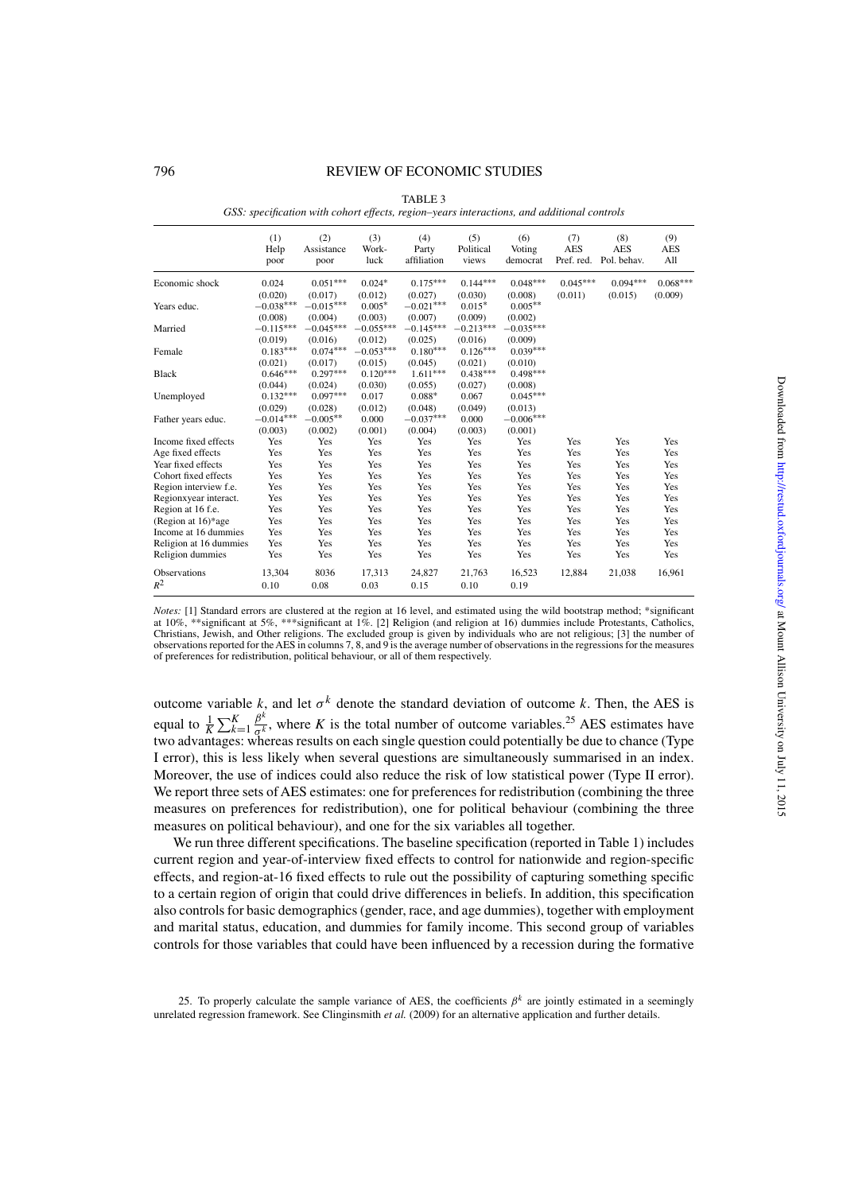|                                                | (1)<br>Help<br>poor               | (2)<br>Assistance<br>poor         | (3)<br>Work-<br>luck              | (4)<br>Party<br>affiliation       | (5)<br>Political<br>views         | (6)<br>Voting<br>democrat         | (7)<br><b>AES</b><br>Pref. red. | (8)<br><b>AES</b><br>Pol. behav. | (9)<br><b>AES</b><br>A11 |
|------------------------------------------------|-----------------------------------|-----------------------------------|-----------------------------------|-----------------------------------|-----------------------------------|-----------------------------------|---------------------------------|----------------------------------|--------------------------|
| Economic shock                                 | 0.024                             | $0.051***$                        | $0.024*$                          | $0.175***$                        | $0.144***$                        | $0.048***$                        | $0.045***$                      | $0.094***$                       | $0.068***$               |
| Years educ.                                    | (0.020)<br>$-0.038***$            | (0.017)<br>$-0.015***$            | (0.012)<br>$0.005*$               | (0.027)<br>$-0.021***$            | (0.030)<br>$0.015*$               | (0.008)<br>$0.005**$              | (0.011)                         | (0.015)                          | (0.009)                  |
| Married                                        | (0.008)<br>$-0.115***$<br>(0.019) | (0.004)<br>$-0.045***$<br>(0.016) | (0.003)<br>$-0.055***$<br>(0.012) | (0.007)<br>$-0.145***$<br>(0.025) | (0.009)<br>$-0.213***$<br>(0.016) | (0.002)<br>$-0.035***$<br>(0.009) |                                 |                                  |                          |
| Female                                         | $0.183***$<br>(0.021)             | $0.074***$<br>(0.017)             | $-0.053***$<br>(0.015)            | $0.180***$<br>(0.045)             | $0.126***$<br>(0.021)             | $0.039***$<br>(0.010)             |                                 |                                  |                          |
| <b>Black</b>                                   | $0.646***$<br>(0.044)             | $0.297***$<br>(0.024)             | $0.120***$<br>(0.030)             | $1.611***$<br>(0.055)             | $0.438***$<br>(0.027)             | $0.498***$<br>(0.008)             |                                 |                                  |                          |
| Unemployed                                     | $0.132***$<br>(0.029)             | $0.097***$<br>(0.028)             | 0.017<br>(0.012)                  | $0.088*$<br>(0.048)               | 0.067<br>(0.049)                  | $0.045***$<br>(0.013)             |                                 |                                  |                          |
| Father years educ.                             | $-0.014***$<br>(0.003)            | $-0.005**$<br>(0.002)             | 0.000<br>(0.001)                  | $-0.037***$<br>(0.004)            | 0.000<br>(0.003)                  | $-0.006***$<br>(0.001)            |                                 |                                  |                          |
| Income fixed effects<br>Age fixed effects      | Yes<br>Yes                        | Yes<br>Yes                        | Yes<br>Yes                        | Yes<br>Yes                        | Yes<br>Yes                        | Yes<br>Yes                        | Yes<br>Yes                      | Yes<br>Yes                       | Yes<br>Yes               |
| Year fixed effects<br>Cohort fixed effects     | Yes<br>Yes                        | Yes<br>Yes                        | Yes<br>Yes                        | Yes<br>Yes                        | Yes<br>Yes                        | Yes<br>Yes                        | Yes<br>Yes                      | Yes<br>Yes                       | Yes<br>Yes               |
| Region interview f.e.<br>Regionxyear interact. | Yes<br>Yes                        | Yes<br>Yes                        | Yes<br>Yes                        | Yes<br>Yes                        | Yes<br>Yes                        | Yes<br>Yes                        | Yes<br>Yes                      | Yes<br>Yes                       | Yes<br>Yes               |
| Region at 16 f.e.<br>(Region at $16$ )*age     | Yes<br>Yes                        | Yes<br>Yes                        | Yes<br>Yes                        | Yes<br>Yes                        | Yes<br>Yes                        | Yes<br>Yes                        | Yes<br>Yes                      | Yes<br>Yes                       | Yes<br>Yes               |
| Income at 16 dummies<br>Religion at 16 dummies | Yes<br>Yes                        | Yes<br>Yes                        | Yes<br>Yes                        | Yes<br>Yes                        | Yes<br>Yes                        | Yes<br>Yes                        | Yes<br>Yes                      | Yes<br>Yes                       | Yes<br>Yes               |
| Religion dummies                               | Yes                               | Yes                               | Yes                               | Yes                               | Yes                               | Yes                               | Yes                             | Yes                              | Yes                      |
| Observations<br>$R^2$                          | 13,304<br>0.10                    | 8036<br>0.08                      | 17,313<br>0.03                    | 24,827<br>0.15                    | 21,763<br>0.10                    | 16,523<br>0.19                    | 12,884                          | 21,038                           | 16,961                   |

TABLE 3 *GSS: specification with cohort effects, region–years interactions, and additional controls*

*Notes:* [1] Standard errors are clustered at the region at 16 level, and estimated using the wild bootstrap method; \*significant at 10%, \*\*significant at 5%, \*\*\*significant at 1%. [2] Religion (and religion at 16) dummies include Protestants, Catholics, Christians, Jewish, and Other religions. The excluded group is given by individuals who are not religious; [3] the number of observations reported for the AES in columns 7, 8, and 9 is the average number of observations in the regressions for the measures of preferences for redistribution, political behaviour, or all of them respectively.

outcome variable k, and let  $\sigma^k$  denote the standard deviation of outcome k. Then, the AES is equal to  $\frac{1}{K} \sum_{k=1}^{K} \frac{\beta^k}{\sigma^k}$  $\frac{\beta^k}{\sigma^k}$ , where *K* is the total number of outcome variables.<sup>25</sup> AES estimates have two advantages: whereas results on each single question could potentially be due to chance (Type I error), this is less likely when several questions are simultaneously summarised in an index. Moreover, the use of indices could also reduce the risk of low statistical power (Type II error). We report three sets of AES estimates: one for preferences for redistribution (combining the three measures on preferences for redistribution), one for political behaviour (combining the three measures on political behaviour), and one for the six variables all together.

We run three different specifications. The baseline specification (reported in Table 1) includes current region and year-of-interview fixed effects to control for nationwide and region-specific effects, and region-at-16 fixed effects to rule out the possibility of capturing something specific to a certain region of origin that could drive differences in beliefs. In addition, this specification also controls for basic demographics (gender, race, and age dummies), together with employment and marital status, education, and dummies for family income. This second group of variables controls for those variables that could have been influenced by a recession during the formative

25. To properly calculate the sample variance of AES, the coefficients  $\beta^k$  are jointly estimated in a seemingly unrelated regression framework. See Clinginsmith *et al.* (2009) for an alternative application and further details.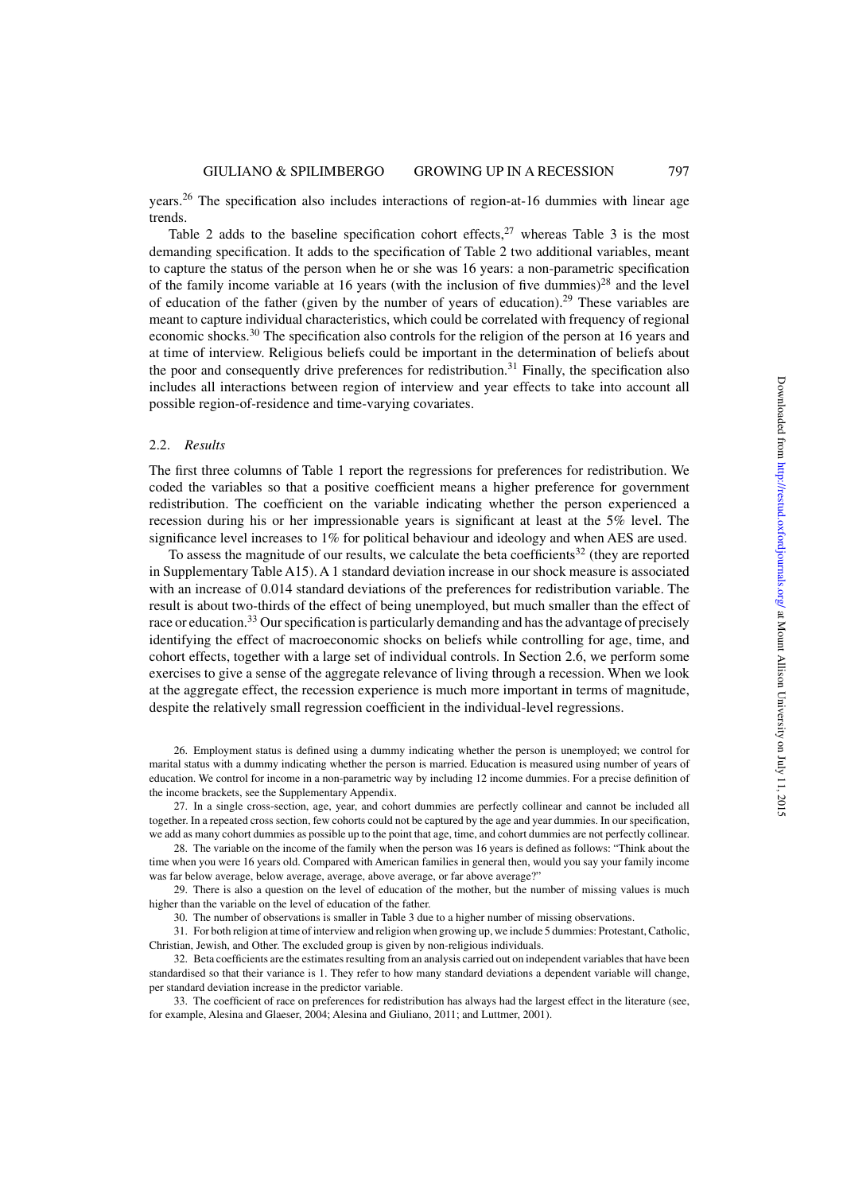years.<sup>26</sup> The specification also includes interactions of region-at-16 dummies with linear age trends.

Table 2 adds to the baseline specification cohort effects,  $2^7$  whereas Table 3 is the most demanding specification. It adds to the specification of Table 2 two additional variables, meant to capture the status of the person when he or she was 16 years: a non-parametric specification of the family income variable at 16 years (with the inclusion of five dummies)<sup>28</sup> and the level of education of the father (given by the number of years of education).<sup>29</sup> These variables are meant to capture individual characteristics, which could be correlated with frequency of regional economic shocks.<sup>30</sup> The specification also controls for the religion of the person at 16 years and at time of interview. Religious beliefs could be important in the determination of beliefs about the poor and consequently drive preferences for redistribution.<sup>31</sup> Finally, the specification also includes all interactions between region of interview and year effects to take into account all possible region-of-residence and time-varying covariates.

#### 2.2. *Results*

The first three columns of Table 1 report the regressions for preferences for redistribution. We coded the variables so that a positive coefficient means a higher preference for government redistribution. The coefficient on the variable indicating whether the person experienced a recession during his or her impressionable years is significant at least at the 5% level. The significance level increases to 1% for political behaviour and ideology and when AES are used.

To assess the magnitude of our results, we calculate the beta coefficients<sup>32</sup> (they are reported in Supplementary Table A15). A 1 standard deviation increase in our shock measure is associated with an increase of 0.014 standard deviations of the preferences for redistribution variable. The result is about two-thirds of the effect of being unemployed, but much smaller than the effect of race or education.<sup>33</sup> Our specification is particularly demanding and has the advantage of precisely identifying the effect of macroeconomic shocks on beliefs while controlling for age, time, and cohort effects, together with a large set of individual controls. In Section 2.6, we perform some exercises to give a sense of the aggregate relevance of living through a recession. When we look at the aggregate effect, the recession experience is much more important in terms of magnitude, despite the relatively small regression coefficient in the individual-level regressions.

26. Employment status is defined using a dummy indicating whether the person is unemployed; we control for marital status with a dummy indicating whether the person is married. Education is measured using number of years of education. We control for income in a non-parametric way by including 12 income dummies. For a precise definition of the income brackets, see the Supplementary Appendix.

27. In a single cross-section, age, year, and cohort dummies are perfectly collinear and cannot be included all together. In a repeated cross section, few cohorts could not be captured by the age and year dummies. In our specification, we add as many cohort dummies as possible up to the point that age, time, and cohort dummies are not perfectly collinear.

28. The variable on the income of the family when the person was 16 years is defined as follows: "Think about the time when you were 16 years old. Compared with American families in general then, would you say your family income was far below average, below average, average, above average, or far above average?"

29. There is also a question on the level of education of the mother, but the number of missing values is much higher than the variable on the level of education of the father.

30. The number of observations is smaller in Table 3 due to a higher number of missing observations.

31. For both religion at time of interview and religion when growing up, we include 5 dummies: Protestant, Catholic, Christian, Jewish, and Other. The excluded group is given by non-religious individuals.

32. Beta coefficients are the estimates resulting from an analysis carried out on independent variables that have been standardised so that their variance is 1. They refer to how many standard deviations a dependent variable will change, per standard deviation increase in the predictor variable.

33. The coefficient of race on preferences for redistribution has always had the largest effect in the literature (see, for example, Alesina and Glaeser, 2004; Alesina and Giuliano, 2011; and Luttmer, 2001).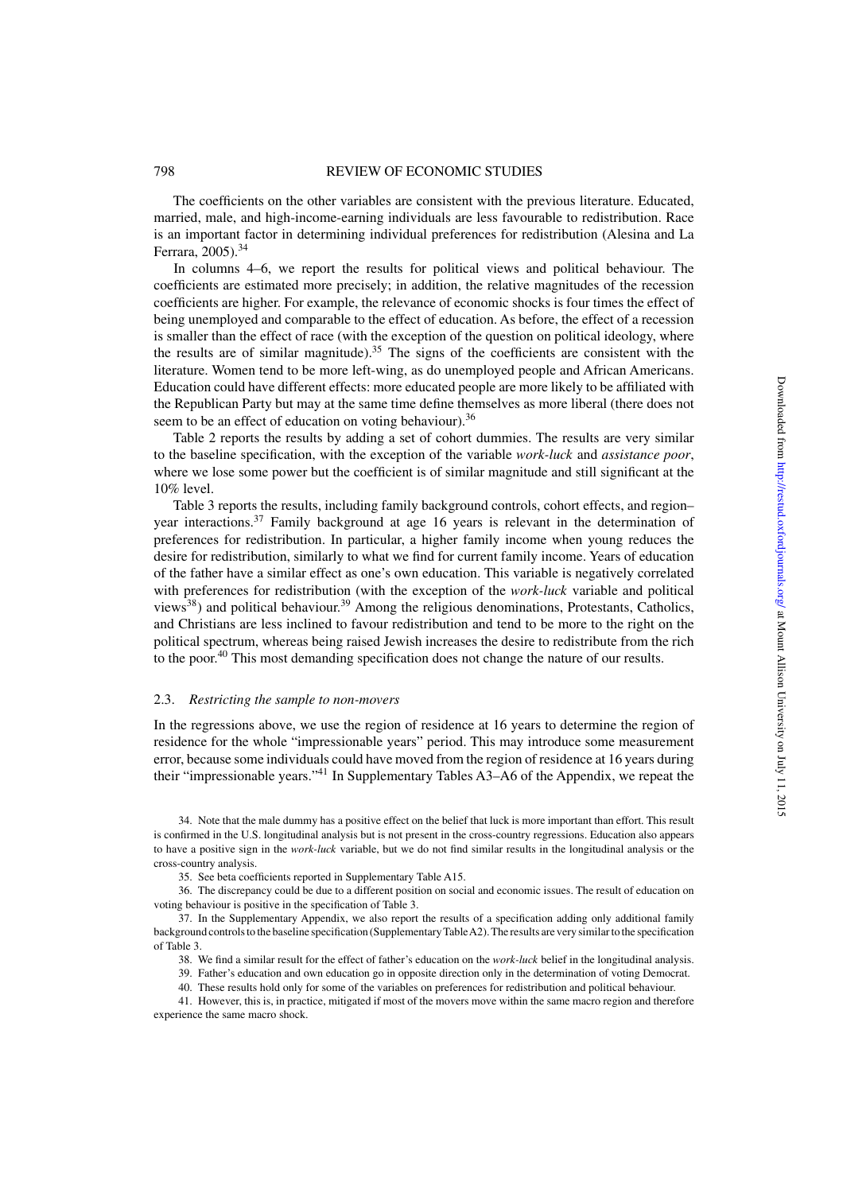The coefficients on the other variables are consistent with the previous literature. Educated, married, male, and high-income-earning individuals are less favourable to redistribution. Race is an important factor in determining individual preferences for redistribution (Alesina and La Ferrara, 2005).<sup>34</sup>

In columns 4–6, we report the results for political views and political behaviour. The coefficients are estimated more precisely; in addition, the relative magnitudes of the recession coefficients are higher. For example, the relevance of economic shocks is four times the effect of being unemployed and comparable to the effect of education. As before, the effect of a recession is smaller than the effect of race (with the exception of the question on political ideology, where the results are of similar magnitude).<sup>35</sup> The signs of the coefficients are consistent with the literature. Women tend to be more left-wing, as do unemployed people and African Americans. Education could have different effects: more educated people are more likely to be affiliated with the Republican Party but may at the same time define themselves as more liberal (there does not seem to be an effect of education on voting behaviour).<sup>36</sup>

Table 2 reports the results by adding a set of cohort dummies. The results are very similar to the baseline specification, with the exception of the variable *work-luck* and *assistance poor*, where we lose some power but the coefficient is of similar magnitude and still significant at the 10% level.

Table 3 reports the results, including family background controls, cohort effects, and region– year interactions.<sup>37</sup> Family background at age 16 years is relevant in the determination of preferences for redistribution. In particular, a higher family income when young reduces the desire for redistribution, similarly to what we find for current family income. Years of education of the father have a similar effect as one's own education. This variable is negatively correlated with preferences for redistribution (with the exception of the *work-luck* variable and political views<sup>38</sup>) and political behaviour.<sup>39</sup> Among the religious denominations, Protestants, Catholics, and Christians are less inclined to favour redistribution and tend to be more to the right on the political spectrum, whereas being raised Jewish increases the desire to redistribute from the rich to the poor.<sup>40</sup> This most demanding specification does not change the nature of our results.

#### 2.3. *Restricting the sample to non-movers*

In the regressions above, we use the region of residence at 16 years to determine the region of residence for the whole "impressionable years" period. This may introduce some measurement error, because some individuals could have moved from the region of residence at 16 years during their "impressionable years."<sup>41</sup> In Supplementary Tables A3–A6 of the Appendix, we repeat the

34. Note that the male dummy has a positive effect on the belief that luck is more important than effort. This result is confirmed in the U.S. longitudinal analysis but is not present in the cross-country regressions. Education also appears to have a positive sign in the *work-luck* variable, but we do not find similar results in the longitudinal analysis or the cross-country analysis.

35. See beta coefficients reported in Supplementary Table A15.

36. The discrepancy could be due to a different position on social and economic issues. The result of education on voting behaviour is positive in the specification of Table 3.

37. In the Supplementary Appendix, we also report the results of a specification adding only additional family background controls to the baseline specification (Supplementary Table A2). The results are very similar to the specification of Table 3.

- 38. We find a similar result for the effect of father's education on the *work-luck* belief in the longitudinal analysis.
- 39. Father's education and own education go in opposite direction only in the determination of voting Democrat.

40. These results hold only for some of the variables on preferences for redistribution and political behaviour.

41. However, this is, in practice, mitigated if most of the movers move within the same macro region and therefore experience the same macro shock.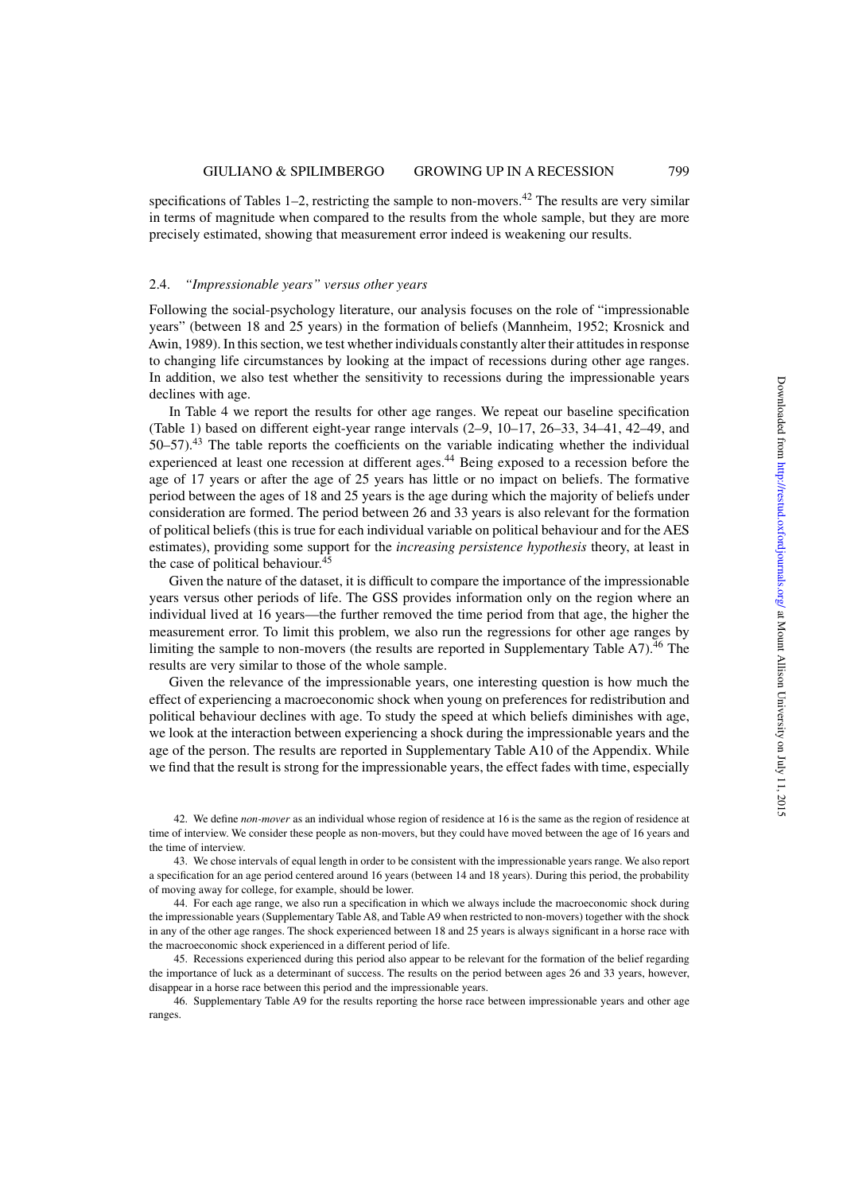specifications of Tables 1–2, restricting the sample to non-movers.<sup>42</sup> The results are very similar in terms of magnitude when compared to the results from the whole sample, but they are more precisely estimated, showing that measurement error indeed is weakening our results.

# 2.4. *"Impressionable years" versus other years*

Following the social-psychology literature, our analysis focuses on the role of "impressionable years" (between 18 and 25 years) in the formation of beliefs (Mannheim, 1952; Krosnick and Awin, 1989). In this section, we test whether individuals constantly alter their attitudes in response to changing life circumstances by looking at the impact of recessions during other age ranges. In addition, we also test whether the sensitivity to recessions during the impressionable years declines with age.

In Table 4 we report the results for other age ranges. We repeat our baseline specification (Table 1) based on different eight-year range intervals (2–9, 10–17, 26–33, 34–41, 42–49, and 50–57).<sup>43</sup> The table reports the coefficients on the variable indicating whether the individual experienced at least one recession at different ages.<sup>44</sup> Being exposed to a recession before the age of 17 years or after the age of 25 years has little or no impact on beliefs. The formative period between the ages of 18 and 25 years is the age during which the majority of beliefs under consideration are formed. The period between 26 and 33 years is also relevant for the formation of political beliefs (this is true for each individual variable on political behaviour and for the AES estimates), providing some support for the *increasing persistence hypothesis* theory, at least in the case of political behaviour.<sup>45</sup>

Given the nature of the dataset, it is difficult to compare the importance of the impressionable years versus other periods of life. The GSS provides information only on the region where an individual lived at 16 years—the further removed the time period from that age, the higher the measurement error. To limit this problem, we also run the regressions for other age ranges by limiting the sample to non-movers (the results are reported in Supplementary Table A7).<sup>46</sup> The results are very similar to those of the whole sample.

Given the relevance of the impressionable years, one interesting question is how much the effect of experiencing a macroeconomic shock when young on preferences for redistribution and political behaviour declines with age. To study the speed at which beliefs diminishes with age, we look at the interaction between experiencing a shock during the impressionable years and the age of the person. The results are reported in Supplementary Table A10 of the Appendix. While we find that the result is strong for the impressionable years, the effect fades with time, especially

42. We define *non-mover* as an individual whose region of residence at 16 is the same as the region of residence at time of interview. We consider these people as non-movers, but they could have moved between the age of 16 years and the time of interview.

43. We chose intervals of equal length in order to be consistent with the impressionable years range. We also report a specification for an age period centered around 16 years (between 14 and 18 years). During this period, the probability of moving away for college, for example, should be lower.

44. For each age range, we also run a specification in which we always include the macroeconomic shock during the impressionable years (Supplementary Table A8, and Table A9 when restricted to non-movers) together with the shock in any of the other age ranges. The shock experienced between 18 and 25 years is always significant in a horse race with the macroeconomic shock experienced in a different period of life.

45. Recessions experienced during this period also appear to be relevant for the formation of the belief regarding the importance of luck as a determinant of success. The results on the period between ages 26 and 33 years, however, disappear in a horse race between this period and the impressionable years.

46. Supplementary Table A9 for the results reporting the horse race between impressionable years and other age ranges.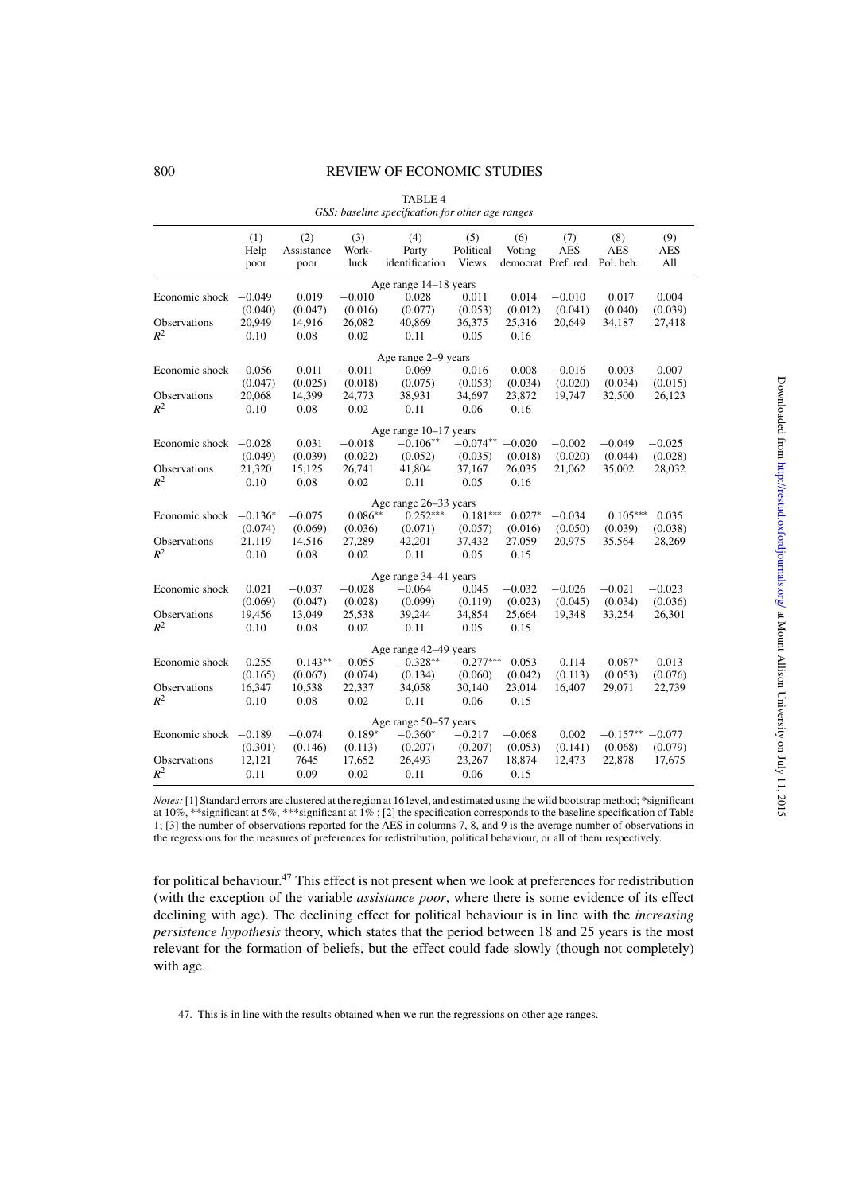|                          | (1)<br>Help<br>poor | (2)<br>Assistance<br>poor | (3)<br>Work-<br>luck | (4)<br>Party<br>identification | (5)<br>Political<br><b>Views</b> | (6)<br>Voting | (7)<br><b>AES</b><br>democrat Pref. red. Pol. beh. | (8)<br><b>AES</b> | (9)<br><b>AES</b><br>All |
|--------------------------|---------------------|---------------------------|----------------------|--------------------------------|----------------------------------|---------------|----------------------------------------------------|-------------------|--------------------------|
|                          |                     |                           |                      | Age range 14–18 years          |                                  |               |                                                    |                   |                          |
| Economic shock $-0.049$  |                     | 0.019                     | $-0.010$             | 0.028                          | 0.011                            | 0.014         | $-0.010$                                           | 0.017             | 0.004                    |
|                          | (0.040)             | (0.047)                   | (0.016)              | (0.077)                        | (0.053)                          | (0.012)       | (0.041)                                            | (0.040)           | (0.039)                  |
| <b>Observations</b>      | 20,949              | 14,916                    | 26,082               | 40,869                         | 36,375                           | 25,316        | 20.649                                             | 34,187            | 27,418                   |
| $R^2$                    | 0.10                | 0.08                      | 0.02                 | 0.11                           | 0.05                             | 0.16          |                                                    |                   |                          |
|                          |                     |                           |                      | Age range 2–9 years            |                                  |               |                                                    |                   |                          |
| Economic shock           | $-0.056$            | 0.011                     | $-0.011$             | 0.069                          | $-0.016$                         | $-0.008$      | $-0.016$                                           | 0.003             | $-0.007$                 |
|                          | (0.047)             | (0.025)                   | (0.018)              | (0.075)                        | (0.053)                          | (0.034)       | (0.020)                                            | (0.034)           | (0.015)                  |
| Observations             | 20,068              | 14,399                    | 24,773               | 38,931                         | 34,697                           | 23,872        | 19,747                                             | 32,500            | 26,123                   |
| $R^2$                    | 0.10                | 0.08                      | 0.02                 | 0.11                           | 0.06                             | 0.16          |                                                    |                   |                          |
|                          |                     |                           |                      | Age range 10-17 years          |                                  |               |                                                    |                   |                          |
| Economic shock           | $-0.028$            | 0.031                     | $-0.018$             | $-0.106**$                     | $-0.074**$                       | $-0.020$      | $-0.002$                                           | $-0.049$          | $-0.025$                 |
|                          | (0.049)             | (0.039)                   | (0.022)              | (0.052)                        | (0.035)                          | (0.018)       | (0.020)                                            | (0.044)           | (0.028)                  |
| Observations             | 21,320              | 15,125                    | 26,741               | 41,804                         | 37,167                           | 26,035        | 21,062                                             | 35,002            | 28,032                   |
| $R^2$                    | 0.10                | 0.08                      | 0.02                 | 0.11                           | 0.05                             | 0.16          |                                                    |                   |                          |
|                          |                     |                           |                      | Age range 26–33 years          |                                  |               |                                                    |                   |                          |
| Economic shock $-0.136*$ |                     | $-0.075$                  | $0.086**$            | $0.252***$                     | $0.181***$                       | $0.027*$      | $-0.034$                                           | $0.105***$        | 0.035                    |
|                          | (0.074)             | (0.069)                   | (0.036)              | (0.071)                        | (0.057)                          | (0.016)       | (0.050)                                            | (0.039)           | (0.038)                  |
| Observations             | 21,119              | 14,516                    | 27,289               | 42,201                         | 37,432                           | 27,059        | 20,975                                             | 35,564            | 28,269                   |
| $R^2$                    | 0.10                | 0.08                      | 0.02                 | 0.11                           | 0.05                             | 0.15          |                                                    |                   |                          |
|                          |                     |                           |                      | Age range 34–41 years          |                                  |               |                                                    |                   |                          |
| Economic shock           | 0.021               | $-0.037$                  | $-0.028$             | $-0.064$                       | 0.045                            | $-0.032$      | $-0.026$                                           | $-0.021$          | $-0.023$                 |
|                          | (0.069)             | (0.047)                   | (0.028)              | (0.099)                        | (0.119)                          | (0.023)       | (0.045)                                            | (0.034)           | (0.036)                  |
| <b>Observations</b>      | 19,456              | 13,049                    | 25,538               | 39,244                         | 34,854                           | 25,664        | 19.348                                             | 33,254            | 26,301                   |
| $R^2$                    | 0.10                | 0.08                      | 0.02                 | 0.11                           | 0.05                             | 0.15          |                                                    |                   |                          |
| Age range 42–49 years    |                     |                           |                      |                                |                                  |               |                                                    |                   |                          |
| Economic shock           | 0.255               | $0.143**$                 | $-0.055$             | $-0.328**$                     | $-0.277***$                      | 0.053         | 0.114                                              | $-0.087*$         | 0.013                    |
|                          | (0.165)             | (0.067)                   | (0.074)              | (0.134)                        | (0.060)                          | (0.042)       | (0.113)                                            | (0.053)           | (0.076)                  |
| Observations             | 16,347              | 10,538                    | 22,337               | 34,058                         | 30,140                           | 23,014        | 16,407                                             | 29,071            | 22,739                   |
| $R^2$                    | 0.10                | 0.08                      | 0.02                 | 0.11                           | 0.06                             | 0.15          |                                                    |                   |                          |
|                          |                     |                           |                      | Age range 50–57 years          |                                  |               |                                                    |                   |                          |
| Economic shock           | $-0.189$            | $-0.074$                  | $0.189*$             | $-0.360*$                      | $-0.217$                         | $-0.068$      | 0.002                                              | $-0.157**$        | $-0.077$                 |
|                          | (0.301)             | (0.146)                   | (0.113)              | (0.207)                        | (0.207)                          | (0.053)       | (0.141)                                            | (0.068)           | (0.079)                  |
| Observations             | 12,121              | 7645                      | 17,652               | 26,493                         | 23,267                           | 18,874        | 12,473                                             | 22,878            | 17,675                   |
| $R^2$                    | 0.11                | 0.09                      | 0.02                 | 0.11                           | 0.06                             | 0.15          |                                                    |                   |                          |

TABLE 4 *GSS: baseline specification for other age ranges*

*Notes:* [1] Standard errors are clustered at the region at 16 level, and estimated using the wild bootstrap method; \*significant at 10%, \*\*significant at 5%, \*\*\*significant at 1%; [2] the specification corresponds to the baseline specification of Table 1; [3] the number of observations reported for the AES in columns 7, 8, and 9 is the average number of observations in the regressions for the measures of preferences for redistribution, political behaviour, or all of them respectively.

for political behaviour.<sup>47</sup> This effect is not present when we look at preferences for redistribution (with the exception of the variable *assistance poor*, where there is some evidence of its effect declining with age). The declining effect for political behaviour is in line with the *increasing persistence hypothesis* theory, which states that the period between 18 and 25 years is the most relevant for the formation of beliefs, but the effect could fade slowly (though not completely) with age.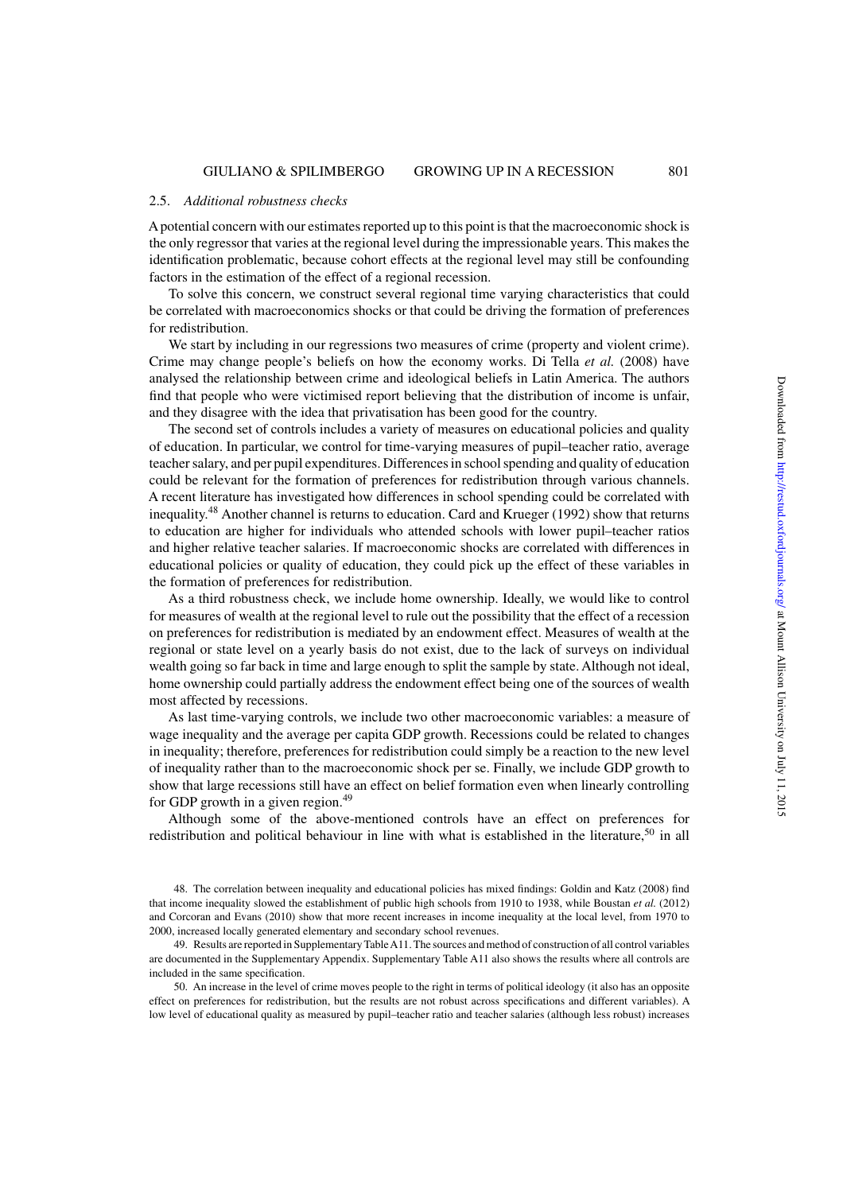#### 2.5. *Additional robustness checks*

A potential concern with our estimates reported up to this point is that the macroeconomic shock is the only regressor that varies at the regional level during the impressionable years. This makes the identification problematic, because cohort effects at the regional level may still be confounding factors in the estimation of the effect of a regional recession.

To solve this concern, we construct several regional time varying characteristics that could be correlated with macroeconomics shocks or that could be driving the formation of preferences for redistribution.

We start by including in our regressions two measures of crime (property and violent crime). Crime may change people's beliefs on how the economy works. Di Tella *et al.* (2008) have analysed the relationship between crime and ideological beliefs in Latin America. The authors find that people who were victimised report believing that the distribution of income is unfair, and they disagree with the idea that privatisation has been good for the country.

The second set of controls includes a variety of measures on educational policies and quality of education. In particular, we control for time-varying measures of pupil–teacher ratio, average teacher salary, and per pupil expenditures. Differences in school spending and quality of education could be relevant for the formation of preferences for redistribution through various channels. A recent literature has investigated how differences in school spending could be correlated with inequality.<sup>48</sup> Another channel is returns to education. Card and Krueger (1992) show that returns to education are higher for individuals who attended schools with lower pupil–teacher ratios and higher relative teacher salaries. If macroeconomic shocks are correlated with differences in educational policies or quality of education, they could pick up the effect of these variables in the formation of preferences for redistribution.

As a third robustness check, we include home ownership. Ideally, we would like to control for measures of wealth at the regional level to rule out the possibility that the effect of a recession on preferences for redistribution is mediated by an endowment effect. Measures of wealth at the regional or state level on a yearly basis do not exist, due to the lack of surveys on individual wealth going so far back in time and large enough to split the sample by state. Although not ideal, home ownership could partially address the endowment effect being one of the sources of wealth most affected by recessions.

As last time-varying controls, we include two other macroeconomic variables: a measure of wage inequality and the average per capita GDP growth. Recessions could be related to changes in inequality; therefore, preferences for redistribution could simply be a reaction to the new level of inequality rather than to the macroeconomic shock per se. Finally, we include GDP growth to show that large recessions still have an effect on belief formation even when linearly controlling for GDP growth in a given region.<sup>49</sup>

Although some of the above-mentioned controls have an effect on preferences for redistribution and political behaviour in line with what is established in the literature,<sup>50</sup> in all

50. An increase in the level of crime moves people to the right in terms of political ideology (it also has an opposite effect on preferences for redistribution, but the results are not robust across specifications and different variables). A low level of educational quality as measured by pupil–teacher ratio and teacher salaries (although less robust) increases

<sup>48.</sup> The correlation between inequality and educational policies has mixed findings: Goldin and Katz (2008) find that income inequality slowed the establishment of public high schools from 1910 to 1938, while Boustan *et al.* (2012) and Corcoran and Evans (2010) show that more recent increases in income inequality at the local level, from 1970 to 2000, increased locally generated elementary and secondary school revenues.

<sup>49.</sup> Results are reported in Supplementary TableA11. The sources and method of construction of all control variables are documented in the Supplementary Appendix. Supplementary Table A11 also shows the results where all controls are included in the same specification.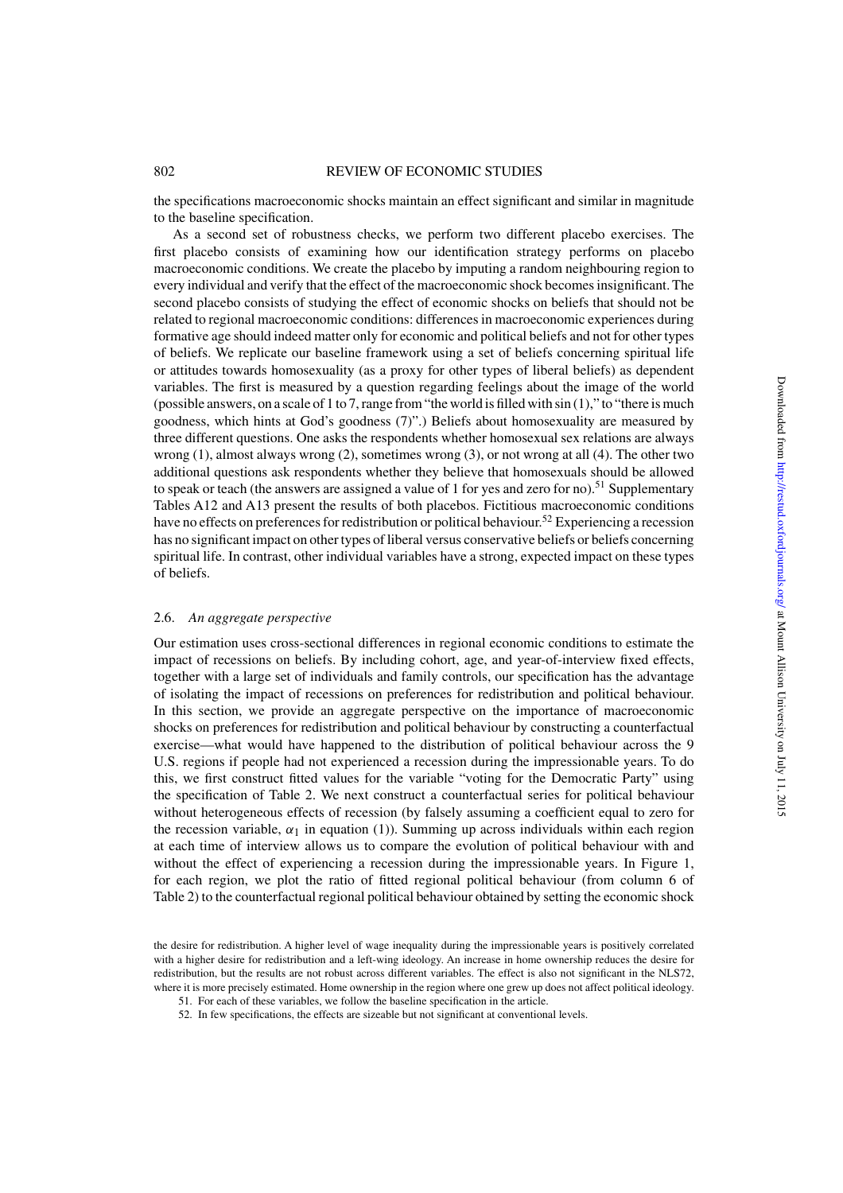the specifications macroeconomic shocks maintain an effect significant and similar in magnitude to the baseline specification.

As a second set of robustness checks, we perform two different placebo exercises. The first placebo consists of examining how our identification strategy performs on placebo macroeconomic conditions. We create the placebo by imputing a random neighbouring region to every individual and verify that the effect of the macroeconomic shock becomes insignificant. The second placebo consists of studying the effect of economic shocks on beliefs that should not be related to regional macroeconomic conditions: differences in macroeconomic experiences during formative age should indeed matter only for economic and political beliefs and not for other types of beliefs. We replicate our baseline framework using a set of beliefs concerning spiritual life or attitudes towards homosexuality (as a proxy for other types of liberal beliefs) as dependent variables. The first is measured by a question regarding feelings about the image of the world (possible answers, on a scale of 1 to 7, range from "the world is filled with sin (1)," to "there is much goodness, which hints at God's goodness (7)".) Beliefs about homosexuality are measured by three different questions. One asks the respondents whether homosexual sex relations are always wrong  $(1)$ , almost always wrong  $(2)$ , sometimes wrong  $(3)$ , or not wrong at all  $(4)$ . The other two additional questions ask respondents whether they believe that homosexuals should be allowed to speak or teach (the answers are assigned a value of 1 for yes and zero for no).<sup>51</sup> Supplementary Tables A12 and A13 present the results of both placebos. Fictitious macroeconomic conditions have no effects on preferences for redistribution or political behaviour.<sup>52</sup> Experiencing a recession has no significant impact on other types of liberal versus conservative beliefs or beliefs concerning spiritual life. In contrast, other individual variables have a strong, expected impact on these types of beliefs.

#### 2.6. *An aggregate perspective*

Our estimation uses cross-sectional differences in regional economic conditions to estimate the impact of recessions on beliefs. By including cohort, age, and year-of-interview fixed effects, together with a large set of individuals and family controls, our specification has the advantage of isolating the impact of recessions on preferences for redistribution and political behaviour. In this section, we provide an aggregate perspective on the importance of macroeconomic shocks on preferences for redistribution and political behaviour by constructing a counterfactual exercise—what would have happened to the distribution of political behaviour across the 9 U.S. regions if people had not experienced a recession during the impressionable years. To do this, we first construct fitted values for the variable "voting for the Democratic Party" using the specification of Table 2. We next construct a counterfactual series for political behaviour without heterogeneous effects of recession (by falsely assuming a coefficient equal to zero for the recession variable,  $\alpha_1$  in equation (1)). Summing up across individuals within each region at each time of interview allows us to compare the evolution of political behaviour with and without the effect of experiencing a recession during the impressionable years. In Figure 1, for each region, we plot the ratio of fitted regional political behaviour (from column 6 of Table 2) to the counterfactual regional political behaviour obtained by setting the economic shock

the desire for redistribution. A higher level of wage inequality during the impressionable years is positively correlated with a higher desire for redistribution and a left-wing ideology. An increase in home ownership reduces the desire for redistribution, but the results are not robust across different variables. The effect is also not significant in the NLS72, where it is more precisely estimated. Home ownership in the region where one grew up does not affect political ideology.

51. For each of these variables, we follow the baseline specification in the article.

52. In few specifications, the effects are sizeable but not significant at conventional levels.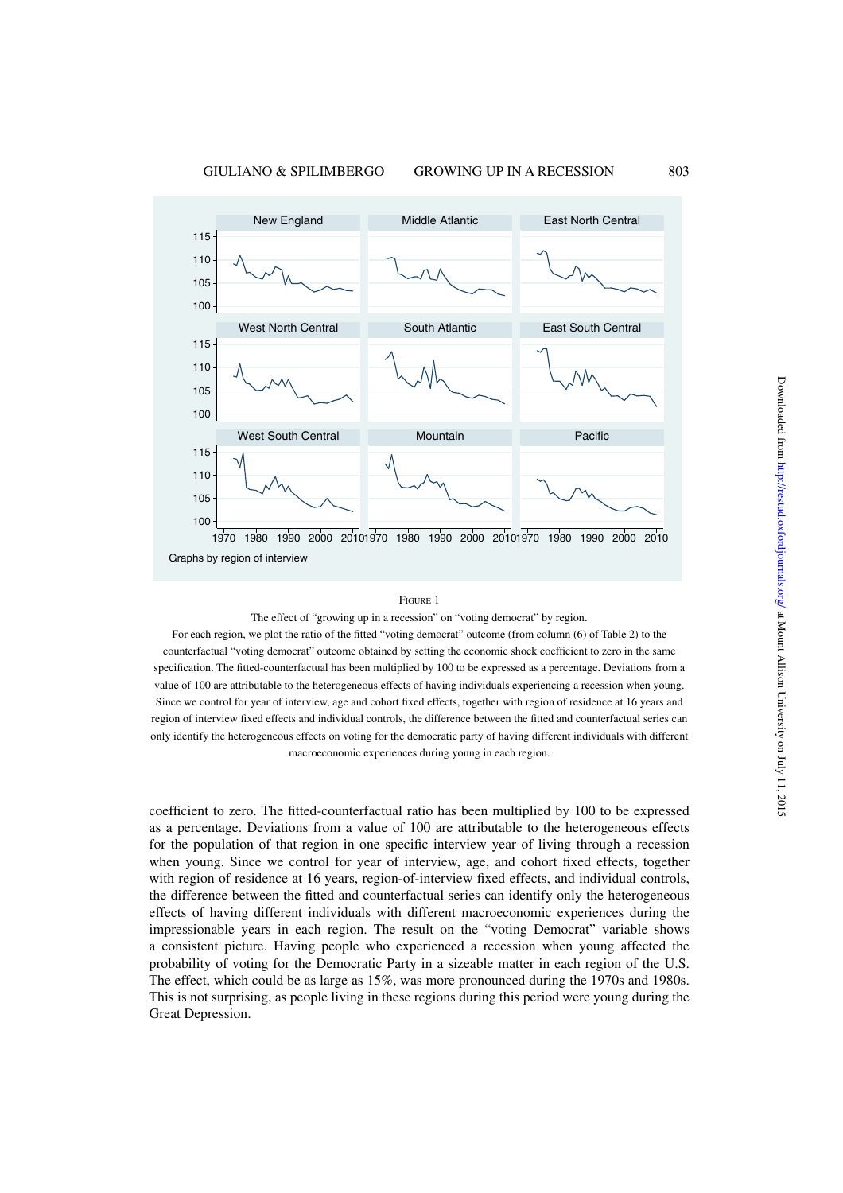

#### Figure 1

The effect of "growing up in a recession" on "voting democrat" by region.

For each region, we plot the ratio of the fitted "voting democrat" outcome (from column (6) of Table 2) to the counterfactual "voting democrat" outcome obtained by setting the economic shock coefficient to zero in the same specification. The fitted-counterfactual has been multiplied by 100 to be expressed as a percentage. Deviations from a value of 100 are attributable to the heterogeneous effects of having individuals experiencing a recession when young. Since we control for year of interview, age and cohort fixed effects, together with region of residence at 16 years and region of interview fixed effects and individual controls, the difference between the fitted and counterfactual series can only identify the heterogeneous effects on voting for the democratic party of having different individuals with different macroeconomic experiences during young in each region.

coefficient to zero. The fitted-counterfactual ratio has been multiplied by 100 to be expressed as a percentage. Deviations from a value of 100 are attributable to the heterogeneous effects for the population of that region in one specific interview year of living through a recession when young. Since we control for year of interview, age, and cohort fixed effects, together with region of residence at 16 years, region-of-interview fixed effects, and individual controls, the difference between the fitted and counterfactual series can identify only the heterogeneous effects of having different individuals with different macroeconomic experiences during the impressionable years in each region. The result on the "voting Democrat" variable shows a consistent picture. Having people who experienced a recession when young affected the probability of voting for the Democratic Party in a sizeable matter in each region of the U.S. The effect, which could be as large as 15%, was more pronounced during the 1970s and 1980s. This is not surprising, as people living in these regions during this period were young during the Great Depression.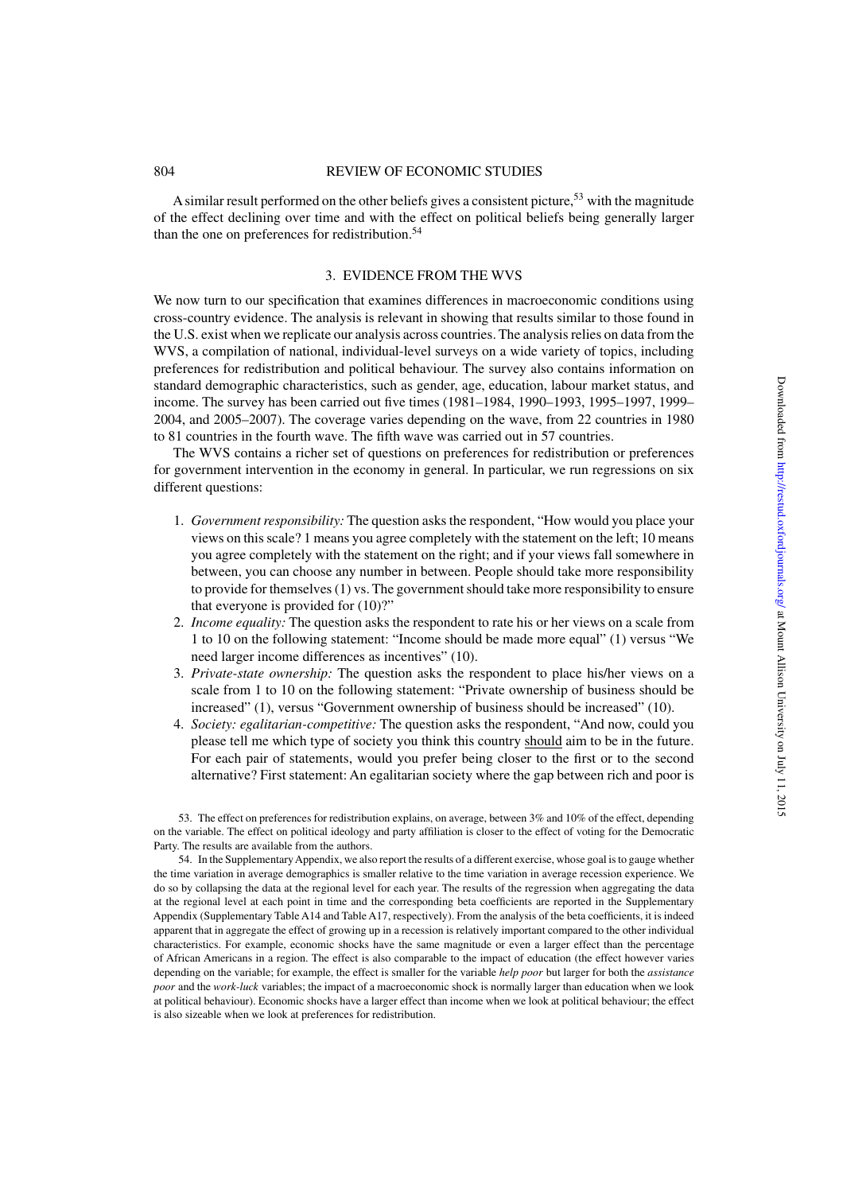A similar result performed on the other beliefs gives a consistent picture,<sup>53</sup> with the magnitude of the effect declining over time and with the effect on political beliefs being generally larger than the one on preferences for redistribution.<sup>54</sup>

#### 3. EVIDENCE FROM THE WVS

We now turn to our specification that examines differences in macroeconomic conditions using cross-country evidence. The analysis is relevant in showing that results similar to those found in the U.S. exist when we replicate our analysis across countries. The analysis relies on data from the WVS, a compilation of national, individual-level surveys on a wide variety of topics, including preferences for redistribution and political behaviour. The survey also contains information on standard demographic characteristics, such as gender, age, education, labour market status, and income. The survey has been carried out five times (1981–1984, 1990–1993, 1995–1997, 1999– 2004, and 2005–2007). The coverage varies depending on the wave, from 22 countries in 1980 to 81 countries in the fourth wave. The fifth wave was carried out in 57 countries.

The WVS contains a richer set of questions on preferences for redistribution or preferences for government intervention in the economy in general. In particular, we run regressions on six different questions:

- 1. *Government responsibility:* The question asks the respondent, "How would you place your views on this scale? 1 means you agree completely with the statement on the left; 10 means you agree completely with the statement on the right; and if your views fall somewhere in between, you can choose any number in between. People should take more responsibility to provide for themselves (1) vs. The government should take more responsibility to ensure that everyone is provided for (10)?"
- 2. *Income equality:* The question asks the respondent to rate his or her views on a scale from 1 to 10 on the following statement: "Income should be made more equal" (1) versus "We need larger income differences as incentives" (10).
- 3. *Private-state ownership:* The question asks the respondent to place his/her views on a scale from 1 to 10 on the following statement: "Private ownership of business should be increased" (1), versus "Government ownership of business should be increased" (10).
- 4. *Society: egalitarian-competitive:* The question asks the respondent, "And now, could you please tell me which type of society you think this country should aim to be in the future. For each pair of statements, would you prefer being closer to the first or to the second alternative? First statement: An egalitarian society where the gap between rich and poor is

53. The effect on preferences for redistribution explains, on average, between 3% and 10% of the effect, depending on the variable. The effect on political ideology and party affiliation is closer to the effect of voting for the Democratic Party. The results are available from the authors.

54. In the SupplementaryAppendix, we also report the results of a different exercise, whose goal is to gauge whether the time variation in average demographics is smaller relative to the time variation in average recession experience. We do so by collapsing the data at the regional level for each year. The results of the regression when aggregating the data at the regional level at each point in time and the corresponding beta coefficients are reported in the Supplementary Appendix (Supplementary Table A14 and Table A17, respectively). From the analysis of the beta coefficients, it is indeed apparent that in aggregate the effect of growing up in a recession is relatively important compared to the other individual characteristics. For example, economic shocks have the same magnitude or even a larger effect than the percentage of African Americans in a region. The effect is also comparable to the impact of education (the effect however varies depending on the variable; for example, the effect is smaller for the variable *help poor* but larger for both the *assistance poor* and the *work-luck* variables; the impact of a macroeconomic shock is normally larger than education when we look at political behaviour). Economic shocks have a larger effect than income when we look at political behaviour; the effect is also sizeable when we look at preferences for redistribution.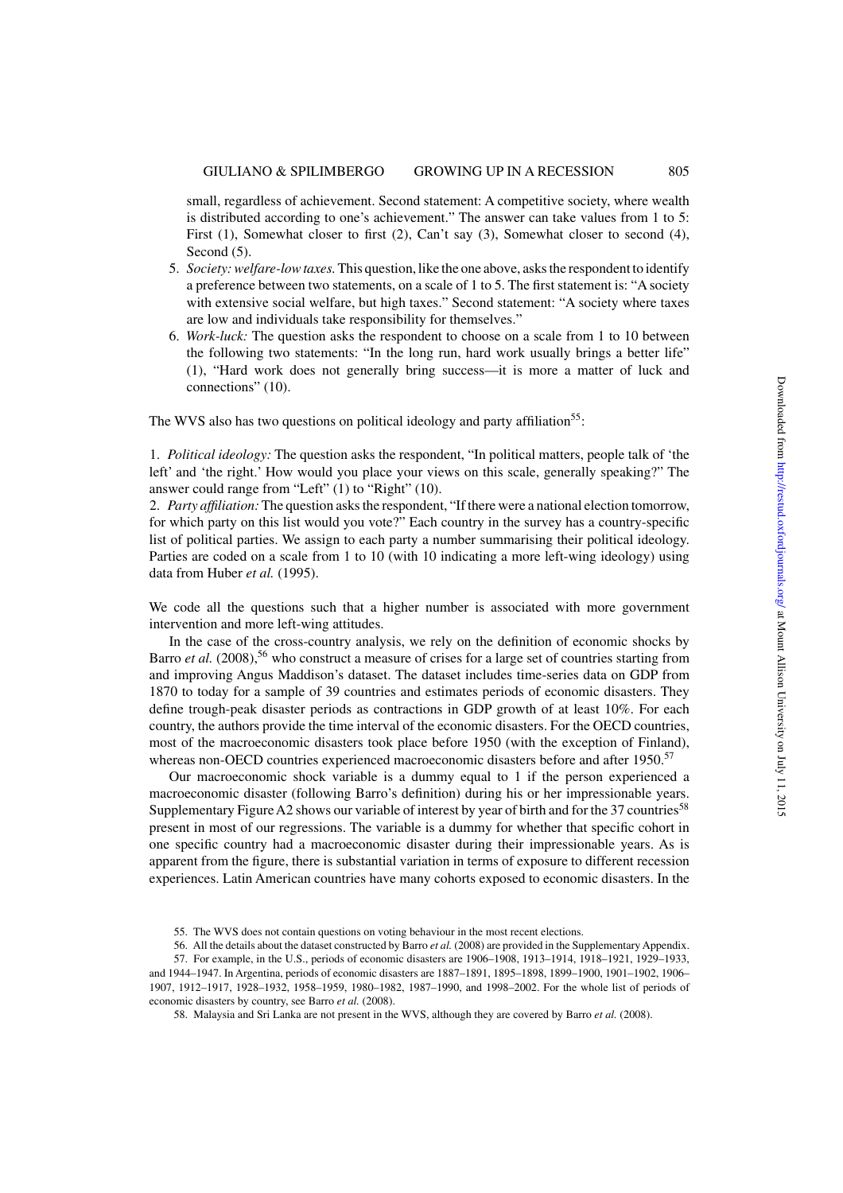small, regardless of achievement. Second statement: A competitive society, where wealth is distributed according to one's achievement." The answer can take values from 1 to 5: First (1), Somewhat closer to first (2), Can't say (3), Somewhat closer to second (4), Second  $(5)$ .

- 5. *Society: welfare-low taxes.*This question, like the one above, asks the respondent to identify a preference between two statements, on a scale of 1 to 5. The first statement is: "A society with extensive social welfare, but high taxes." Second statement: "A society where taxes are low and individuals take responsibility for themselves."
- 6. *Work-luck:* The question asks the respondent to choose on a scale from 1 to 10 between the following two statements: "In the long run, hard work usually brings a better life" (1), "Hard work does not generally bring success—it is more a matter of luck and connections" (10).

The WVS also has two questions on political ideology and party affiliation<sup>55</sup>:

1. *Political ideology:* The question asks the respondent, "In political matters, people talk of 'the left' and 'the right.' How would you place your views on this scale, generally speaking?" The answer could range from "Left" (1) to "Right" (10).

2. *Party affiliation:*The question asks the respondent, "If there were a national election tomorrow, for which party on this list would you vote?" Each country in the survey has a country-specific list of political parties. We assign to each party a number summarising their political ideology. Parties are coded on a scale from 1 to 10 (with 10 indicating a more left-wing ideology) using data from Huber *et al.* (1995).

We code all the questions such that a higher number is associated with more government intervention and more left-wing attitudes.

In the case of the cross-country analysis, we rely on the definition of economic shocks by Barro *et al.* (2008),<sup>56</sup> who construct a measure of crises for a large set of countries starting from and improving Angus Maddison's dataset. The dataset includes time-series data on GDP from 1870 to today for a sample of 39 countries and estimates periods of economic disasters. They define trough-peak disaster periods as contractions in GDP growth of at least 10%. For each country, the authors provide the time interval of the economic disasters. For the OECD countries, most of the macroeconomic disasters took place before 1950 (with the exception of Finland), whereas non-OECD countries experienced macroeconomic disasters before and after 1950.<sup>57</sup>

Our macroeconomic shock variable is a dummy equal to 1 if the person experienced a macroeconomic disaster (following Barro's definition) during his or her impressionable years. Supplementary Figure A2 shows our variable of interest by year of birth and for the 37 countries<sup>58</sup> present in most of our regressions. The variable is a dummy for whether that specific cohort in one specific country had a macroeconomic disaster during their impressionable years. As is apparent from the figure, there is substantial variation in terms of exposure to different recession experiences. Latin American countries have many cohorts exposed to economic disasters. In the

58. Malaysia and Sri Lanka are not present in the WVS, although they are covered by Barro *et al.* (2008).

<sup>55.</sup> The WVS does not contain questions on voting behaviour in the most recent elections.

<sup>56.</sup> All the details about the dataset constructed by Barro *et al.* (2008) are provided in the Supplementary Appendix.

<sup>57.</sup> For example, in the U.S., periods of economic disasters are 1906–1908, 1913–1914, 1918–1921, 1929–1933, and 1944–1947. In Argentina, periods of economic disasters are 1887–1891, 1895–1898, 1899–1900, 1901–1902, 1906– 1907, 1912–1917, 1928–1932, 1958–1959, 1980–1982, 1987–1990, and 1998–2002. For the whole list of periods of economic disasters by country, see Barro *et al.* (2008).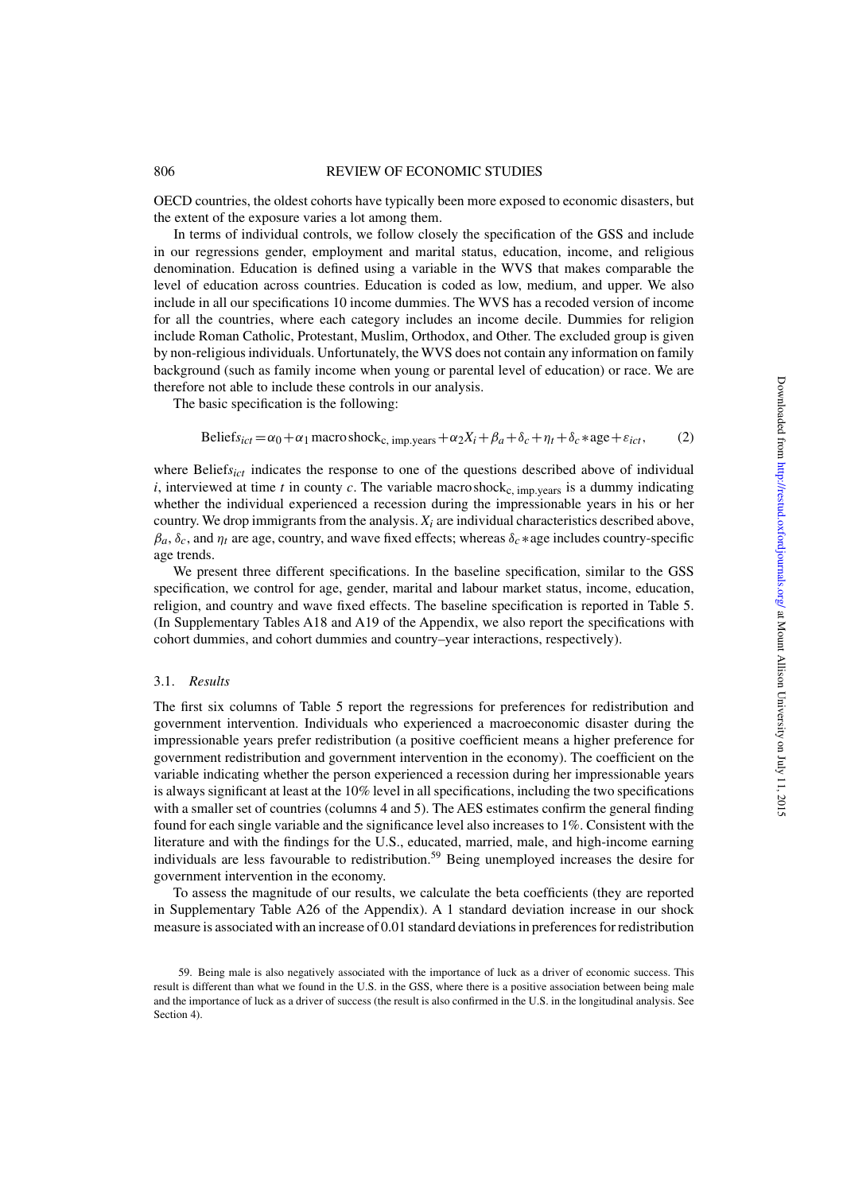OECD countries, the oldest cohorts have typically been more exposed to economic disasters, but the extent of the exposure varies a lot among them.

In terms of individual controls, we follow closely the specification of the GSS and include in our regressions gender, employment and marital status, education, income, and religious denomination. Education is defined using a variable in the WVS that makes comparable the level of education across countries. Education is coded as low, medium, and upper. We also include in all our specifications 10 income dummies. The WVS has a recoded version of income for all the countries, where each category includes an income decile. Dummies for religion include Roman Catholic, Protestant, Muslim, Orthodox, and Other. The excluded group is given by non-religious individuals. Unfortunately, the WVS does not contain any information on family background (such as family income when young or parental level of education) or race. We are therefore not able to include these controls in our analysis.

The basic specification is the following:

Belief
$$
s_{ict} = \alpha_0 + \alpha_1 \text{ macro shock}_{c, \text{imp.}years} + \alpha_2 X_i + \beta_a + \delta_c + \eta_t + \delta_c * \text{age} + \varepsilon_{ict},
$$
 (2)

where Belief*sict* indicates the response to one of the questions described above of individual *i*, interviewed at time *t* in county *c*. The variable macro shock<sub>c, imp</sub>, years is a dummy indicating whether the individual experienced a recession during the impressionable years in his or her country. We drop immigrants from the analysis.  $X_i$  are individual characteristics described above,  $\beta_a$ ,  $\delta_c$ , and  $\eta_t$  are age, country, and wave fixed effects; whereas  $\delta_c$  \* age includes country-specific age trends.

We present three different specifications. In the baseline specification, similar to the GSS specification, we control for age, gender, marital and labour market status, income, education, religion, and country and wave fixed effects. The baseline specification is reported in Table 5. (In Supplementary Tables A18 and A19 of the Appendix, we also report the specifications with cohort dummies, and cohort dummies and country–year interactions, respectively).

#### 3.1. *Results*

The first six columns of Table 5 report the regressions for preferences for redistribution and government intervention. Individuals who experienced a macroeconomic disaster during the impressionable years prefer redistribution (a positive coefficient means a higher preference for government redistribution and government intervention in the economy). The coefficient on the variable indicating whether the person experienced a recession during her impressionable years is always significant at least at the 10% level in all specifications, including the two specifications with a smaller set of countries (columns 4 and 5). The AES estimates confirm the general finding found for each single variable and the significance level also increases to 1%. Consistent with the literature and with the findings for the U.S., educated, married, male, and high-income earning individuals are less favourable to redistribution.<sup>59</sup> Being unemployed increases the desire for government intervention in the economy.

To assess the magnitude of our results, we calculate the beta coefficients (they are reported in Supplementary Table A26 of the Appendix). A 1 standard deviation increase in our shock measure is associated with an increase of 0.01 standard deviations in preferences for redistribution

<sup>59.</sup> Being male is also negatively associated with the importance of luck as a driver of economic success. This result is different than what we found in the U.S. in the GSS, where there is a positive association between being male and the importance of luck as a driver of success (the result is also confirmed in the U.S. in the longitudinal analysis. See Section 4).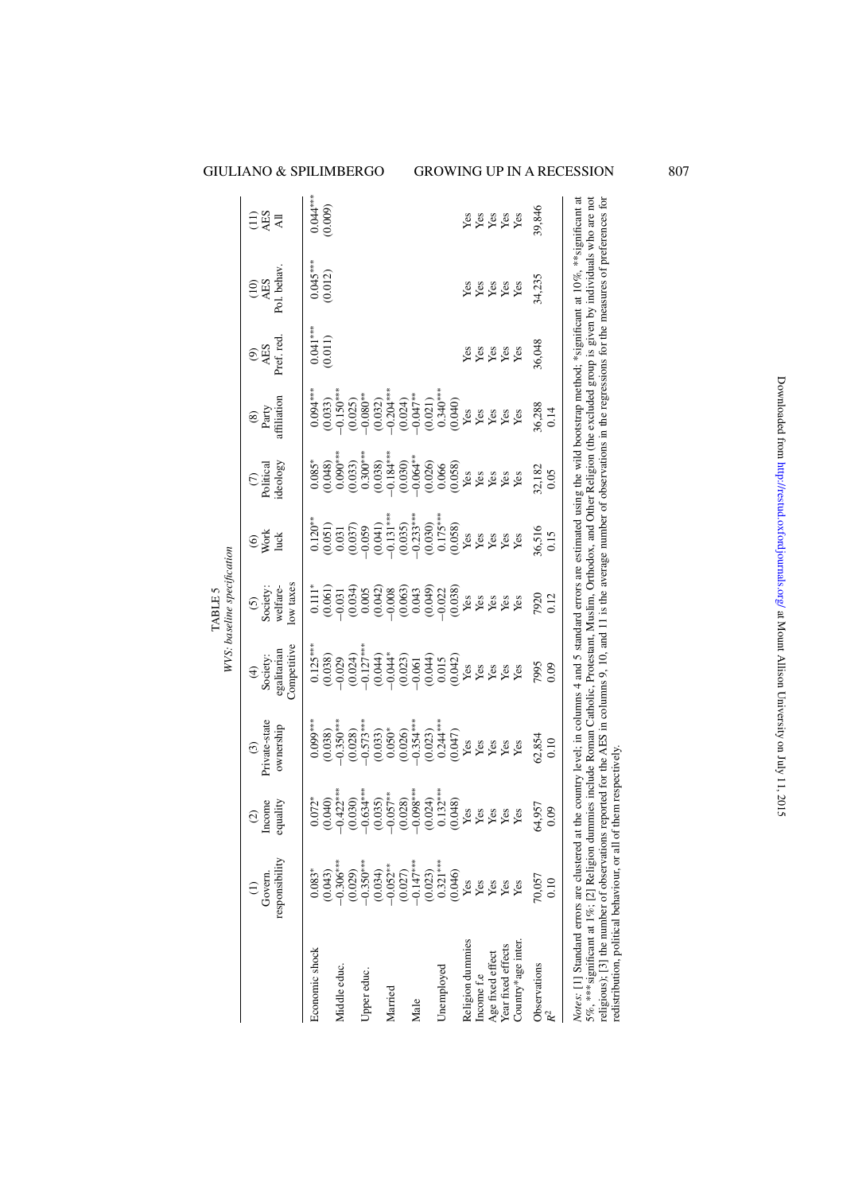|                                                                                                                                                                                                                                                                                                                                                                                                                                                                                                                                                                                                                                          |                                                                                       |                                         |                                             |                                                                  | WVS: baseline specification<br><b>TABLE 5</b>                                                                                                                                                                                                                                                                        |                                                                               |                                                                                                                                                                                                                                                                                                            |                                                                                                                                                                                                                                                                                                                                                                  |                        |                               |                       |
|------------------------------------------------------------------------------------------------------------------------------------------------------------------------------------------------------------------------------------------------------------------------------------------------------------------------------------------------------------------------------------------------------------------------------------------------------------------------------------------------------------------------------------------------------------------------------------------------------------------------------------------|---------------------------------------------------------------------------------------|-----------------------------------------|---------------------------------------------|------------------------------------------------------------------|----------------------------------------------------------------------------------------------------------------------------------------------------------------------------------------------------------------------------------------------------------------------------------------------------------------------|-------------------------------------------------------------------------------|------------------------------------------------------------------------------------------------------------------------------------------------------------------------------------------------------------------------------------------------------------------------------------------------------------|------------------------------------------------------------------------------------------------------------------------------------------------------------------------------------------------------------------------------------------------------------------------------------------------------------------------------------------------------------------|------------------------|-------------------------------|-----------------------|
|                                                                                                                                                                                                                                                                                                                                                                                                                                                                                                                                                                                                                                          | responsibility<br>Govern                                                              | equality<br>Income<br>$\widehat{\odot}$ | Private-state<br>ownership<br>$\odot$       | Competitive<br>egalitarian<br>Society<br>$\widehat{\mathcal{F}}$ | ow taxes<br>welfare-<br>Society:<br>$\odot$                                                                                                                                                                                                                                                                          | ©<br>≫rig<br>Luck                                                             | ideology<br>$\frac{(7)}{3}$                                                                                                                                                                                                                                                                                | affiliation<br>$\frac{(8)}{Party}$                                                                                                                                                                                                                                                                                                                               | Pref. red<br>AES<br>වි | Pol. behav<br>CO <sub>N</sub> | ≘ਖ਼ੁੜ                 |
| Economic shock                                                                                                                                                                                                                                                                                                                                                                                                                                                                                                                                                                                                                           | $0.083*$<br>(0.043)                                                                   | $.072*$<br>$(0 + 0)$                    | $0.099***$                                  | $0.125***$                                                       | $0.111*$                                                                                                                                                                                                                                                                                                             |                                                                               | $0.085*$                                                                                                                                                                                                                                                                                                   | $0.094***$                                                                                                                                                                                                                                                                                                                                                       | $0.041***$<br>(0.011)  | $0.045***$<br>(0.012)         | $0.044***$<br>(0.009) |
| Middle educ.                                                                                                                                                                                                                                                                                                                                                                                                                                                                                                                                                                                                                             | $-0.306***$<br>(0.029)                                                                | $.422***$<br>(30)<br>မ္မ                | $(0.038)$<br>$-0.350***$                    | $(0.038)$<br>-0.029<br>(0.024)                                   | (0.061)                                                                                                                                                                                                                                                                                                              | $0.120**$<br>$0.051)$<br>$0.031$<br>$0.037)$<br>$0.059$                       |                                                                                                                                                                                                                                                                                                            | $(0.033)$<br>$-0.150***$                                                                                                                                                                                                                                                                                                                                         |                        |                               |                       |
| Upper educ.                                                                                                                                                                                                                                                                                                                                                                                                                                                                                                                                                                                                                              | $-0.350***$<br>(0.034)<br>-0.052**                                                    | $.634***$<br>(35)<br><u>ededede</u> .   | $(0.028)$<br>$-0.573***$                    | $-0.127***$                                                      | $\begin{array}{l} (0.034) \\ 0.005 \\ 0.042) \\ (0.042) \\ (0.063) \\ (0.043) \\ (0.049) \\ (0.049) \\ (0.049) \\ (0.049) \\ (0.049) \\ (0.049) \\ (0.049) \\ (0.049) \\ (0.049) \\ (0.040) \\ (0.040) \\ (0.040) \\ (0.040) \\ (0.040) \\ (0.040) \\ (0.040) \\ (0.040) \\ (0.040) \\ (0.040) \\ (0.040) \\ (0.040$ |                                                                               | $\begin{array}{l} (0.048)\\ (0.090^{***}\\ (0.090^{***}\\ (0.033)\\ (0.030^{***}\\ (0.038)\\ (0.0038)\\ (0.004^{**}\\ (0.004)\\ (0.006)\\ (0.005)\\ (0.005)\\ (0.005)\\ (0.005)\\ (0.005)\\ (0.005)\\ (0.005)\\ (0.005)\\ (0.005)\\ (0.005)\\ (0.005)\\ (0.005)\\ (0.005)\\ (0.005)\\ (0.005)\\ (0.005)\\$ | $\begin{array}{l} (0.025)\\[-4pt] (-0.080^{*\!*} \\[-4pt] (-0.032) \\[-4pt] (-0.0124) \\[-4pt] (-0.014^{*\!*} \\[-4pt] (-0.014^{*\!*} \\[-4pt] (-0.011) \\[-4pt] (-0.014^{*\!*} \\[-4pt] (-0.014^{*\!*} \\[-4pt] (-0.014^{*\!*} \\[-4pt] (-0.014^{*\!*} \\[-4pt] (-0.014^{*\!*} \\[-4pt] (-0.014^{*\!*} \\[-4pt] (-0.014^{*\!*} \\[-4pt] (-0.014^{*\!*} \\[-4pt$ |                        |                               |                       |
| Married                                                                                                                                                                                                                                                                                                                                                                                                                                                                                                                                                                                                                                  |                                                                                       | $.057***$                               | $(0.033)$<br>0.050*<br>(0.026)<br>-0.354*** | $-0.044$ <sup>*</sup>                                            |                                                                                                                                                                                                                                                                                                                      | $(0.041)$<br>-0.131***<br>(0.035)<br>-0.233***                                |                                                                                                                                                                                                                                                                                                            |                                                                                                                                                                                                                                                                                                                                                                  |                        |                               |                       |
| Male                                                                                                                                                                                                                                                                                                                                                                                                                                                                                                                                                                                                                                     | $\begin{array}{c} (0.027) \\ -0.147*** \\ (0.023) \\ 0.321*** \\ (0.046) \end{array}$ | $0.098***$<br>.028)                     |                                             | $(0.023)$<br>-0.061                                              |                                                                                                                                                                                                                                                                                                                      |                                                                               |                                                                                                                                                                                                                                                                                                            |                                                                                                                                                                                                                                                                                                                                                                  |                        |                               |                       |
|                                                                                                                                                                                                                                                                                                                                                                                                                                                                                                                                                                                                                                          |                                                                                       | 024)                                    | $(0.023)$<br>0.244***<br>(0.047)<br>Yes     | (0.044)                                                          |                                                                                                                                                                                                                                                                                                                      | $\begin{array}{c} (0.030) \\ 0.175*** \\ (0.058) \\ \mathbf{Yes} \end{array}$ |                                                                                                                                                                                                                                                                                                            |                                                                                                                                                                                                                                                                                                                                                                  |                        |                               |                       |
| Unemployed                                                                                                                                                                                                                                                                                                                                                                                                                                                                                                                                                                                                                               |                                                                                       | $.132***$<br>(840)                      |                                             | 0.015<br>(0.042)                                                 | $-0.022$<br>$(0.038)$                                                                                                                                                                                                                                                                                                |                                                                               |                                                                                                                                                                                                                                                                                                            |                                                                                                                                                                                                                                                                                                                                                                  |                        |                               |                       |
| Religion dummies                                                                                                                                                                                                                                                                                                                                                                                                                                                                                                                                                                                                                         | Yes                                                                                   | <b>C<sub>S</sub></b>                    |                                             | Yes                                                              | Yes                                                                                                                                                                                                                                                                                                                  |                                                                               |                                                                                                                                                                                                                                                                                                            |                                                                                                                                                                                                                                                                                                                                                                  |                        | Yes                           | Yes                   |
| Income f.e                                                                                                                                                                                                                                                                                                                                                                                                                                                                                                                                                                                                                               | Yes                                                                                   | Yes<br>Yes                              | $_{\rm Yes}^{\rm Yes}$                      | $\mathbf{Yes}$                                                   | yes<br>Yes                                                                                                                                                                                                                                                                                                           | yes<br>Yes                                                                    | Yes<br>Yes                                                                                                                                                                                                                                                                                                 | $\mathop{\mathcal{E}\mathcal{S}}\limits_{{\mathbf{Y}}\mathcal{S}}$                                                                                                                                                                                                                                                                                               | ន័ត្ននិង               | yes<br>Yes                    | <b>SESS</b>           |
| Age fixed effect                                                                                                                                                                                                                                                                                                                                                                                                                                                                                                                                                                                                                         | Yes                                                                                   |                                         |                                             | $\mathbf{Yes}$                                                   |                                                                                                                                                                                                                                                                                                                      |                                                                               |                                                                                                                                                                                                                                                                                                            |                                                                                                                                                                                                                                                                                                                                                                  |                        |                               |                       |
| Year fixed effects                                                                                                                                                                                                                                                                                                                                                                                                                                                                                                                                                                                                                       | Yes                                                                                   | Yes                                     | Yes                                         | Yes                                                              | Yes                                                                                                                                                                                                                                                                                                                  |                                                                               | Yes                                                                                                                                                                                                                                                                                                        |                                                                                                                                                                                                                                                                                                                                                                  |                        |                               |                       |
| Country*age inter                                                                                                                                                                                                                                                                                                                                                                                                                                                                                                                                                                                                                        | Yes                                                                                   | Yes                                     | Yes                                         | Yes                                                              | Yes                                                                                                                                                                                                                                                                                                                  | Yes                                                                           | Yes                                                                                                                                                                                                                                                                                                        | Yes                                                                                                                                                                                                                                                                                                                                                              |                        | Yes                           |                       |
| Observations                                                                                                                                                                                                                                                                                                                                                                                                                                                                                                                                                                                                                             | 70,057                                                                                | 957<br>Q.                               | 62,854                                      | 7995                                                             | 7920                                                                                                                                                                                                                                                                                                                 | 36,516                                                                        | 32,182                                                                                                                                                                                                                                                                                                     | 36,288                                                                                                                                                                                                                                                                                                                                                           | 36,048                 | 34,235                        | 39,846                |
|                                                                                                                                                                                                                                                                                                                                                                                                                                                                                                                                                                                                                                          | 0.10                                                                                  | $^{00}$<br>$\circ$                      | 0.10                                        | 0.09                                                             | 0.12                                                                                                                                                                                                                                                                                                                 | 0.15                                                                          | 0.05                                                                                                                                                                                                                                                                                                       | 0.14                                                                                                                                                                                                                                                                                                                                                             |                        |                               |                       |
| 5%, *** significant at 1%; [2] Religion dummies include Roman Catholic, Protestant, Muslim, Orthodox, and Other Religion (the excluded group is given by individuals who are not<br>religious); [3] the number of observations reported for the AES in columns 9, 10, and 11 is the average number of observations in the regressions for the measures of preferences for<br>Notes: [1] Standard errors are clustered at the country level; in columns 4 and 5 standard errors are estimated using the wild bootstrap method; *significant at 10%, **significant at<br>redistribution, political behaviour, or all of them respectively, |                                                                                       |                                         |                                             |                                                                  |                                                                                                                                                                                                                                                                                                                      |                                                                               |                                                                                                                                                                                                                                                                                                            |                                                                                                                                                                                                                                                                                                                                                                  |                        |                               |                       |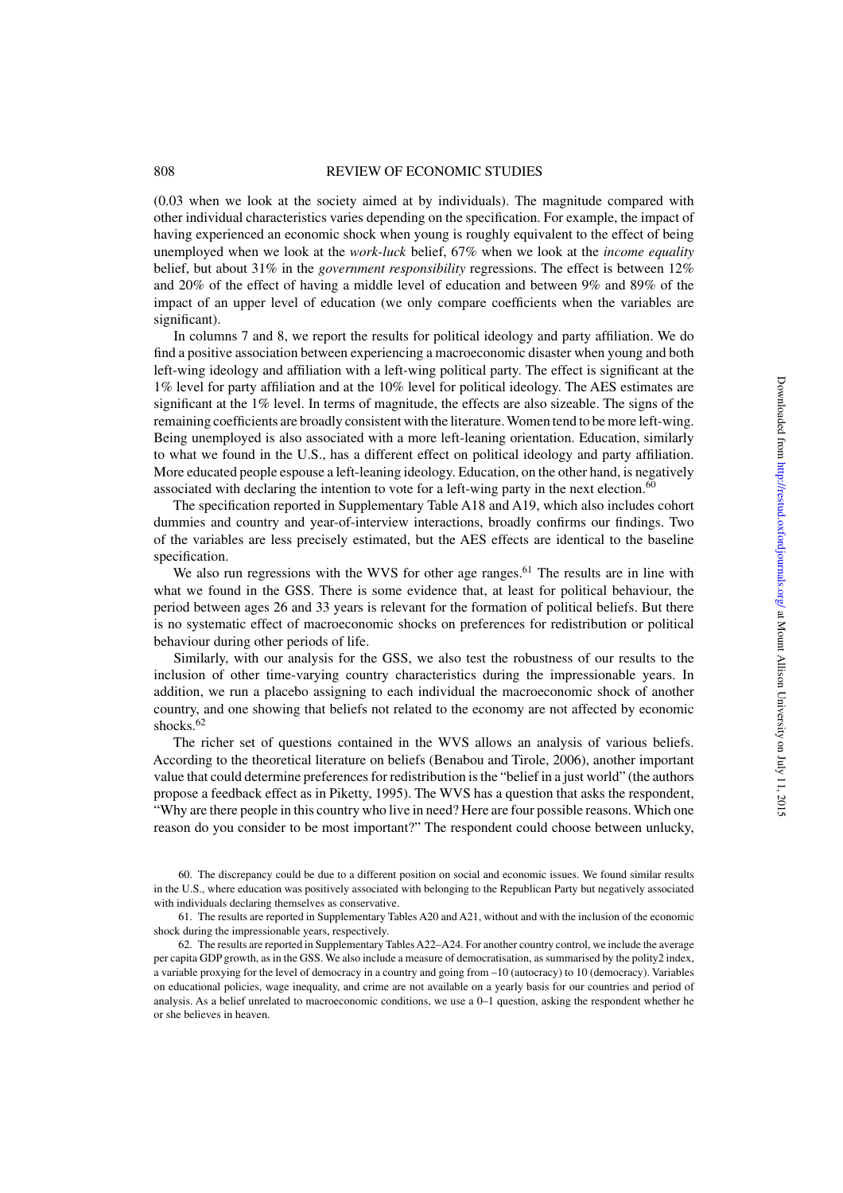(0.03 when we look at the society aimed at by individuals). The magnitude compared with other individual characteristics varies depending on the specification. For example, the impact of having experienced an economic shock when young is roughly equivalent to the effect of being unemployed when we look at the *work-luck* belief, 67% when we look at the *income equality* belief, but about 31% in the *government responsibility* regressions. The effect is between 12% and 20% of the effect of having a middle level of education and between 9% and 89% of the impact of an upper level of education (we only compare coefficients when the variables are significant).

In columns 7 and 8, we report the results for political ideology and party affiliation. We do find a positive association between experiencing a macroeconomic disaster when young and both left-wing ideology and affiliation with a left-wing political party. The effect is significant at the 1% level for party affiliation and at the 10% level for political ideology. The AES estimates are significant at the 1% level. In terms of magnitude, the effects are also sizeable. The signs of the remaining coefficients are broadly consistent with the literature.Women tend to be more left-wing. Being unemployed is also associated with a more left-leaning orientation. Education, similarly to what we found in the U.S., has a different effect on political ideology and party affiliation. More educated people espouse a left-leaning ideology. Education, on the other hand, is negatively associated with declaring the intention to vote for a left-wing party in the next election.<sup>60</sup>

The specification reported in Supplementary Table A18 and A19, which also includes cohort dummies and country and year-of-interview interactions, broadly confirms our findings. Two of the variables are less precisely estimated, but the AES effects are identical to the baseline specification.

We also run regressions with the WVS for other age ranges.<sup>61</sup> The results are in line with what we found in the GSS. There is some evidence that, at least for political behaviour, the period between ages 26 and 33 years is relevant for the formation of political beliefs. But there is no systematic effect of macroeconomic shocks on preferences for redistribution or political behaviour during other periods of life.

Similarly, with our analysis for the GSS, we also test the robustness of our results to the inclusion of other time-varying country characteristics during the impressionable years. In addition, we run a placebo assigning to each individual the macroeconomic shock of another country, and one showing that beliefs not related to the economy are not affected by economic shocks.<sup>62</sup>

The richer set of questions contained in the WVS allows an analysis of various beliefs. According to the theoretical literature on beliefs (Benabou and Tirole, 2006), another important value that could determine preferences for redistribution is the "belief in a just world" (the authors propose a feedback effect as in Piketty, 1995). The WVS has a question that asks the respondent, "Why are there people in this country who live in need? Here are four possible reasons.Which one reason do you consider to be most important?" The respondent could choose between unlucky,

60. The discrepancy could be due to a different position on social and economic issues. We found similar results in the U.S., where education was positively associated with belonging to the Republican Party but negatively associated with individuals declaring themselves as conservative.

61. The results are reported in Supplementary Tables A20 and A21, without and with the inclusion of the economic shock during the impressionable years, respectively.

62. The results are reported in Supplementary Tables A22–A24. For another country control, we include the average per capita GDP growth, as in the GSS. We also include a measure of democratisation, as summarised by the polity2 index, a variable proxying for the level of democracy in a country and going from –10 (autocracy) to 10 (democracy). Variables on educational policies, wage inequality, and crime are not available on a yearly basis for our countries and period of analysis. As a belief unrelated to macroeconomic conditions, we use a 0–1 question, asking the respondent whether he or she believes in heaven.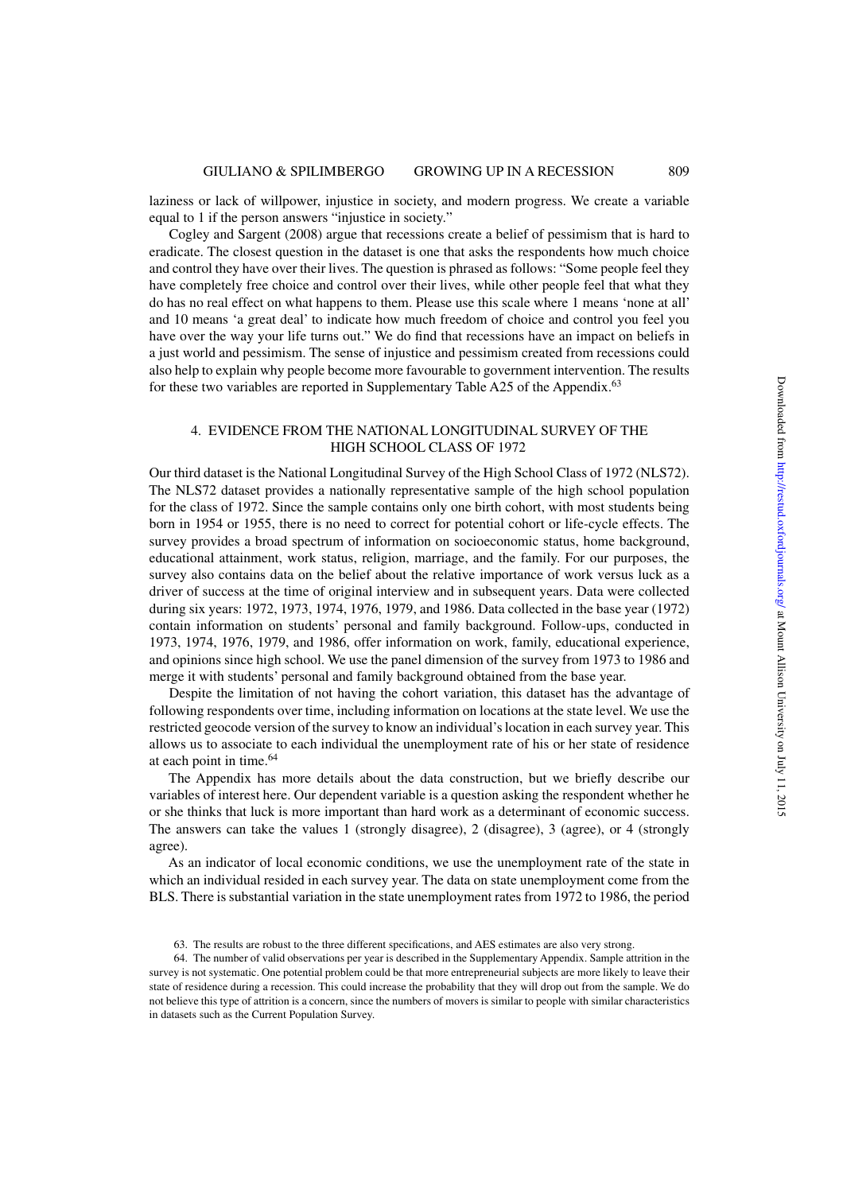laziness or lack of willpower, injustice in society, and modern progress. We create a variable equal to 1 if the person answers "injustice in society."

Cogley and Sargent (2008) argue that recessions create a belief of pessimism that is hard to eradicate. The closest question in the dataset is one that asks the respondents how much choice and control they have over their lives. The question is phrased as follows: "Some people feel they have completely free choice and control over their lives, while other people feel that what they do has no real effect on what happens to them. Please use this scale where 1 means 'none at all' and 10 means 'a great deal' to indicate how much freedom of choice and control you feel you have over the way your life turns out." We do find that recessions have an impact on beliefs in a just world and pessimism. The sense of injustice and pessimism created from recessions could also help to explain why people become more favourable to government intervention. The results for these two variables are reported in Supplementary Table A25 of the Appendix.<sup>63</sup>

## 4. EVIDENCE FROM THE NATIONAL LONGITUDINAL SURVEY OF THE HIGH SCHOOL CLASS OF 1972

Our third dataset is the National Longitudinal Survey of the High School Class of 1972 (NLS72). The NLS72 dataset provides a nationally representative sample of the high school population for the class of 1972. Since the sample contains only one birth cohort, with most students being born in 1954 or 1955, there is no need to correct for potential cohort or life-cycle effects. The survey provides a broad spectrum of information on socioeconomic status, home background, educational attainment, work status, religion, marriage, and the family. For our purposes, the survey also contains data on the belief about the relative importance of work versus luck as a driver of success at the time of original interview and in subsequent years. Data were collected during six years: 1972, 1973, 1974, 1976, 1979, and 1986. Data collected in the base year (1972) contain information on students' personal and family background. Follow-ups, conducted in 1973, 1974, 1976, 1979, and 1986, offer information on work, family, educational experience, and opinions since high school. We use the panel dimension of the survey from 1973 to 1986 and merge it with students' personal and family background obtained from the base year.

Despite the limitation of not having the cohort variation, this dataset has the advantage of following respondents over time, including information on locations at the state level. We use the restricted geocode version of the survey to know an individual's location in each survey year. This allows us to associate to each individual the unemployment rate of his or her state of residence at each point in time.<sup>64</sup>

The Appendix has more details about the data construction, but we briefly describe our variables of interest here. Our dependent variable is a question asking the respondent whether he or she thinks that luck is more important than hard work as a determinant of economic success. The answers can take the values 1 (strongly disagree), 2 (disagree), 3 (agree), or 4 (strongly agree).

As an indicator of local economic conditions, we use the unemployment rate of the state in which an individual resided in each survey year. The data on state unemployment come from the BLS. There is substantial variation in the state unemployment rates from 1972 to 1986, the period

<sup>63.</sup> The results are robust to the three different specifications, and AES estimates are also very strong.

<sup>64.</sup> The number of valid observations per year is described in the Supplementary Appendix. Sample attrition in the survey is not systematic. One potential problem could be that more entrepreneurial subjects are more likely to leave their state of residence during a recession. This could increase the probability that they will drop out from the sample. We do not believe this type of attrition is a concern, since the numbers of movers is similar to people with similar characteristics in datasets such as the Current Population Survey.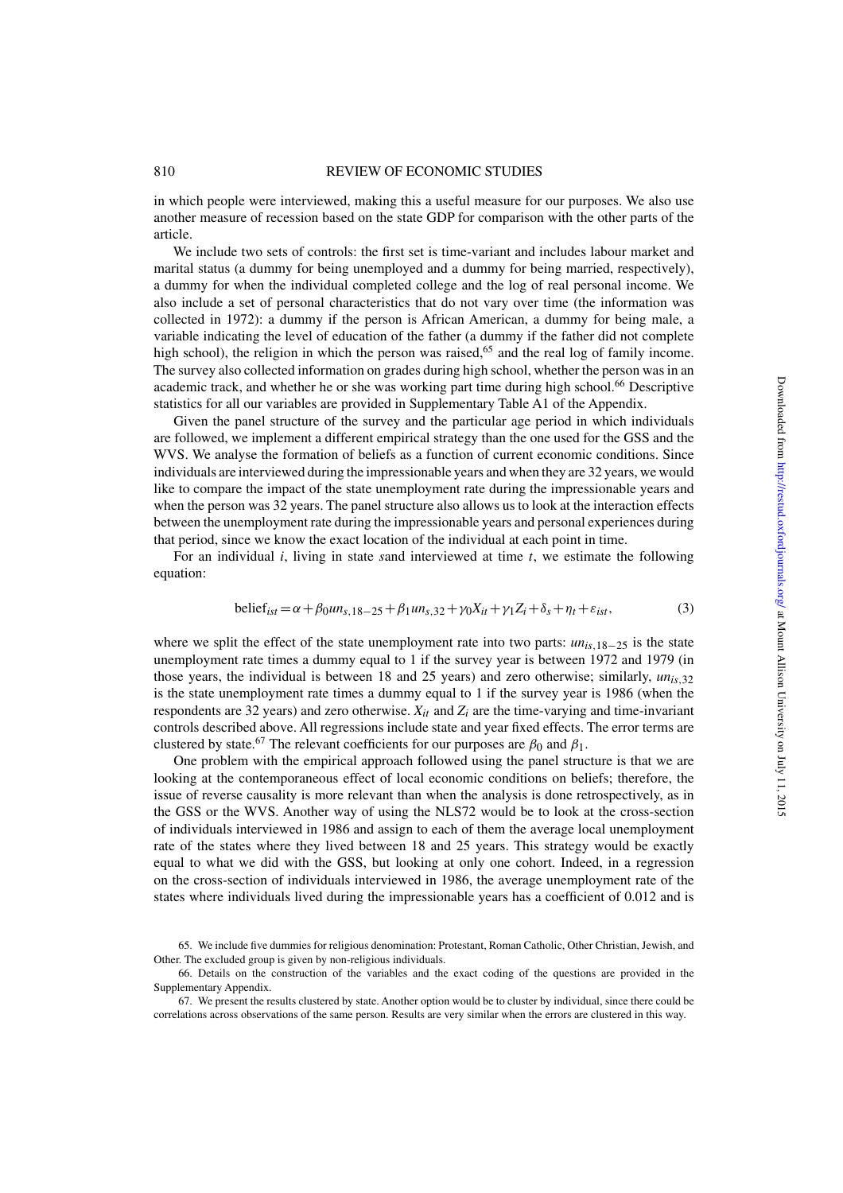in which people were interviewed, making this a useful measure for our purposes. We also use another measure of recession based on the state GDP for comparison with the other parts of the article.

We include two sets of controls: the first set is time-variant and includes labour market and marital status (a dummy for being unemployed and a dummy for being married, respectively), a dummy for when the individual completed college and the log of real personal income. We also include a set of personal characteristics that do not vary over time (the information was collected in 1972): a dummy if the person is African American, a dummy for being male, a variable indicating the level of education of the father (a dummy if the father did not complete high school), the religion in which the person was raised,<sup>65</sup> and the real log of family income. The survey also collected information on grades during high school, whether the person was in an academic track, and whether he or she was working part time during high school.<sup>66</sup> Descriptive statistics for all our variables are provided in Supplementary Table A1 of the Appendix.

Given the panel structure of the survey and the particular age period in which individuals are followed, we implement a different empirical strategy than the one used for the GSS and the WVS. We analyse the formation of beliefs as a function of current economic conditions. Since individuals are interviewed during the impressionable years and when they are 32 years, we would like to compare the impact of the state unemployment rate during the impressionable years and when the person was 32 years. The panel structure also allows us to look at the interaction effects between the unemployment rate during the impressionable years and personal experiences during that period, since we know the exact location of the individual at each point in time.

For an individual *i*, living in state *s*and interviewed at time *t*, we estimate the following equation:

$$
belief_{ist} = \alpha + \beta_0 u n_{s, 18-25} + \beta_1 u n_{s, 32} + \gamma_0 X_{it} + \gamma_1 Z_i + \delta_s + \eta_t + \varepsilon_{ist},
$$
\n(3)

where we split the effect of the state unemployment rate into two parts: *unis*,18−<sup>25</sup> is the state unemployment rate times a dummy equal to 1 if the survey year is between 1972 and 1979 (in those years, the individual is between 18 and 25 years) and zero otherwise; similarly, *unis*,<sup>32</sup> is the state unemployment rate times a dummy equal to 1 if the survey year is 1986 (when the respondents are 32 years) and zero otherwise.  $X_{it}$  and  $Z_i$  are the time-varying and time-invariant controls described above. All regressions include state and year fixed effects. The error terms are clustered by state.<sup>67</sup> The relevant coefficients for our purposes are  $\beta_0$  and  $\beta_1$ .

One problem with the empirical approach followed using the panel structure is that we are looking at the contemporaneous effect of local economic conditions on beliefs; therefore, the issue of reverse causality is more relevant than when the analysis is done retrospectively, as in the GSS or the WVS. Another way of using the NLS72 would be to look at the cross-section of individuals interviewed in 1986 and assign to each of them the average local unemployment rate of the states where they lived between 18 and 25 years. This strategy would be exactly equal to what we did with the GSS, but looking at only one cohort. Indeed, in a regression on the cross-section of individuals interviewed in 1986, the average unemployment rate of the states where individuals lived during the impressionable years has a coefficient of 0.012 and is

<sup>65.</sup> We include five dummies for religious denomination: Protestant, Roman Catholic, Other Christian, Jewish, and Other. The excluded group is given by non-religious individuals.

<sup>66.</sup> Details on the construction of the variables and the exact coding of the questions are provided in the Supplementary Appendix.

<sup>67.</sup> We present the results clustered by state. Another option would be to cluster by individual, since there could be correlations across observations of the same person. Results are very similar when the errors are clustered in this way.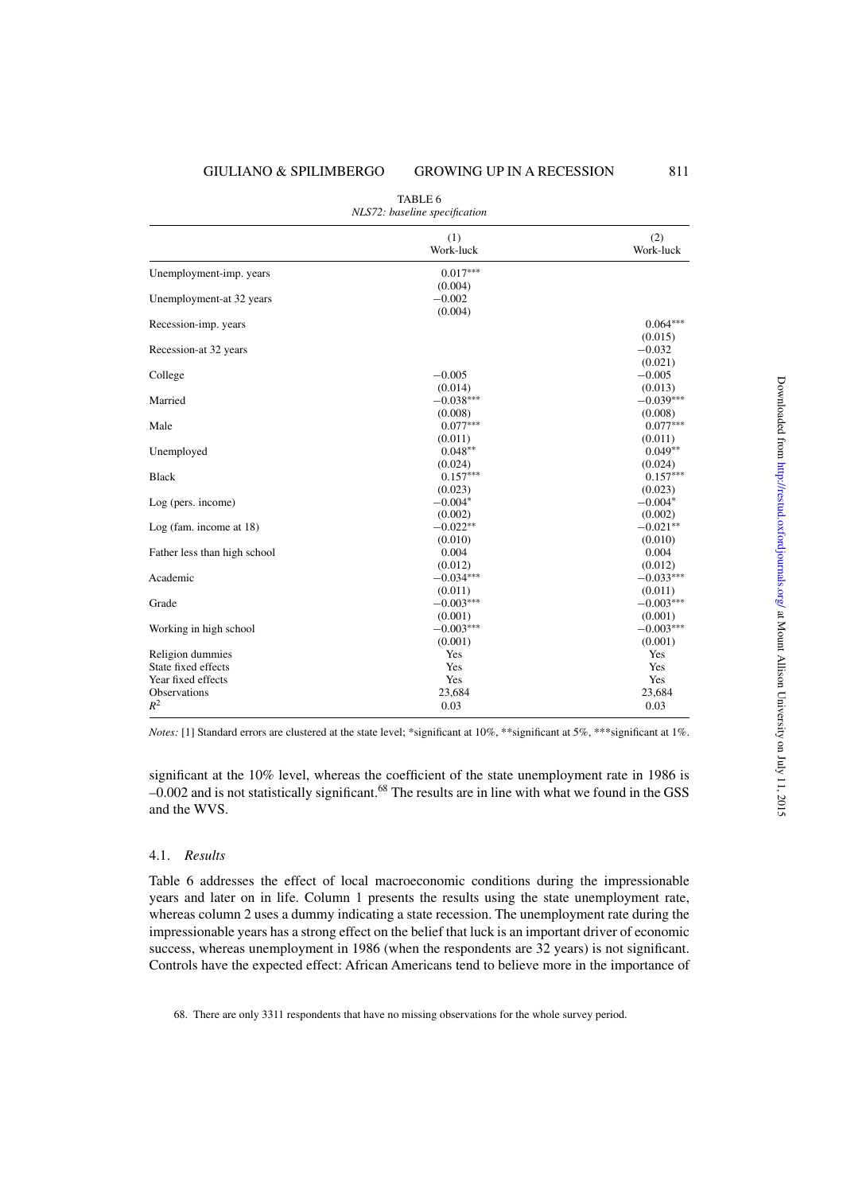|                              | (1)<br>Work-luck | (2)<br>Work-luck |
|------------------------------|------------------|------------------|
| Unemployment-imp. years      | $0.017***$       |                  |
|                              | (0.004)          |                  |
| Unemployment-at 32 years     | $-0.002$         |                  |
|                              | (0.004)          |                  |
| Recession-imp. years         |                  | $0.064***$       |
|                              |                  | (0.015)          |
| Recession-at 32 years        |                  | $-0.032$         |
|                              |                  | (0.021)          |
| College                      | $-0.005$         | $-0.005$         |
|                              | (0.014)          | (0.013)          |
| Married                      | $-0.038***$      | $-0.039***$      |
|                              | (0.008)          | (0.008)          |
| Male                         | $0.077***$       | $0.077***$       |
|                              | (0.011)          | (0.011)          |
| Unemployed                   | $0.048**$        | $0.049**$        |
|                              | (0.024)          | (0.024)          |
| <b>Black</b>                 | $0.157***$       | $0.157***$       |
|                              | (0.023)          | (0.023)          |
| Log (pers. income)           | $-0.004*$        | $-0.004*$        |
|                              | (0.002)          | (0.002)          |
| Log(fam. income at 18)       | $-0.022**$       | $-0.021**$       |
|                              | (0.010)          | (0.010)          |
| Father less than high school | 0.004            | 0.004            |
|                              | (0.012)          | (0.012)          |
| Academic                     | $-0.034***$      | $-0.033***$      |
|                              | (0.011)          | (0.011)          |
| Grade                        | $-0.003***$      | $-0.003***$      |
|                              | (0.001)          | (0.001)          |
| Working in high school       | $-0.003***$      | $-0.003***$      |
|                              | (0.001)          | (0.001)          |
| Religion dummies             | Yes              | Yes              |
| State fixed effects          | Yes              | Yes              |
| Year fixed effects           | Yes              | Yes              |
| <b>Observations</b>          | 23,684           | 23,684           |
| $R^2$                        | 0.03             | 0.03             |

TABLE 6 *NLS72: baseline specification*

*Notes:* [1] Standard errors are clustered at the state level; \*significant at 10%, \*\*significant at 5%, \*\*\*significant at 1%.

significant at the 10% level, whereas the coefficient of the state unemployment rate in 1986 is  $-0.002$  and is not statistically significant.<sup>68</sup> The results are in line with what we found in the GSS and the WVS.

#### 4.1. *Results*

Table 6 addresses the effect of local macroeconomic conditions during the impressionable years and later on in life. Column 1 presents the results using the state unemployment rate, whereas column 2 uses a dummy indicating a state recession. The unemployment rate during the impressionable years has a strong effect on the belief that luck is an important driver of economic success, whereas unemployment in 1986 (when the respondents are 32 years) is not significant. Controls have the expected effect: African Americans tend to believe more in the importance of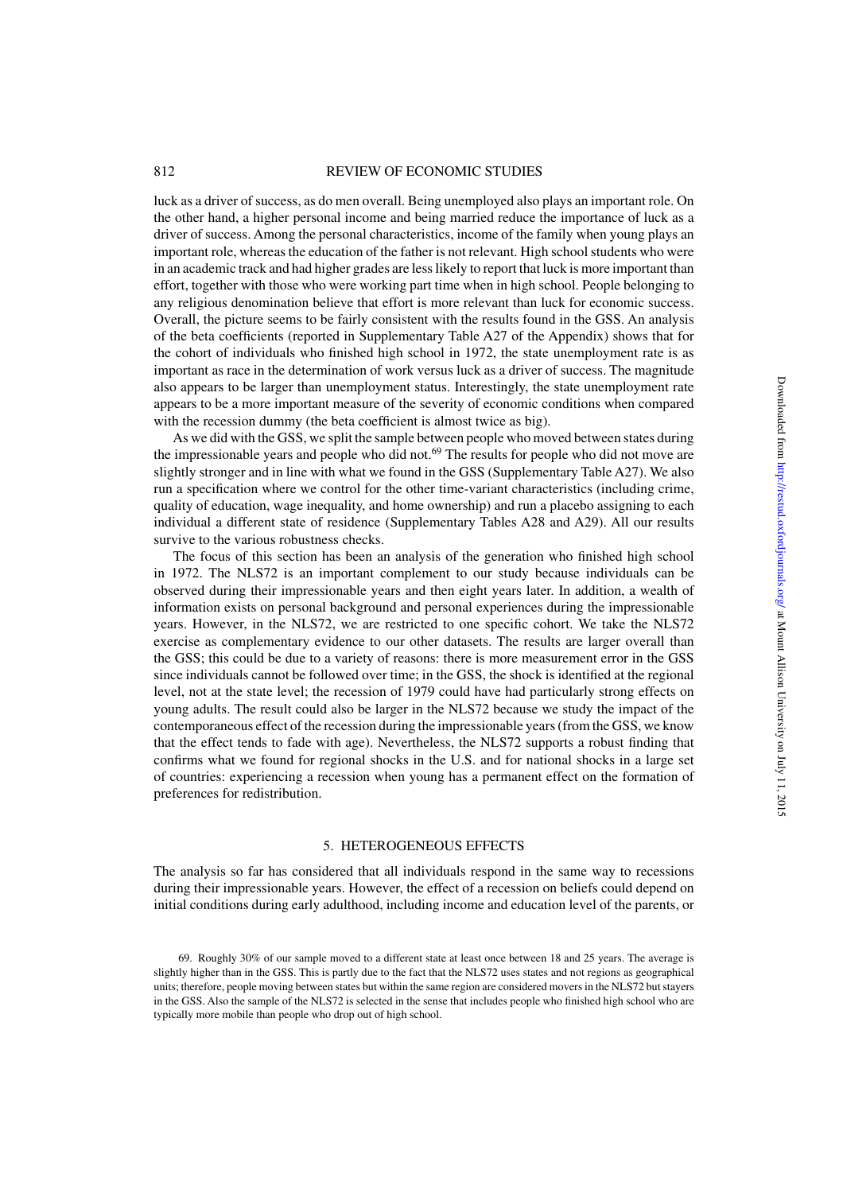luck as a driver of success, as do men overall. Being unemployed also plays an important role. On the other hand, a higher personal income and being married reduce the importance of luck as a driver of success. Among the personal characteristics, income of the family when young plays an important role, whereas the education of the father is not relevant. High school students who were in an academic track and had higher grades are less likely to report that luck is more important than effort, together with those who were working part time when in high school. People belonging to any religious denomination believe that effort is more relevant than luck for economic success. Overall, the picture seems to be fairly consistent with the results found in the GSS. An analysis of the beta coefficients (reported in Supplementary Table A27 of the Appendix) shows that for the cohort of individuals who finished high school in 1972, the state unemployment rate is as important as race in the determination of work versus luck as a driver of success. The magnitude also appears to be larger than unemployment status. Interestingly, the state unemployment rate appears to be a more important measure of the severity of economic conditions when compared with the recession dummy (the beta coefficient is almost twice as big).

As we did with the GSS, we split the sample between people who moved between states during the impressionable years and people who did not.<sup>69</sup> The results for people who did not move are slightly stronger and in line with what we found in the GSS (Supplementary Table A27). We also run a specification where we control for the other time-variant characteristics (including crime, quality of education, wage inequality, and home ownership) and run a placebo assigning to each individual a different state of residence (Supplementary Tables A28 and A29). All our results survive to the various robustness checks.

The focus of this section has been an analysis of the generation who finished high school in 1972. The NLS72 is an important complement to our study because individuals can be observed during their impressionable years and then eight years later. In addition, a wealth of information exists on personal background and personal experiences during the impressionable years. However, in the NLS72, we are restricted to one specific cohort. We take the NLS72 exercise as complementary evidence to our other datasets. The results are larger overall than the GSS; this could be due to a variety of reasons: there is more measurement error in the GSS since individuals cannot be followed over time; in the GSS, the shock is identified at the regional level, not at the state level; the recession of 1979 could have had particularly strong effects on young adults. The result could also be larger in the NLS72 because we study the impact of the contemporaneous effect of the recession during the impressionable years (from the GSS, we know that the effect tends to fade with age). Nevertheless, the NLS72 supports a robust finding that confirms what we found for regional shocks in the U.S. and for national shocks in a large set of countries: experiencing a recession when young has a permanent effect on the formation of preferences for redistribution.

#### 5. HETEROGENEOUS EFFECTS

The analysis so far has considered that all individuals respond in the same way to recessions during their impressionable years. However, the effect of a recession on beliefs could depend on initial conditions during early adulthood, including income and education level of the parents, or

<sup>69.</sup> Roughly 30% of our sample moved to a different state at least once between 18 and 25 years. The average is slightly higher than in the GSS. This is partly due to the fact that the NLS72 uses states and not regions as geographical units; therefore, people moving between states but within the same region are considered movers in the NLS72 but stayers in the GSS. Also the sample of the NLS72 is selected in the sense that includes people who finished high school who are typically more mobile than people who drop out of high school.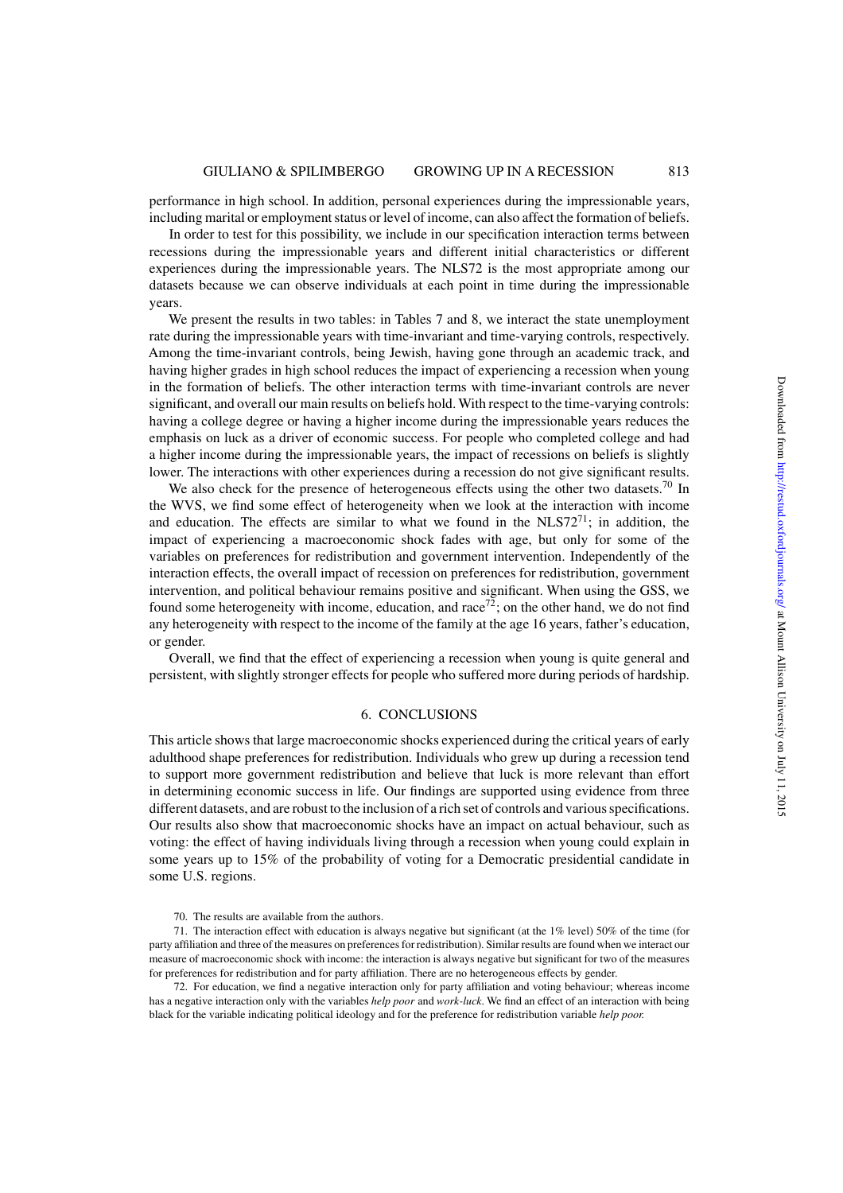performance in high school. In addition, personal experiences during the impressionable years, including marital or employment status or level of income, can also affect the formation of beliefs.

In order to test for this possibility, we include in our specification interaction terms between recessions during the impressionable years and different initial characteristics or different experiences during the impressionable years. The NLS72 is the most appropriate among our datasets because we can observe individuals at each point in time during the impressionable years.

We present the results in two tables: in Tables 7 and 8, we interact the state unemployment rate during the impressionable years with time-invariant and time-varying controls, respectively. Among the time-invariant controls, being Jewish, having gone through an academic track, and having higher grades in high school reduces the impact of experiencing a recession when young in the formation of beliefs. The other interaction terms with time-invariant controls are never significant, and overall our main results on beliefs hold. With respect to the time-varying controls: having a college degree or having a higher income during the impressionable years reduces the emphasis on luck as a driver of economic success. For people who completed college and had a higher income during the impressionable years, the impact of recessions on beliefs is slightly lower. The interactions with other experiences during a recession do not give significant results.

We also check for the presence of heterogeneous effects using the other two datasets.<sup>70</sup> In the WVS, we find some effect of heterogeneity when we look at the interaction with income and education. The effects are similar to what we found in the  $NLS72<sup>71</sup>$ ; in addition, the impact of experiencing a macroeconomic shock fades with age, but only for some of the variables on preferences for redistribution and government intervention. Independently of the interaction effects, the overall impact of recession on preferences for redistribution, government intervention, and political behaviour remains positive and significant. When using the GSS, we found some heterogeneity with income, education, and race<sup>72</sup>; on the other hand, we do not find any heterogeneity with respect to the income of the family at the age 16 years, father's education, or gender.

Overall, we find that the effect of experiencing a recession when young is quite general and persistent, with slightly stronger effects for people who suffered more during periods of hardship.

#### 6. CONCLUSIONS

This article shows that large macroeconomic shocks experienced during the critical years of early adulthood shape preferences for redistribution. Individuals who grew up during a recession tend to support more government redistribution and believe that luck is more relevant than effort in determining economic success in life. Our findings are supported using evidence from three different datasets, and are robust to the inclusion of a rich set of controls and various specifications. Our results also show that macroeconomic shocks have an impact on actual behaviour, such as voting: the effect of having individuals living through a recession when young could explain in some years up to 15% of the probability of voting for a Democratic presidential candidate in some U.S. regions.

70. The results are available from the authors.

71. The interaction effect with education is always negative but significant (at the 1% level) 50% of the time (for party affiliation and three of the measures on preferences for redistribution). Similar results are found when we interact our measure of macroeconomic shock with income: the interaction is always negative but significant for two of the measures for preferences for redistribution and for party affiliation. There are no heterogeneous effects by gender.

72. For education, we find a negative interaction only for party affiliation and voting behaviour; whereas income has a negative interaction only with the variables *help poor* and *work-luck*. We find an effect of an interaction with being black for the variable indicating political ideology and for the preference for redistribution variable *help poor.*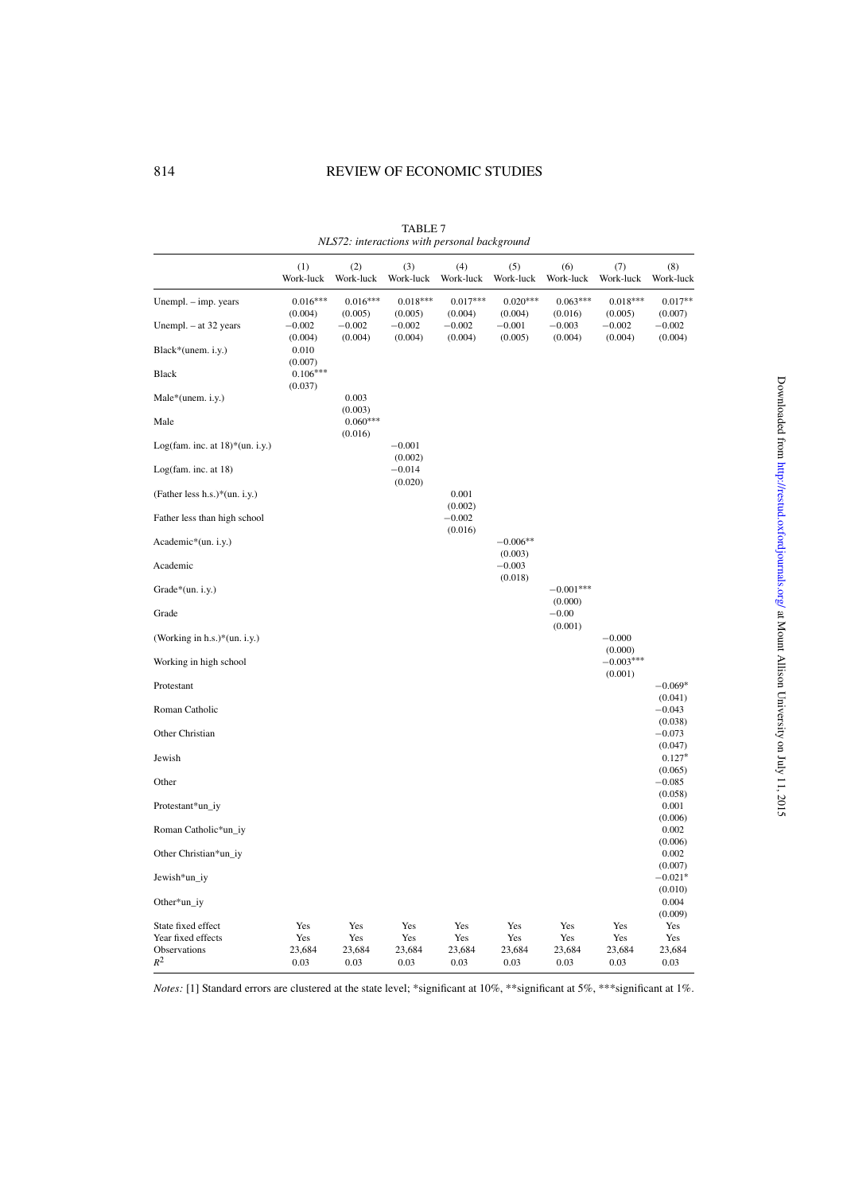|                                                                   | (1)<br>Work-luck                 | (2)<br>Work-luck                 | (3)<br>Work-luck               | (4)<br>Work-luck               | (5)<br>Work-luck               | (6)<br>Work-luck               | (7)<br>Work-luck               | (8)<br>Work-luck                        |
|-------------------------------------------------------------------|----------------------------------|----------------------------------|--------------------------------|--------------------------------|--------------------------------|--------------------------------|--------------------------------|-----------------------------------------|
| Unempl. $-$ imp. years                                            | $0.016***$                       | $0.016***$                       | $0.018***$                     | $0.017***$                     | $0.020***$                     | $0.063***$                     | $0.018***$                     | $0.017**$                               |
| Unempl. – at 32 years                                             | (0.004)<br>$-0.002$<br>(0.004)   | (0.005)<br>$-0.002$<br>(0.004)   | (0.005)<br>$-0.002$<br>(0.004) | (0.004)<br>$-0.002$<br>(0.004) | (0.004)<br>$-0.001$<br>(0.005) | (0.016)<br>$-0.003$<br>(0.004) | (0.005)<br>$-0.002$<br>(0.004) | (0.007)<br>$-0.002$<br>(0.004)          |
| Black*(unem. i.y.)                                                | 0.010                            |                                  |                                |                                |                                |                                |                                |                                         |
| <b>Black</b>                                                      | (0.007)<br>$0.106***$<br>(0.037) |                                  |                                |                                |                                |                                |                                |                                         |
| Male*(unem. i.y.)                                                 |                                  | 0.003                            |                                |                                |                                |                                |                                |                                         |
| Male                                                              |                                  | (0.003)<br>$0.060***$<br>(0.016) |                                |                                |                                |                                |                                |                                         |
| Log(fam. inc. at $18$ )*(un. i.y.)                                |                                  |                                  | $-0.001$<br>(0.002)            |                                |                                |                                |                                |                                         |
| Log(fam. inc. at $18$ )                                           |                                  |                                  | $-0.014$<br>(0.020)            |                                |                                |                                |                                |                                         |
| (Father less h.s.)*(un. i.y.)                                     |                                  |                                  |                                | 0.001<br>(0.002)               |                                |                                |                                |                                         |
| Father less than high school                                      |                                  |                                  |                                | $-0.002$<br>(0.016)            |                                |                                |                                |                                         |
| Academic*(un. i.y.)                                               |                                  |                                  |                                |                                | $-0.006**$                     |                                |                                |                                         |
| Academic                                                          |                                  |                                  |                                |                                | (0.003)<br>$-0.003$<br>(0.018) |                                |                                |                                         |
| $Grade*(un. i.y.)$                                                |                                  |                                  |                                |                                |                                | $-0.001***$                    |                                |                                         |
| Grade                                                             |                                  |                                  |                                |                                |                                | (0.000)<br>$-0.00$             |                                |                                         |
| (Working in h.s.)*(un. i.y.)                                      |                                  |                                  |                                |                                |                                | (0.001)                        | $-0.000$                       |                                         |
| Working in high school                                            |                                  |                                  |                                |                                |                                |                                | (0.000)<br>$-0.003***$         |                                         |
| Protestant                                                        |                                  |                                  |                                |                                |                                |                                | (0.001)                        | $-0.069*$                               |
| Roman Catholic                                                    |                                  |                                  |                                |                                |                                |                                |                                | (0.041)<br>$-0.043$                     |
| Other Christian                                                   |                                  |                                  |                                |                                |                                |                                |                                | (0.038)<br>$-0.073$                     |
| Jewish                                                            |                                  |                                  |                                |                                |                                |                                |                                | (0.047)<br>$0.127*$                     |
| Other                                                             |                                  |                                  |                                |                                |                                |                                |                                | (0.065)<br>$-0.085$                     |
| Protestant*un_iy                                                  |                                  |                                  |                                |                                |                                |                                |                                | (0.058)<br>0.001                        |
| Roman Catholic*un_iy                                              |                                  |                                  |                                |                                |                                |                                |                                | (0.006)<br>0.002                        |
| Other Christian*un_iy                                             |                                  |                                  |                                |                                |                                |                                |                                | (0.006)<br>0.002                        |
| Jewish*un_iy                                                      |                                  |                                  |                                |                                |                                |                                |                                | (0.007)<br>$-0.021*$                    |
| Other*un_iy                                                       |                                  |                                  |                                |                                |                                |                                |                                | (0.010)<br>0.004                        |
| State fixed effect<br>Year fixed effects<br>Observations<br>$R^2$ | Yes<br>Yes<br>23,684<br>0.03     | Yes<br>Yes<br>23,684<br>0.03     | Yes<br>Yes<br>23,684<br>0.03   | Yes<br>Yes<br>23,684<br>0.03   | Yes<br>Yes<br>23,684<br>0.03   | Yes<br>Yes<br>23,684<br>0.03   | Yes<br>Yes<br>23,684<br>0.03   | (0.009)<br>Yes<br>Yes<br>23,684<br>0.03 |

TABLE 7 *NLS72: interactions with personal background*

*Notes*: [1] Standard errors are clustered at the state level; \*significant at 10%, \*\*significant at 5%, \*\*\*significant at 1%.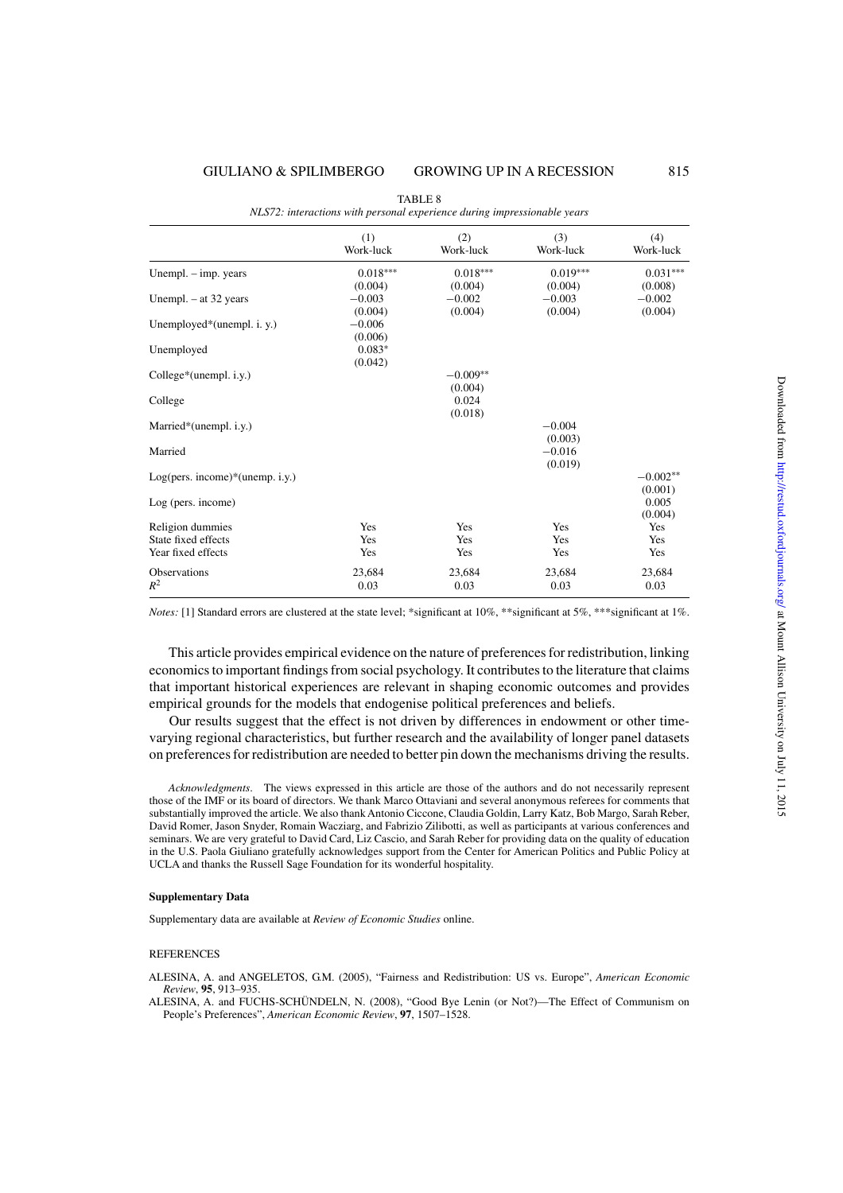|                                   | (1)<br>Work-luck      | (2)<br>Work-luck      | (3)<br>Work-luck      | (4)<br>Work-luck      |
|-----------------------------------|-----------------------|-----------------------|-----------------------|-----------------------|
| Unempl. $-$ imp. years            | $0.018***$<br>(0.004) | $0.018***$<br>(0.004) | $0.019***$<br>(0.004) | $0.031***$<br>(0.008) |
| Unempl. $-$ at 32 years           | $-0.003$<br>(0.004)   | $-0.002$<br>(0.004)   | $-0.003$<br>(0.004)   | $-0.002$<br>(0.004)   |
| Unemployed*(unempl. i. y.)        | $-0.006$<br>(0.006)   |                       |                       |                       |
| Unemployed                        | $0.083*$<br>(0.042)   |                       |                       |                       |
| College*(unempl. i.y.)            |                       | $-0.009**$<br>(0.004) |                       |                       |
| College                           |                       | 0.024<br>(0.018)      |                       |                       |
| Married*(unempl. i.y.)            |                       |                       | $-0.004$<br>(0.003)   |                       |
| Married                           |                       |                       | $-0.016$<br>(0.019)   |                       |
| $Log(pers. income)*(unemp. i.y.)$ |                       |                       |                       | $-0.002**$<br>(0.001) |
| Log (pers. income)                |                       |                       |                       | 0.005<br>(0.004)      |
| Religion dummies                  | Yes                   | Yes                   | Yes                   | Yes                   |
| State fixed effects               | Yes                   | Yes                   | Yes                   | Yes                   |
| Year fixed effects                | Yes                   | Yes                   | Yes                   | Yes                   |
| <b>Observations</b><br>$R^2$      | 23,684<br>0.03        | 23,684<br>0.03        | 23,684<br>0.03        | 23,684<br>0.03        |

TABLE 8 *NLS72: interactions with personal experience during impressionable years*

*Notes:* [1] Standard errors are clustered at the state level; \*significant at 10%, \*\*significant at 5%, \*\*\*significant at 1%.

This article provides empirical evidence on the nature of preferences for redistribution, linking economics to important findings from social psychology. It contributes to the literature that claims that important historical experiences are relevant in shaping economic outcomes and provides empirical grounds for the models that endogenise political preferences and beliefs.

Our results suggest that the effect is not driven by differences in endowment or other timevarying regional characteristics, but further research and the availability of longer panel datasets on preferences for redistribution are needed to better pin down the mechanisms driving the results.

*Acknowledgments*. The views expressed in this article are those of the authors and do not necessarily represent those of the IMF or its board of directors. We thank Marco Ottaviani and several anonymous referees for comments that substantially improved the article. We also thank Antonio Ciccone, Claudia Goldin, Larry Katz, Bob Margo, Sarah Reber, David Romer, Jason Snyder, Romain Wacziarg, and Fabrizio Zilibotti, as well as participants at various conferences and seminars. We are very grateful to David Card, Liz Cascio, and Sarah Reber for providing data on the quality of education in the U.S. Paola Giuliano gratefully acknowledges support from the Center for American Politics and Public Policy at UCLA and thanks the Russell Sage Foundation for its wonderful hospitality.

#### **Supplementary Data**

Supplementary data are available at *Review of Economic Studies* online.

#### **REFERENCES**

- ALESINA, A. and ANGELETOS, G.M. (2005), "Fairness and Redistribution: US vs. Europe", *American Economic Review*, **95**, 913–935.
- ALESINA, A. and FUCHS-SCHÜNDELN, N. (2008), "Good Bye Lenin (or Not?)—The Effect of Communism on People's Preferences", *American Economic Review*, **97**, 1507–1528.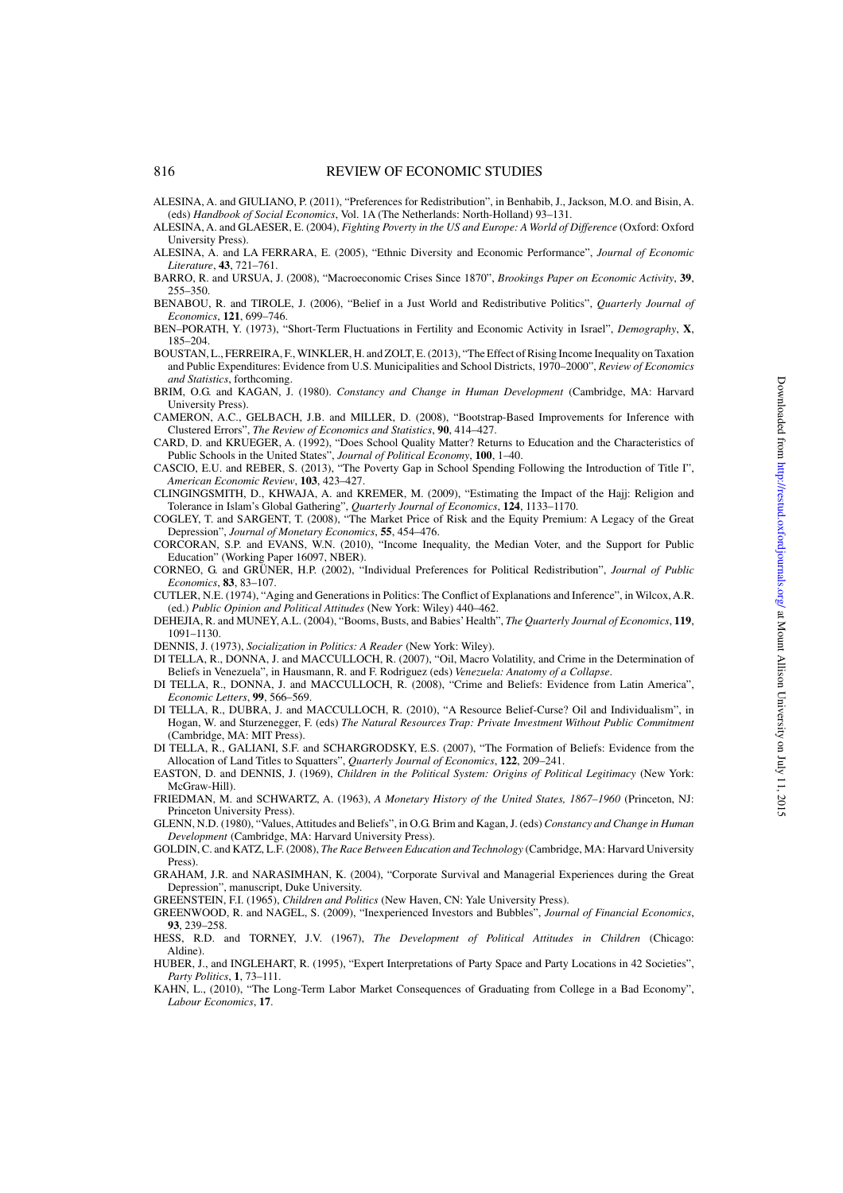- ALESINA, A. and GIULIANO, P. (2011), "Preferences for Redistribution", in Benhabib, J., Jackson, M.O. and Bisin, A. (eds) *Handbook of Social Economics*, Vol. 1A (The Netherlands: North-Holland) 93–131.
- ALESINA, A. and GLAESER, E. (2004), *Fighting Poverty in the US and Europe: A World of Difference* (Oxford: Oxford University Press).
- ALESINA, A. and LA FERRARA, E. (2005), "Ethnic Diversity and Economic Performance", *Journal of Economic Literature*, **43**, 721–761.
- BARRO, R. and URSUA, J. (2008), "Macroeconomic Crises Since 1870", *Brookings Paper on Economic Activity*, **39**, 255–350.
- BENABOU, R. and TIROLE, J. (2006), "Belief in a Just World and Redistributive Politics", *Quarterly Journal of Economics*, **121**, 699–746.
- BEN–PORATH, Y. (1973), "Short-Term Fluctuations in Fertility and Economic Activity in Israel", *Demography*, **X**, 185–204.
- BOUSTAN, L., FERREIRA, F.,WINKLER, H. and ZOLT, E. (2013), "The Effect of Rising Income Inequality on Taxation and Public Expenditures: Evidence from U.S. Municipalities and School Districts, 1970–2000", *Review of Economics and Statistics*, forthcoming.
- BRIM, O.G. and KAGAN, J. (1980). *Constancy and Change in Human Development* (Cambridge, MA: Harvard University Press).
- CAMERON, A.C., GELBACH, J.B. and MILLER, D. (2008), "Bootstrap-Based Improvements for Inference with Clustered Errors", *The Review of Economics and Statistics*, **90**, 414–427.
- CARD, D. and KRUEGER, A. (1992), "Does School Quality Matter? Returns to Education and the Characteristics of Public Schools in the United States", *Journal of Political Economy*, **100**, 1–40.
- CASCIO, E.U. and REBER, S. (2013), "The Poverty Gap in School Spending Following the Introduction of Title I", *American Economic Review*, **103**, 423–427.
- CLINGINGSMITH, D., KHWAJA, A. and KREMER, M. (2009), "Estimating the Impact of the Hajj: Religion and Tolerance in Islam's Global Gathering", *Quarterly Journal of Economics*, **124**, 1133–1170.
- COGLEY, T. and SARGENT, T. (2008), "The Market Price of Risk and the Equity Premium: A Legacy of the Great Depression", *Journal of Monetary Economics*, **55**, 454–476.
- CORCORAN, S.P. and EVANS, W.N. (2010), "Income Inequality, the Median Voter, and the Support for Public Education" (Working Paper 16097, NBER).
- CORNEO, G. and GRÜNER, H.P. (2002), "Individual Preferences for Political Redistribution", *Journal of Public Economics*, **83**, 83–107.
- CUTLER, N.E. (1974), "Aging and Generations in Politics: The Conflict of Explanations and Inference", in Wilcox, A.R. (ed.) *Public Opinion and Political Attitudes* (New York: Wiley) 440–462.
- DEHEJIA, R. and MUNEY, A.L. (2004), "Booms, Busts, and Babies' Health", *The Quarterly Journal of Economics*, **119**, 1091–1130.
- DENNIS, J. (1973), *Socialization in Politics: A Reader* (New York: Wiley).
- DI TELLA, R., DONNA, J. and MACCULLOCH, R. (2007), "Oil, Macro Volatility, and Crime in the Determination of Beliefs in Venezuela", in Hausmann, R. and F. Rodriguez (eds) *Venezuela: Anatomy of a Collapse*.
- DI TELLA, R., DONNA, J. and MACCULLOCH, R. (2008), "Crime and Beliefs: Evidence from Latin America", *Economic Letters*, **99**, 566–569.
- DI TELLA, R., DUBRA, J. and MACCULLOCH, R. (2010), "A Resource Belief-Curse? Oil and Individualism", in Hogan, W. and Sturzenegger, F. (eds) *The Natural Resources Trap: Private Investment Without Public Commitment* (Cambridge, MA: MIT Press).
- DI TELLA, R., GALIANI, S.F. and SCHARGRODSKY, E.S. (2007), "The Formation of Beliefs: Evidence from the Allocation of Land Titles to Squatters", *Quarterly Journal of Economics*, **122**, 209–241.
- EASTON, D. and DENNIS, J. (1969), *Children in the Political System: Origins of Political Legitimacy* (New York: McGraw-Hill).
- FRIEDMAN, M. and SCHWARTZ, A. (1963), *A Monetary History of the United States, 1867–1960* (Princeton, NJ: Princeton University Press).
- GLENN, N.D. (1980), "Values, Attitudes and Beliefs", in O.G. Brim and Kagan, J. (eds) *Constancy and Change in Human Development* (Cambridge, MA: Harvard University Press).
- GOLDIN, C. and KATZ, L.F. (2008), *The Race Between Education and Technology* (Cambridge, MA: Harvard University Press).
- GRAHAM, J.R. and NARASIMHAN, K. (2004), "Corporate Survival and Managerial Experiences during the Great Depression", manuscript, Duke University.
- GREENSTEIN, F.I. (1965), *Children and Politics* (New Haven, CN: Yale University Press).
- GREENWOOD, R. and NAGEL, S. (2009), "Inexperienced Investors and Bubbles", *Journal of Financial Economics*, **93**, 239–258.
- HESS, R.D. and TORNEY, J.V. (1967), *The Development of Political Attitudes in Children* (Chicago: Aldine).
- HUBER, J., and INGLEHART, R. (1995), "Expert Interpretations of Party Space and Party Locations in 42 Societies", *Party Politics*, **1**, 73–111.
- KAHN, L., (2010), "The Long-Term Labor Market Consequences of Graduating from College in a Bad Economy", *Labour Economics*, **17**.